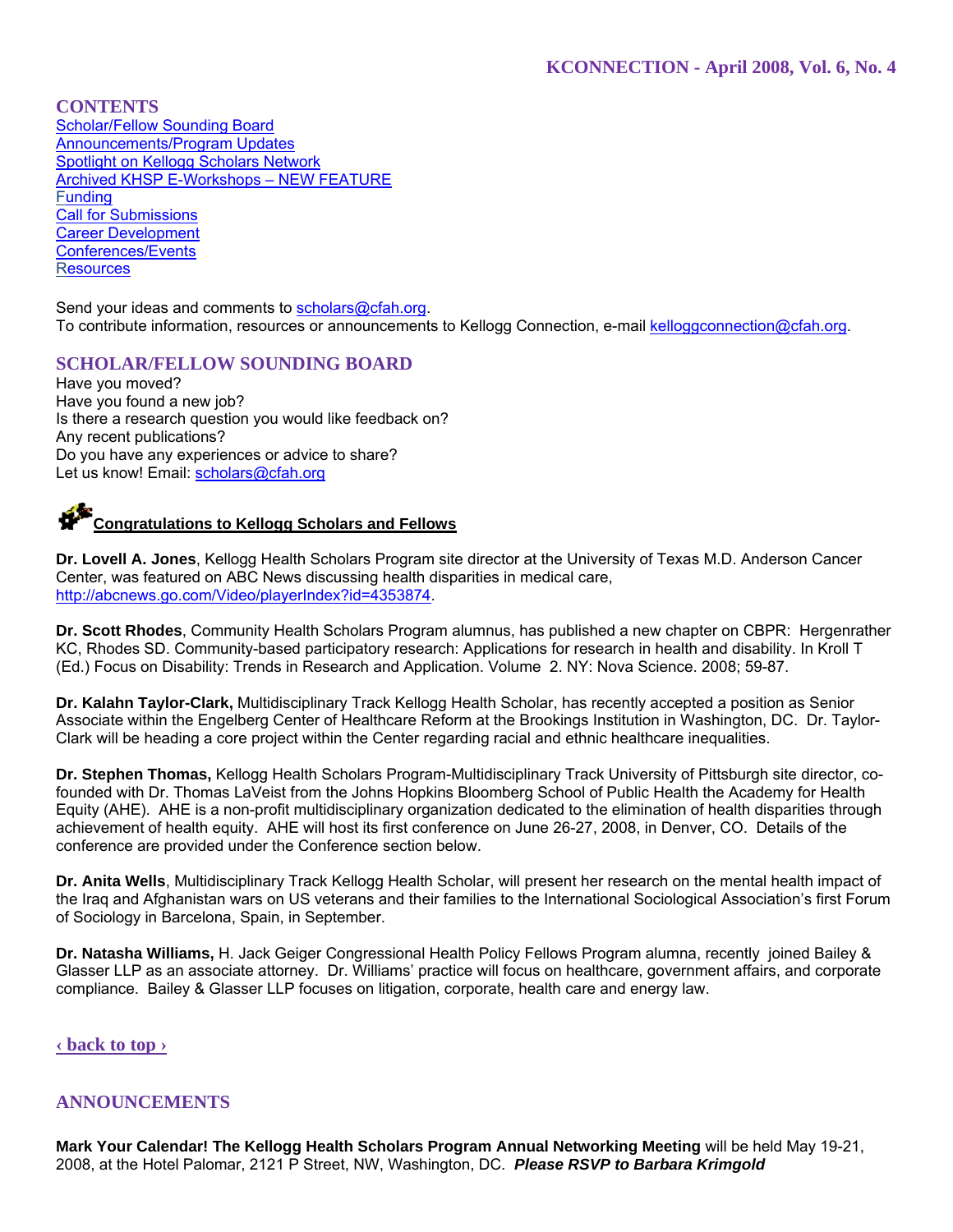**CONTENTS** Scholar/Fellow Sounding Board Announcements/Program Updates Spotlight on Kellogg Scholars Network Archived KHSP E-Workshops – NEW FEATURE **Funding Call for Submissions** Career Development Conferences/Events **Resources** 

Send your ideas and comments to scholars@cfah.org. To contribute information, resources or announcements to Kellogg Connection, e-mail kelloggconnection@cfah.org.

# **SCHOLAR/FELLOW SOUNDING BOARD**

Have you moved? Have you found a new job? Is there a research question you would like feedback on? Any recent publications? Do you have any experiences or advice to share? Let us know! Email: scholars@cfah.org

# **Congratulations to Kellogg Scholars and Fellows**

**Dr. Lovell A. Jones**, Kellogg Health Scholars Program site director at the University of Texas M.D. Anderson Cancer Center, was featured on ABC News discussing health disparities in medical care, http://abcnews.go.com/Video/playerIndex?id=4353874.

**Dr. Scott Rhodes**, Community Health Scholars Program alumnus, has published a new chapter on CBPR: Hergenrather KC, Rhodes SD. Community-based participatory research: Applications for research in health and disability. In Kroll T (Ed.) Focus on Disability: Trends in Research and Application. Volume 2. NY: Nova Science. 2008; 59-87.

**Dr. Kalahn Taylor-Clark,** Multidisciplinary Track Kellogg Health Scholar, has recently accepted a position as Senior Associate within the Engelberg Center of Healthcare Reform at the Brookings Institution in Washington, DC. Dr. Taylor-Clark will be heading a core project within the Center regarding racial and ethnic healthcare inequalities.

**Dr. Stephen Thomas,** Kellogg Health Scholars Program-Multidisciplinary Track University of Pittsburgh site director, cofounded with Dr. Thomas LaVeist from the Johns Hopkins Bloomberg School of Public Health the Academy for Health Equity (AHE). AHE is a non-profit multidisciplinary organization dedicated to the elimination of health disparities through achievement of health equity. AHE will host its first conference on June 26-27, 2008, in Denver, CO. Details of the conference are provided under the Conference section below.

**Dr. Anita Wells**, Multidisciplinary Track Kellogg Health Scholar, will present her research on the mental health impact of the Iraq and Afghanistan wars on US veterans and their families to the International Sociological Association's first Forum of Sociology in Barcelona, Spain, in September.

**Dr. Natasha Williams,** H. Jack Geiger Congressional Health Policy Fellows Program alumna, recently joined Bailey & Glasser LLP as an associate attorney. Dr. Williams' practice will focus on healthcare, government affairs, and corporate compliance. Bailey & Glasser LLP focuses on litigation, corporate, health care and energy law.

# **‹ back to top ›**

# **ANNOUNCEMENTS**

**Mark Your Calendar! The Kellogg Health Scholars Program Annual Networking Meeting** will be held May 19-21, 2008, at the Hotel Palomar, 2121 P Street, NW, Washington, DC. *Please RSVP to Barbara Krimgold*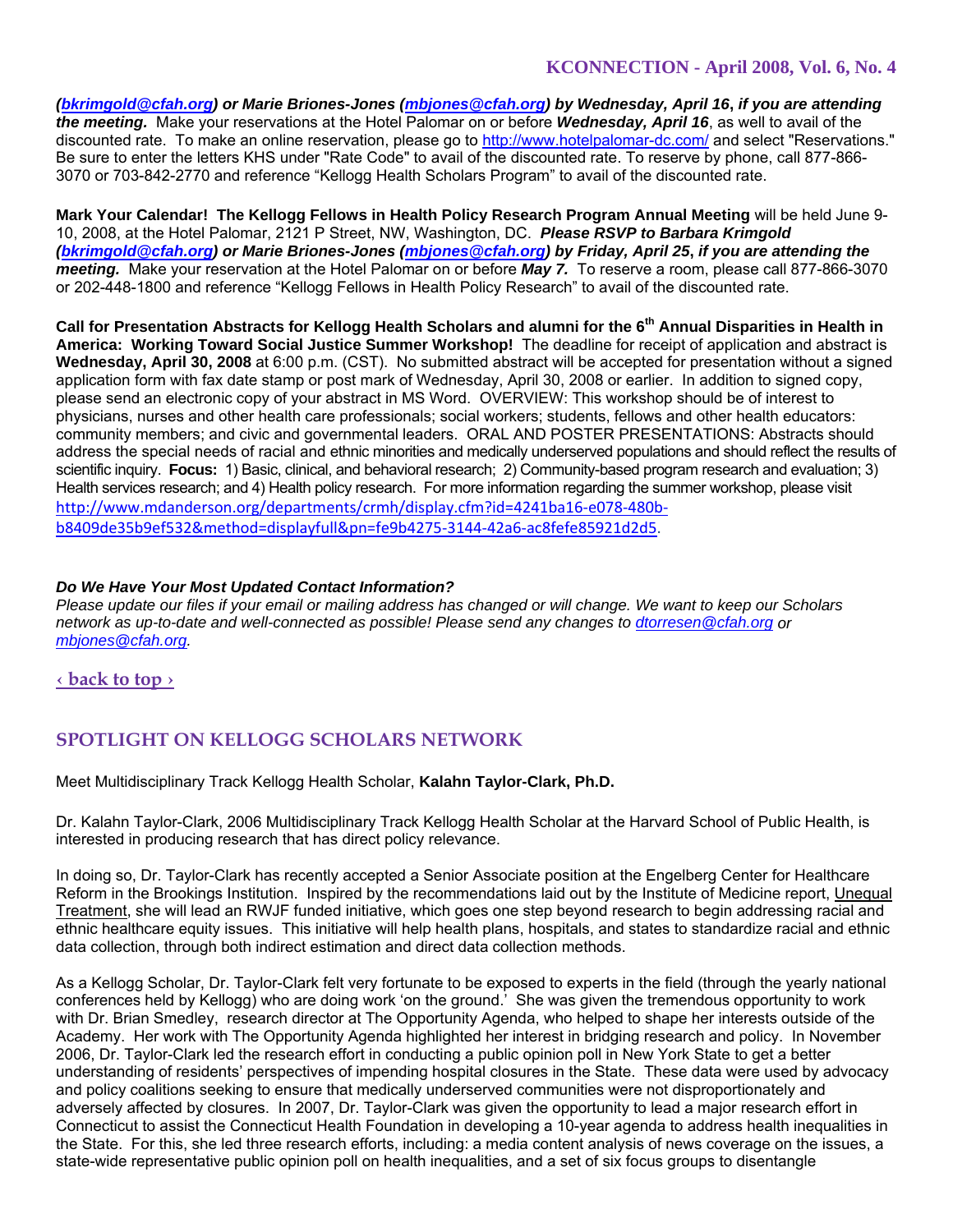*(bkrimgold@cfah.org) or Marie Briones-Jones (mbjones@cfah.org) by Wednesday, April 16***,** *if you are attending the meeting.* Make your reservations at the Hotel Palomar on or before *Wednesday, April 16*, as well to avail of the discounted rate. To make an online reservation, please go to http://www.hotelpalomar-dc.com/ and select "Reservations." Be sure to enter the letters KHS under "Rate Code" to avail of the discounted rate. To reserve by phone, call 877-866- 3070 or 703-842-2770 and reference "Kellogg Health Scholars Program" to avail of the discounted rate.

**Mark Your Calendar! The Kellogg Fellows in Health Policy Research Program Annual Meeting** will be held June 9- 10, 2008, at the Hotel Palomar, 2121 P Street, NW, Washington, DC. *Please RSVP to Barbara Krimgold (bkrimgold@cfah.org) or Marie Briones-Jones (mbjones@cfah.org) by Friday, April 25***,** *if you are attending the meeting.* Make your reservation at the Hotel Palomar on or before *May 7.* To reserve a room, please call 877-866-3070 or 202-448-1800 and reference "Kellogg Fellows in Health Policy Research" to avail of the discounted rate.

Call for Presentation Abstracts for Kellogg Health Scholars and alumni for the 6<sup>th</sup> Annual Disparities in Health in **America: Working Toward Social Justice Summer Workshop!** The deadline for receipt of application and abstract is **Wednesday, April 30, 2008** at 6:00 p.m. (CST). No submitted abstract will be accepted for presentation without a signed application form with fax date stamp or post mark of Wednesday, April 30, 2008 or earlier. In addition to signed copy, please send an electronic copy of your abstract in MS Word. OVERVIEW: This workshop should be of interest to physicians, nurses and other health care professionals; social workers; students, fellows and other health educators: community members; and civic and governmental leaders. ORAL AND POSTER PRESENTATIONS: Abstracts should address the special needs of racial and ethnic minorities and medically underserved populations and should reflect the results of scientific inquiry. **Focus:** 1) Basic, clinical, and behavioral research; 2) Community-based program research and evaluation; 3) Health services research; and 4) Health policy research. For more information regarding the summer workshop, please visit http://www.mdanderson.org/departments/crmh/display.cfm?id=4241ba16‐e078‐480b‐ b8409de35b9ef532&method=displayfull&pn=fe9b4275‐3144‐42a6‐ac8fefe85921d2d5.

### *Do We Have Your Most Updated Contact Information?*

*Please update our files if your email or mailing address has changed or will change. We want to keep our Scholars network as up-to-date and well-connected as possible! Please send any changes to dtorresen@cfah.org or mbjones@cfah.org.* 

**‹ back to top ›**

# **SPOTLIGHT ON KELLOGG SCHOLARS NETWORK**

Meet Multidisciplinary Track Kellogg Health Scholar, **Kalahn Taylor-Clark, Ph.D.** 

Dr. Kalahn Taylor-Clark, 2006 Multidisciplinary Track Kellogg Health Scholar at the Harvard School of Public Health, is interested in producing research that has direct policy relevance.

In doing so, Dr. Taylor-Clark has recently accepted a Senior Associate position at the Engelberg Center for Healthcare Reform in the Brookings Institution. Inspired by the recommendations laid out by the Institute of Medicine report, Unequal Treatment, she will lead an RWJF funded initiative, which goes one step beyond research to begin addressing racial and ethnic healthcare equity issues. This initiative will help health plans, hospitals, and states to standardize racial and ethnic data collection, through both indirect estimation and direct data collection methods.

As a Kellogg Scholar, Dr. Taylor-Clark felt very fortunate to be exposed to experts in the field (through the yearly national conferences held by Kellogg) who are doing work 'on the ground.' She was given the tremendous opportunity to work with Dr. Brian Smedley, research director at The Opportunity Agenda, who helped to shape her interests outside of the Academy. Her work with The Opportunity Agenda highlighted her interest in bridging research and policy. In November 2006, Dr. Taylor-Clark led the research effort in conducting a public opinion poll in New York State to get a better understanding of residents' perspectives of impending hospital closures in the State. These data were used by advocacy and policy coalitions seeking to ensure that medically underserved communities were not disproportionately and adversely affected by closures. In 2007, Dr. Taylor-Clark was given the opportunity to lead a major research effort in Connecticut to assist the Connecticut Health Foundation in developing a 10-year agenda to address health inequalities in the State. For this, she led three research efforts, including: a media content analysis of news coverage on the issues, a state-wide representative public opinion poll on health inequalities, and a set of six focus groups to disentangle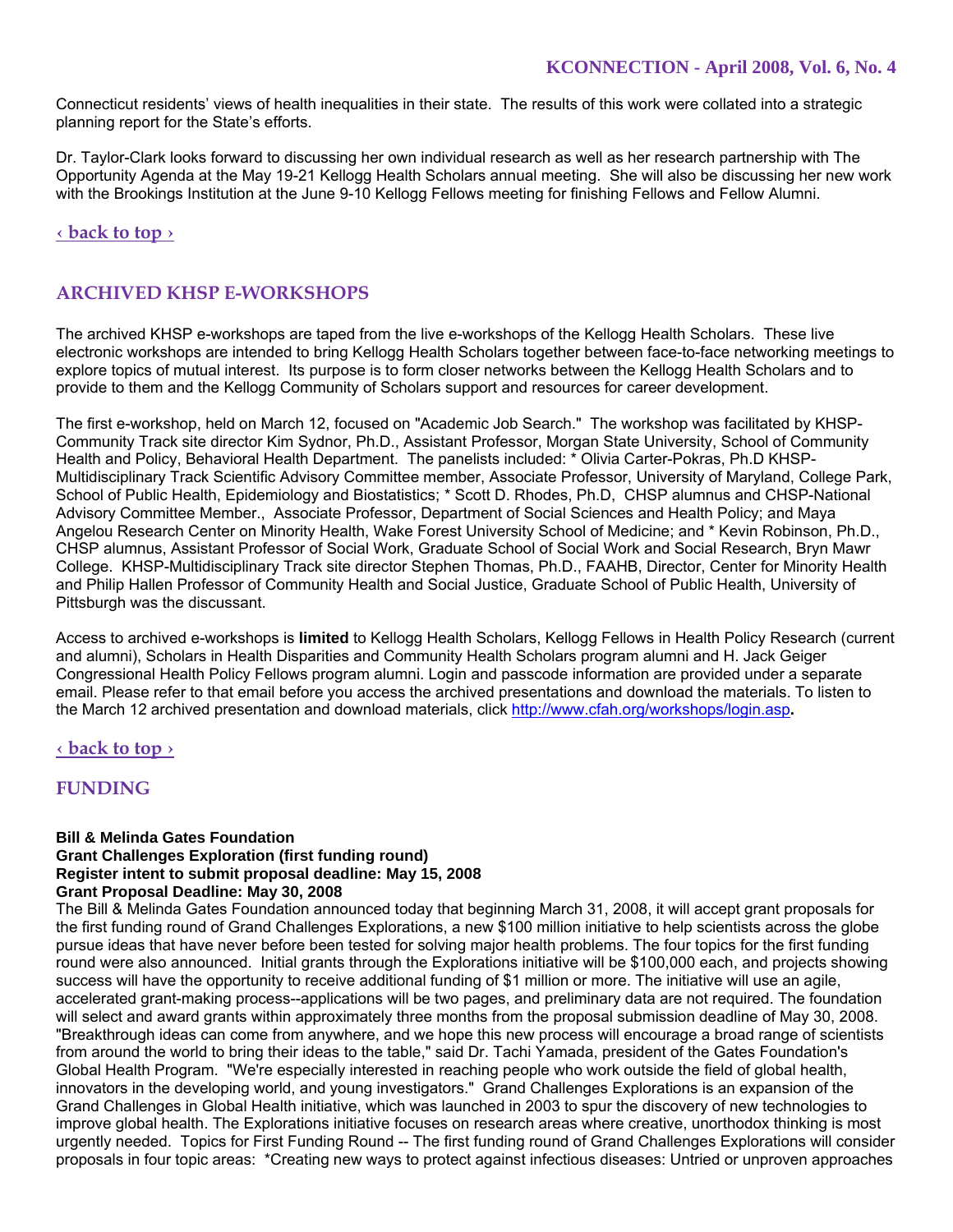Connecticut residents' views of health inequalities in their state. The results of this work were collated into a strategic planning report for the State's efforts.

Dr. Taylor-Clark looks forward to discussing her own individual research as well as her research partnership with The Opportunity Agenda at the May 19-21 Kellogg Health Scholars annual meeting. She will also be discussing her new work with the Brookings Institution at the June 9-10 Kellogg Fellows meeting for finishing Fellows and Fellow Alumni.

**‹ back to top ›**

# **ARCHIVED KHSP E-WORKSHOPS**

The archived KHSP e-workshops are taped from the live e-workshops of the Kellogg Health Scholars. These live electronic workshops are intended to bring Kellogg Health Scholars together between face-to-face networking meetings to explore topics of mutual interest. Its purpose is to form closer networks between the Kellogg Health Scholars and to provide to them and the Kellogg Community of Scholars support and resources for career development.

The first e-workshop, held on March 12, focused on "Academic Job Search." The workshop was facilitated by KHSP-Community Track site director Kim Sydnor, Ph.D., Assistant Professor, Morgan State University, School of Community Health and Policy, Behavioral Health Department. The panelists included: \* Olivia Carter-Pokras, Ph.D KHSP-Multidisciplinary Track Scientific Advisory Committee member, Associate Professor, University of Maryland, College Park, School of Public Health, Epidemiology and Biostatistics; \* Scott D. Rhodes, Ph.D, CHSP alumnus and CHSP-National Advisory Committee Member., Associate Professor, Department of Social Sciences and Health Policy; and Maya Angelou Research Center on Minority Health, Wake Forest University School of Medicine; and \* Kevin Robinson, Ph.D., CHSP alumnus, Assistant Professor of Social Work, Graduate School of Social Work and Social Research, Bryn Mawr College. KHSP-Multidisciplinary Track site director Stephen Thomas, Ph.D., FAAHB, Director, Center for Minority Health and Philip Hallen Professor of Community Health and Social Justice, Graduate School of Public Health, University of Pittsburgh was the discussant.

Access to archived e-workshops is **limited** to Kellogg Health Scholars, Kellogg Fellows in Health Policy Research (current and alumni), Scholars in Health Disparities and Community Health Scholars program alumni and H. Jack Geiger Congressional Health Policy Fellows program alumni. Login and passcode information are provided under a separate email. Please refer to that email before you access the archived presentations and download the materials. To listen to the March 12 archived presentation and download materials, click http://www.cfah.org/workshops/login.asp**.**

# **‹ back to top ›**

# **FUNDING**

### **Bill & Melinda Gates Foundation Grant Challenges Exploration (first funding round) Register intent to submit proposal deadline: May 15, 2008 Grant Proposal Deadline: May 30, 2008**

The Bill & Melinda Gates Foundation announced today that beginning March 31, 2008, it will accept grant proposals for the first funding round of Grand Challenges Explorations, a new \$100 million initiative to help scientists across the globe pursue ideas that have never before been tested for solving major health problems. The four topics for the first funding round were also announced. Initial grants through the Explorations initiative will be \$100,000 each, and projects showing success will have the opportunity to receive additional funding of \$1 million or more. The initiative will use an agile, accelerated grant-making process--applications will be two pages, and preliminary data are not required. The foundation will select and award grants within approximately three months from the proposal submission deadline of May 30, 2008. "Breakthrough ideas can come from anywhere, and we hope this new process will encourage a broad range of scientists from around the world to bring their ideas to the table," said Dr. Tachi Yamada, president of the Gates Foundation's Global Health Program. "We're especially interested in reaching people who work outside the field of global health, innovators in the developing world, and young investigators." Grand Challenges Explorations is an expansion of the Grand Challenges in Global Health initiative, which was launched in 2003 to spur the discovery of new technologies to improve global health. The Explorations initiative focuses on research areas where creative, unorthodox thinking is most urgently needed. Topics for First Funding Round -- The first funding round of Grand Challenges Explorations will consider proposals in four topic areas: \*Creating new ways to protect against infectious diseases: Untried or unproven approaches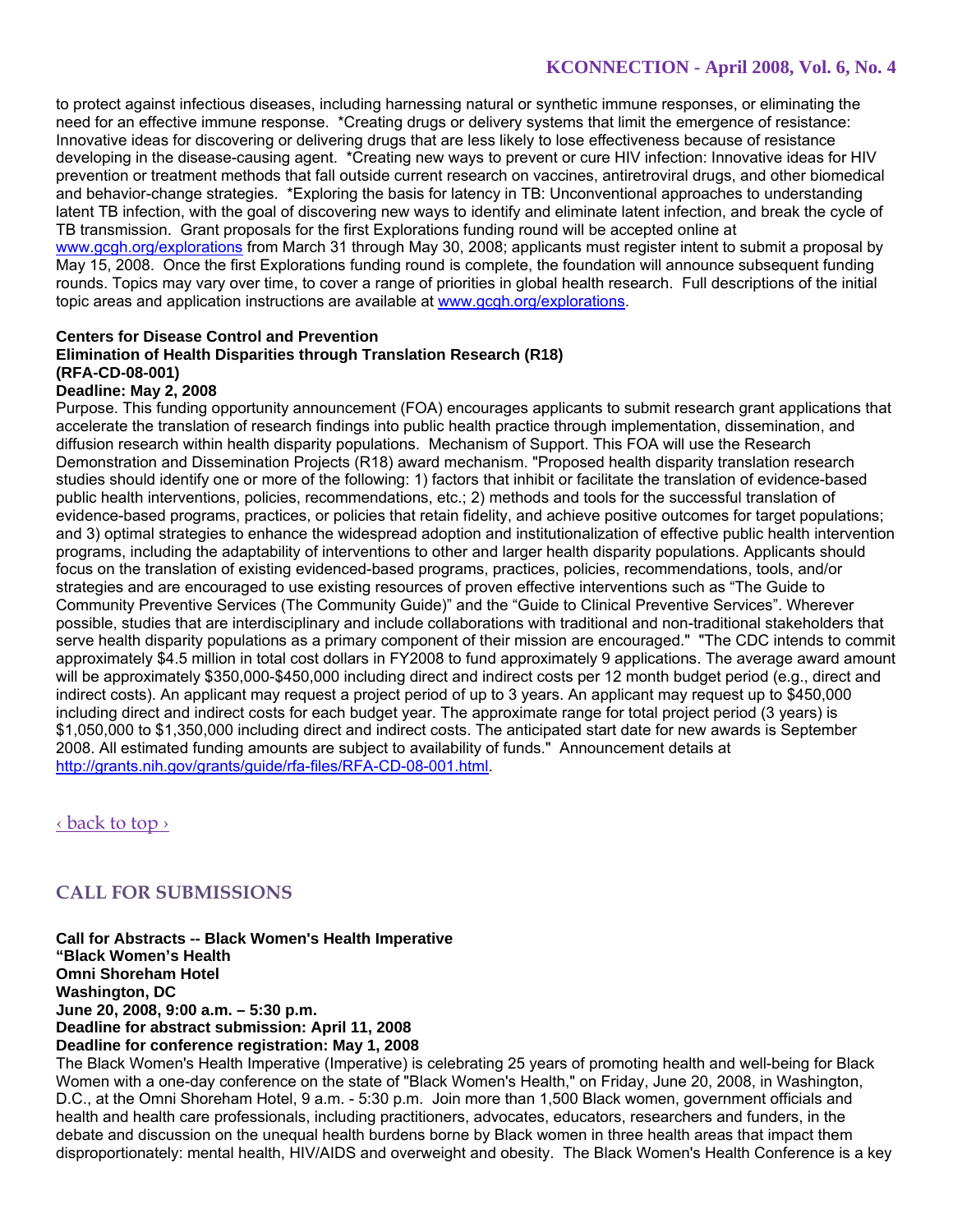to protect against infectious diseases, including harnessing natural or synthetic immune responses, or eliminating the need for an effective immune response. \*Creating drugs or delivery systems that limit the emergence of resistance: Innovative ideas for discovering or delivering drugs that are less likely to lose effectiveness because of resistance developing in the disease-causing agent. \*Creating new ways to prevent or cure HIV infection: Innovative ideas for HIV prevention or treatment methods that fall outside current research on vaccines, antiretroviral drugs, and other biomedical and behavior-change strategies. \*Exploring the basis for latency in TB: Unconventional approaches to understanding latent TB infection, with the goal of discovering new ways to identify and eliminate latent infection, and break the cycle of TB transmission. Grant proposals for the first Explorations funding round will be accepted online at www.gcgh.org/explorations from March 31 through May 30, 2008; applicants must register intent to submit a proposal by May 15, 2008. Once the first Explorations funding round is complete, the foundation will announce subsequent funding rounds. Topics may vary over time, to cover a range of priorities in global health research. Full descriptions of the initial topic areas and application instructions are available at www.gcgh.org/explorations.

# **Centers for Disease Control and Prevention Elimination of Health Disparities through Translation Research (R18) (RFA-CD-08-001)**

### **Deadline: May 2, 2008**

Purpose. This funding opportunity announcement (FOA) encourages applicants to submit research grant applications that accelerate the translation of research findings into public health practice through implementation, dissemination, and diffusion research within health disparity populations. Mechanism of Support. This FOA will use the Research Demonstration and Dissemination Projects (R18) award mechanism. "Proposed health disparity translation research studies should identify one or more of the following: 1) factors that inhibit or facilitate the translation of evidence-based public health interventions, policies, recommendations, etc.; 2) methods and tools for the successful translation of evidence-based programs, practices, or policies that retain fidelity, and achieve positive outcomes for target populations; and 3) optimal strategies to enhance the widespread adoption and institutionalization of effective public health intervention programs, including the adaptability of interventions to other and larger health disparity populations. Applicants should focus on the translation of existing evidenced-based programs, practices, policies, recommendations, tools, and/or strategies and are encouraged to use existing resources of proven effective interventions such as "The Guide to Community Preventive Services (The Community Guide)" and the "Guide to Clinical Preventive Services". Wherever possible, studies that are interdisciplinary and include collaborations with traditional and non-traditional stakeholders that serve health disparity populations as a primary component of their mission are encouraged." "The CDC intends to commit approximately \$4.5 million in total cost dollars in FY2008 to fund approximately 9 applications. The average award amount will be approximately \$350,000-\$450,000 including direct and indirect costs per 12 month budget period (e.g., direct and indirect costs). An applicant may request a project period of up to 3 years. An applicant may request up to \$450,000 including direct and indirect costs for each budget year. The approximate range for total project period (3 years) is \$1,050,000 to \$1,350,000 including direct and indirect costs. The anticipated start date for new awards is September 2008. All estimated funding amounts are subject to availability of funds." Announcement details at http://grants.nih.gov/grants/guide/rfa-files/RFA-CD-08-001.html.

‹ back to top ›

# **CALL FOR SUBMISSIONS**

**Call for Abstracts -- Black Women's Health Imperative "Black Women's Health Omni Shoreham Hotel Washington, DC June 20, 2008, 9:00 a.m. – 5:30 p.m. Deadline for abstract submission: April 11, 2008 Deadline for conference registration: May 1, 2008**

The Black Women's Health Imperative (Imperative) is celebrating 25 years of promoting health and well-being for Black Women with a one-day conference on the state of "Black Women's Health," on Friday, June 20, 2008, in Washington, D.C., at the Omni Shoreham Hotel, 9 a.m. - 5:30 p.m. Join more than 1,500 Black women, government officials and health and health care professionals, including practitioners, advocates, educators, researchers and funders, in the debate and discussion on the unequal health burdens borne by Black women in three health areas that impact them disproportionately: mental health, HIV/AIDS and overweight and obesity. The Black Women's Health Conference is a key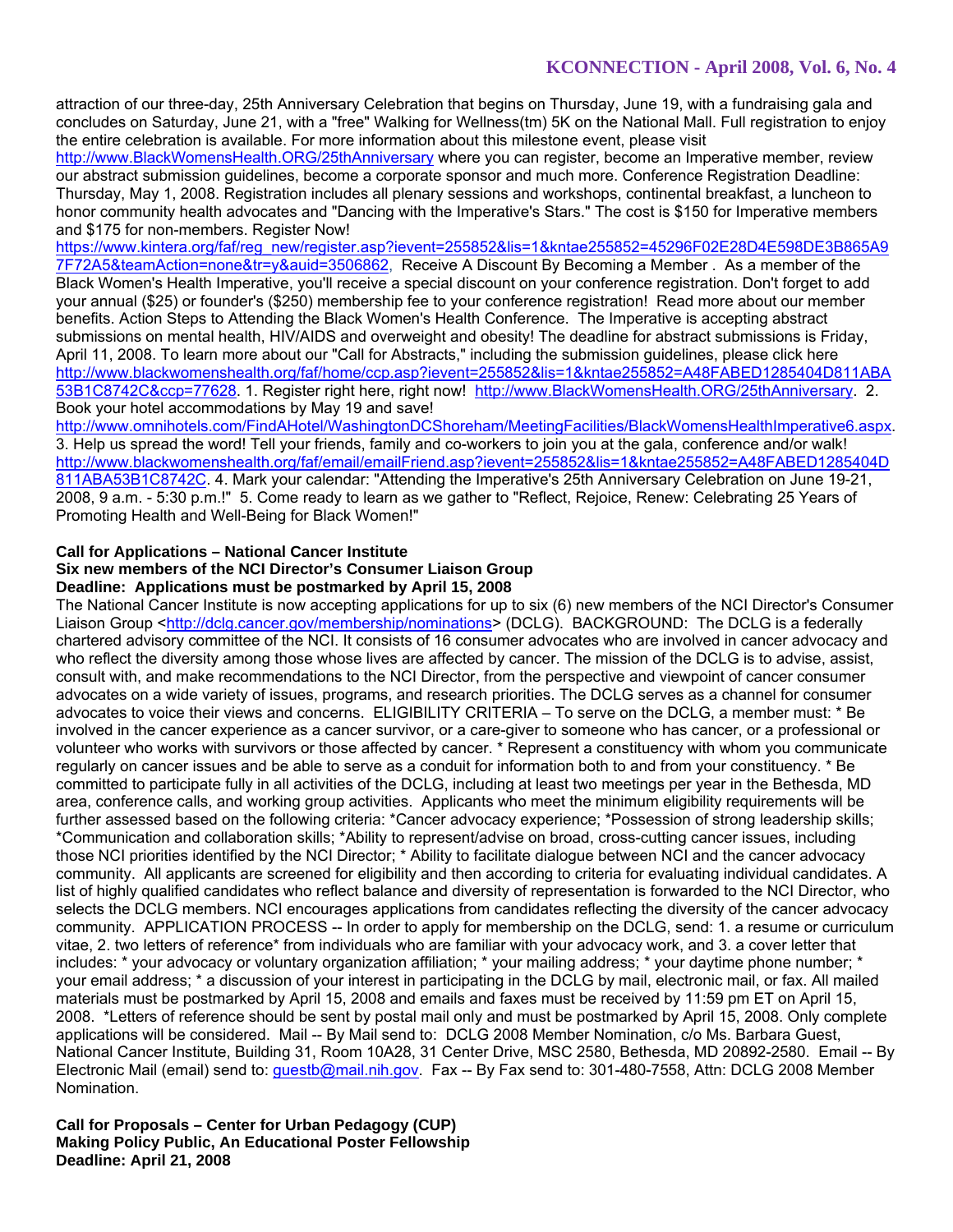attraction of our three-day, 25th Anniversary Celebration that begins on Thursday, June 19, with a fundraising gala and concludes on Saturday, June 21, with a "free" Walking for Wellness(tm) 5K on the National Mall. Full registration to enjoy the entire celebration is available. For more information about this milestone event, please visit

http://www.BlackWomensHealth.ORG/25thAnniversary where you can register, become an Imperative member, review our abstract submission guidelines, become a corporate sponsor and much more. Conference Registration Deadline: Thursday, May 1, 2008. Registration includes all plenary sessions and workshops, continental breakfast, a luncheon to honor community health advocates and "Dancing with the Imperative's Stars." The cost is \$150 for Imperative members and \$175 for non-members. Register Now!

https://www.kintera.org/faf/reg\_new/register.asp?ievent=255852&lis=1&kntae255852=45296F02E28D4E598DE3B865A9 7F72A5&teamAction=none&tr=y&auid=3506862, Receive A Discount By Becoming a Member . As a member of the Black Women's Health Imperative, you'll receive a special discount on your conference registration. Don't forget to add your annual (\$25) or founder's (\$250) membership fee to your conference registration! Read more about our member benefits. Action Steps to Attending the Black Women's Health Conference. The Imperative is accepting abstract submissions on mental health, HIV/AIDS and overweight and obesity! The deadline for abstract submissions is Friday, April 11, 2008. To learn more about our "Call for Abstracts," including the submission guidelines, please click here http://www.blackwomenshealth.org/faf/home/ccp.asp?ievent=255852&lis=1&kntae255852=A48FABED1285404D811ABA 53B1C8742C&ccp=77628. 1. Register right here, right now! http://www.BlackWomensHealth.ORG/25thAnniversary. 2. Book your hotel accommodations by May 19 and save!

http://www.omnihotels.com/FindAHotel/WashingtonDCShoreham/MeetingFacilities/BlackWomensHealthImperative6.aspx. 3. Help us spread the word! Tell your friends, family and co-workers to join you at the gala, conference and/or walk! http://www.blackwomenshealth.org/faf/email/emailFriend.asp?ievent=255852&lis=1&kntae255852=A48FABED1285404D 811ABA53B1C8742C. 4. Mark your calendar: "Attending the Imperative's 25th Anniversary Celebration on June 19-21, 2008, 9 a.m. - 5:30 p.m.!" 5. Come ready to learn as we gather to "Reflect, Rejoice, Renew: Celebrating 25 Years of Promoting Health and Well-Being for Black Women!"

### **Call for Applications – National Cancer Institute**

#### **Six new members of the NCI Director's Consumer Liaison Group Deadline: Applications must be postmarked by April 15, 2008**

The National Cancer Institute is now accepting applications for up to six (6) new members of the NCI Director's Consumer Liaison Group <http://dclg.cancer.gov/membership/nominations> (DCLG). BACKGROUND: The DCLG is a federally chartered advisory committee of the NCI. It consists of 16 consumer advocates who are involved in cancer advocacy and who reflect the diversity among those whose lives are affected by cancer. The mission of the DCLG is to advise, assist, consult with, and make recommendations to the NCI Director, from the perspective and viewpoint of cancer consumer advocates on a wide variety of issues, programs, and research priorities. The DCLG serves as a channel for consumer advocates to voice their views and concerns. ELIGIBILITY CRITERIA – To serve on the DCLG, a member must: \* Be involved in the cancer experience as a cancer survivor, or a care-giver to someone who has cancer, or a professional or volunteer who works with survivors or those affected by cancer. \* Represent a constituency with whom you communicate regularly on cancer issues and be able to serve as a conduit for information both to and from your constituency. \* Be committed to participate fully in all activities of the DCLG, including at least two meetings per year in the Bethesda, MD area, conference calls, and working group activities. Applicants who meet the minimum eligibility requirements will be further assessed based on the following criteria: \*Cancer advocacy experience; \*Possession of strong leadership skills; \*Communication and collaboration skills; \*Ability to represent/advise on broad, cross-cutting cancer issues, including those NCI priorities identified by the NCI Director; \* Ability to facilitate dialogue between NCI and the cancer advocacy community. All applicants are screened for eligibility and then according to criteria for evaluating individual candidates. A list of highly qualified candidates who reflect balance and diversity of representation is forwarded to the NCI Director, who selects the DCLG members. NCI encourages applications from candidates reflecting the diversity of the cancer advocacy community. APPLICATION PROCESS -- In order to apply for membership on the DCLG, send: 1. a resume or curriculum vitae, 2. two letters of reference\* from individuals who are familiar with your advocacy work, and 3. a cover letter that includes: \* your advocacy or voluntary organization affiliation; \* your mailing address; \* your daytime phone number; \* your email address; \* a discussion of your interest in participating in the DCLG by mail, electronic mail, or fax. All mailed materials must be postmarked by April 15, 2008 and emails and faxes must be received by 11:59 pm ET on April 15, 2008. \*Letters of reference should be sent by postal mail only and must be postmarked by April 15, 2008. Only complete applications will be considered. Mail -- By Mail send to: DCLG 2008 Member Nomination, c/o Ms. Barbara Guest, National Cancer Institute, Building 31, Room 10A28, 31 Center Drive, MSC 2580, Bethesda, MD 20892-2580. Email -- By Electronic Mail (email) send to: guestb@mail.nih.gov. Fax -- By Fax send to: 301-480-7558, Attn: DCLG 2008 Member Nomination.

**Call for Proposals – Center for Urban Pedagogy (CUP) Making Policy Public, An Educational Poster Fellowship Deadline: April 21, 2008**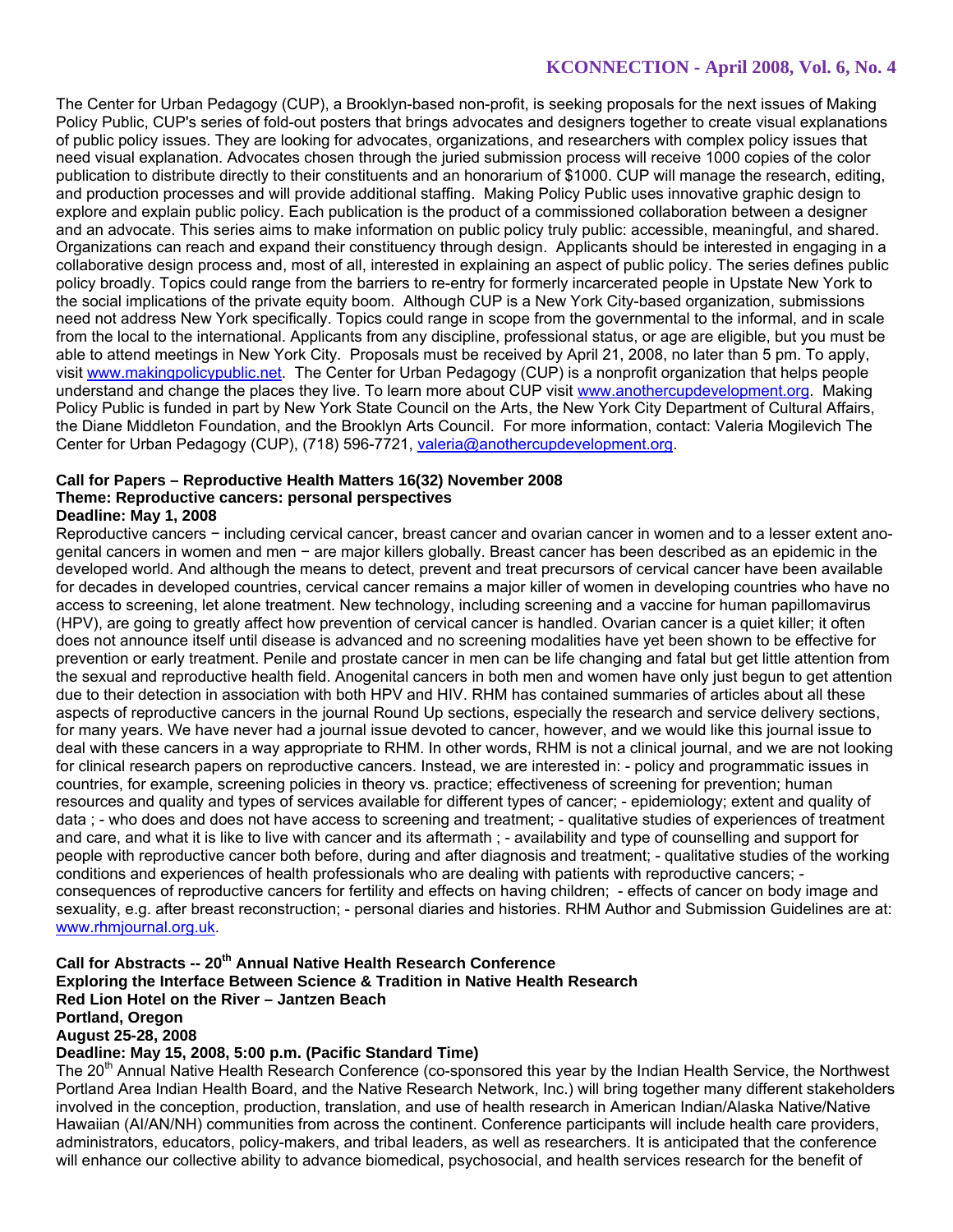The Center for Urban Pedagogy (CUP), a Brooklyn-based non-profit, is seeking proposals for the next issues of Making Policy Public, CUP's series of fold-out posters that brings advocates and designers together to create visual explanations of public policy issues. They are looking for advocates, organizations, and researchers with complex policy issues that need visual explanation. Advocates chosen through the juried submission process will receive 1000 copies of the color publication to distribute directly to their constituents and an honorarium of \$1000. CUP will manage the research, editing, and production processes and will provide additional staffing. Making Policy Public uses innovative graphic design to explore and explain public policy. Each publication is the product of a commissioned collaboration between a designer and an advocate. This series aims to make information on public policy truly public: accessible, meaningful, and shared. Organizations can reach and expand their constituency through design. Applicants should be interested in engaging in a collaborative design process and, most of all, interested in explaining an aspect of public policy. The series defines public policy broadly. Topics could range from the barriers to re-entry for formerly incarcerated people in Upstate New York to the social implications of the private equity boom. Although CUP is a New York City-based organization, submissions need not address New York specifically. Topics could range in scope from the governmental to the informal, and in scale from the local to the international. Applicants from any discipline, professional status, or age are eligible, but you must be able to attend meetings in New York City. Proposals must be received by April 21, 2008, no later than 5 pm. To apply, visit www.makingpolicypublic.net. The Center for Urban Pedagogy (CUP) is a nonprofit organization that helps people understand and change the places they live. To learn more about CUP visit www.anothercupdevelopment.org. Making Policy Public is funded in part by New York State Council on the Arts, the New York City Department of Cultural Affairs, the Diane Middleton Foundation, and the Brooklyn Arts Council. For more information, contact: Valeria Mogilevich The Center for Urban Pedagogy (CUP), (718) 596-7721, valeria@anothercupdevelopment.org.

# **Call for Papers – Reproductive Health Matters 16(32) November 2008 Theme: Reproductive cancers: personal perspectives**

**Deadline: May 1, 2008** 

Reproductive cancers − including cervical cancer, breast cancer and ovarian cancer in women and to a lesser extent anogenital cancers in women and men − are major killers globally. Breast cancer has been described as an epidemic in the developed world. And although the means to detect, prevent and treat precursors of cervical cancer have been available for decades in developed countries, cervical cancer remains a major killer of women in developing countries who have no access to screening, let alone treatment. New technology, including screening and a vaccine for human papillomavirus (HPV), are going to greatly affect how prevention of cervical cancer is handled. Ovarian cancer is a quiet killer; it often does not announce itself until disease is advanced and no screening modalities have yet been shown to be effective for prevention or early treatment. Penile and prostate cancer in men can be life changing and fatal but get little attention from the sexual and reproductive health field. Anogenital cancers in both men and women have only just begun to get attention due to their detection in association with both HPV and HIV. RHM has contained summaries of articles about all these aspects of reproductive cancers in the journal Round Up sections, especially the research and service delivery sections, for many years. We have never had a journal issue devoted to cancer, however, and we would like this journal issue to deal with these cancers in a way appropriate to RHM. In other words, RHM is not a clinical journal, and we are not looking for clinical research papers on reproductive cancers. Instead, we are interested in: - policy and programmatic issues in countries, for example, screening policies in theory vs. practice; effectiveness of screening for prevention; human resources and quality and types of services available for different types of cancer; - epidemiology; extent and quality of data ; - who does and does not have access to screening and treatment; - qualitative studies of experiences of treatment and care, and what it is like to live with cancer and its aftermath ; - availability and type of counselling and support for people with reproductive cancer both before, during and after diagnosis and treatment; - qualitative studies of the working conditions and experiences of health professionals who are dealing with patients with reproductive cancers; consequences of reproductive cancers for fertility and effects on having children; - effects of cancer on body image and sexuality, e.g. after breast reconstruction; - personal diaries and histories. RHM Author and Submission Guidelines are at: www.rhmjournal.org.uk.

# Call for Abstracts -- 20<sup>th</sup> Annual Native Health Research Conference **Exploring the Interface Between Science & Tradition in Native Health Research Red Lion Hotel on the River – Jantzen Beach Portland, Oregon August 25-28, 2008**

# **Deadline: May 15, 2008, 5:00 p.m. (Pacific Standard Time)**

The 20<sup>th</sup> Annual Native Health Research Conference (co-sponsored this year by the Indian Health Service, the Northwest Portland Area Indian Health Board, and the Native Research Network, Inc.) will bring together many different stakeholders involved in the conception, production, translation, and use of health research in American Indian/Alaska Native/Native Hawaiian (AI/AN/NH) communities from across the continent. Conference participants will include health care providers, administrators, educators, policy-makers, and tribal leaders, as well as researchers. It is anticipated that the conference will enhance our collective ability to advance biomedical, psychosocial, and health services research for the benefit of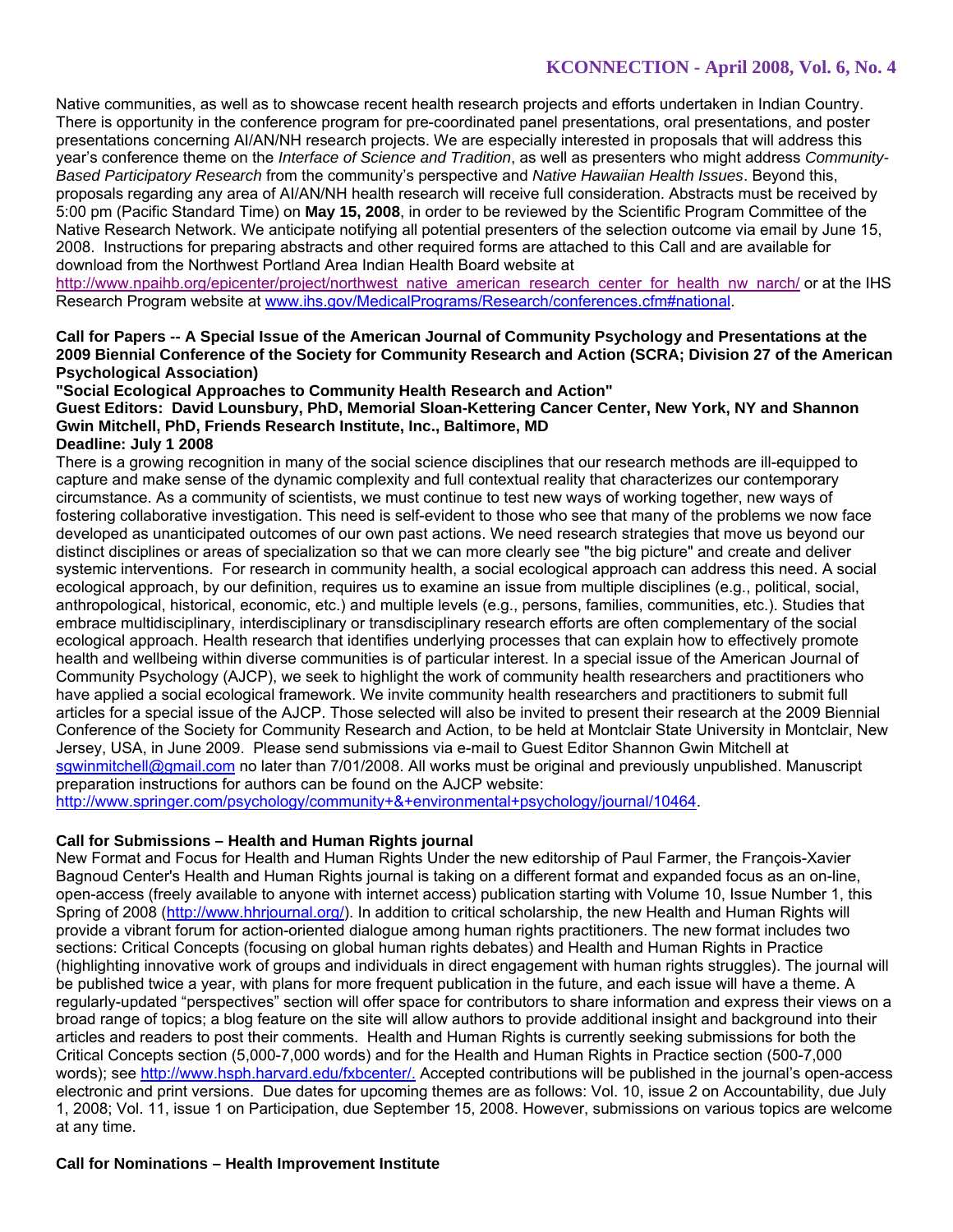Native communities, as well as to showcase recent health research projects and efforts undertaken in Indian Country. There is opportunity in the conference program for pre-coordinated panel presentations, oral presentations, and poster presentations concerning AI/AN/NH research projects. We are especially interested in proposals that will address this year's conference theme on the *Interface of Science and Tradition*, as well as presenters who might address *Community-Based Participatory Research* from the community's perspective and *Native Hawaiian Health Issues*. Beyond this, proposals regarding any area of AI/AN/NH health research will receive full consideration. Abstracts must be received by 5:00 pm (Pacific Standard Time) on **May 15, 2008**, in order to be reviewed by the Scientific Program Committee of the Native Research Network. We anticipate notifying all potential presenters of the selection outcome via email by June 15, 2008. Instructions for preparing abstracts and other required forms are attached to this Call and are available for download from the Northwest Portland Area Indian Health Board website at

http://www.npaihb.org/epicenter/project/northwest\_native\_american\_research\_center\_for\_health\_nw\_narch/ or at the IHS Research Program website at www.ihs.gov/MedicalPrograms/Research/conferences.cfm#national.

### **Call for Papers -- A Special Issue of the American Journal of Community Psychology and Presentations at the 2009 Biennial Conference of the Society for Community Research and Action (SCRA; Division 27 of the American Psychological Association)**

#### **"Social Ecological Approaches to Community Health Research and Action"**

# **Guest Editors: David Lounsbury, PhD, Memorial Sloan-Kettering Cancer Center, New York, NY and Shannon Gwin Mitchell, PhD, Friends Research Institute, Inc., Baltimore, MD**

### **Deadline: July 1 2008**

There is a growing recognition in many of the social science disciplines that our research methods are ill-equipped to capture and make sense of the dynamic complexity and full contextual reality that characterizes our contemporary circumstance. As a community of scientists, we must continue to test new ways of working together, new ways of fostering collaborative investigation. This need is self-evident to those who see that many of the problems we now face developed as unanticipated outcomes of our own past actions. We need research strategies that move us beyond our distinct disciplines or areas of specialization so that we can more clearly see "the big picture" and create and deliver systemic interventions. For research in community health, a social ecological approach can address this need. A social ecological approach, by our definition, requires us to examine an issue from multiple disciplines (e.g., political, social, anthropological, historical, economic, etc.) and multiple levels (e.g., persons, families, communities, etc.). Studies that embrace multidisciplinary, interdisciplinary or transdisciplinary research efforts are often complementary of the social ecological approach. Health research that identifies underlying processes that can explain how to effectively promote health and wellbeing within diverse communities is of particular interest. In a special issue of the American Journal of Community Psychology (AJCP), we seek to highlight the work of community health researchers and practitioners who have applied a social ecological framework. We invite community health researchers and practitioners to submit full articles for a special issue of the AJCP. Those selected will also be invited to present their research at the 2009 Biennial Conference of the Society for Community Research and Action, to be held at Montclair State University in Montclair, New Jersey, USA, in June 2009. Please send submissions via e-mail to Guest Editor Shannon Gwin Mitchell at sgwinmitchell@gmail.com no later than 7/01/2008. All works must be original and previously unpublished. Manuscript preparation instructions for authors can be found on the AJCP website:

http://www.springer.com/psychology/community+&+environmental+psychology/journal/10464.

### **Call for Submissions – Health and Human Rights journal**

New Format and Focus for Health and Human Rights Under the new editorship of Paul Farmer, the François-Xavier Bagnoud Center's Health and Human Rights journal is taking on a different format and expanded focus as an on-line, open-access (freely available to anyone with internet access) publication starting with Volume 10, Issue Number 1, this Spring of 2008 (http://www.hhrjournal.org/). In addition to critical scholarship, the new Health and Human Rights will provide a vibrant forum for action-oriented dialogue among human rights practitioners. The new format includes two sections: Critical Concepts (focusing on global human rights debates) and Health and Human Rights in Practice (highlighting innovative work of groups and individuals in direct engagement with human rights struggles). The journal will be published twice a year, with plans for more frequent publication in the future, and each issue will have a theme. A regularly-updated "perspectives" section will offer space for contributors to share information and express their views on a broad range of topics; a blog feature on the site will allow authors to provide additional insight and background into their articles and readers to post their comments. Health and Human Rights is currently seeking submissions for both the Critical Concepts section (5,000-7,000 words) and for the Health and Human Rights in Practice section (500-7,000 words); see http://www.hsph.harvard.edu/fxbcenter/. Accepted contributions will be published in the journal's open-access electronic and print versions. Due dates for upcoming themes are as follows: Vol. 10, issue 2 on Accountability, due July 1, 2008; Vol. 11, issue 1 on Participation, due September 15, 2008. However, submissions on various topics are welcome at any time.

### **Call for Nominations – Health Improvement Institute**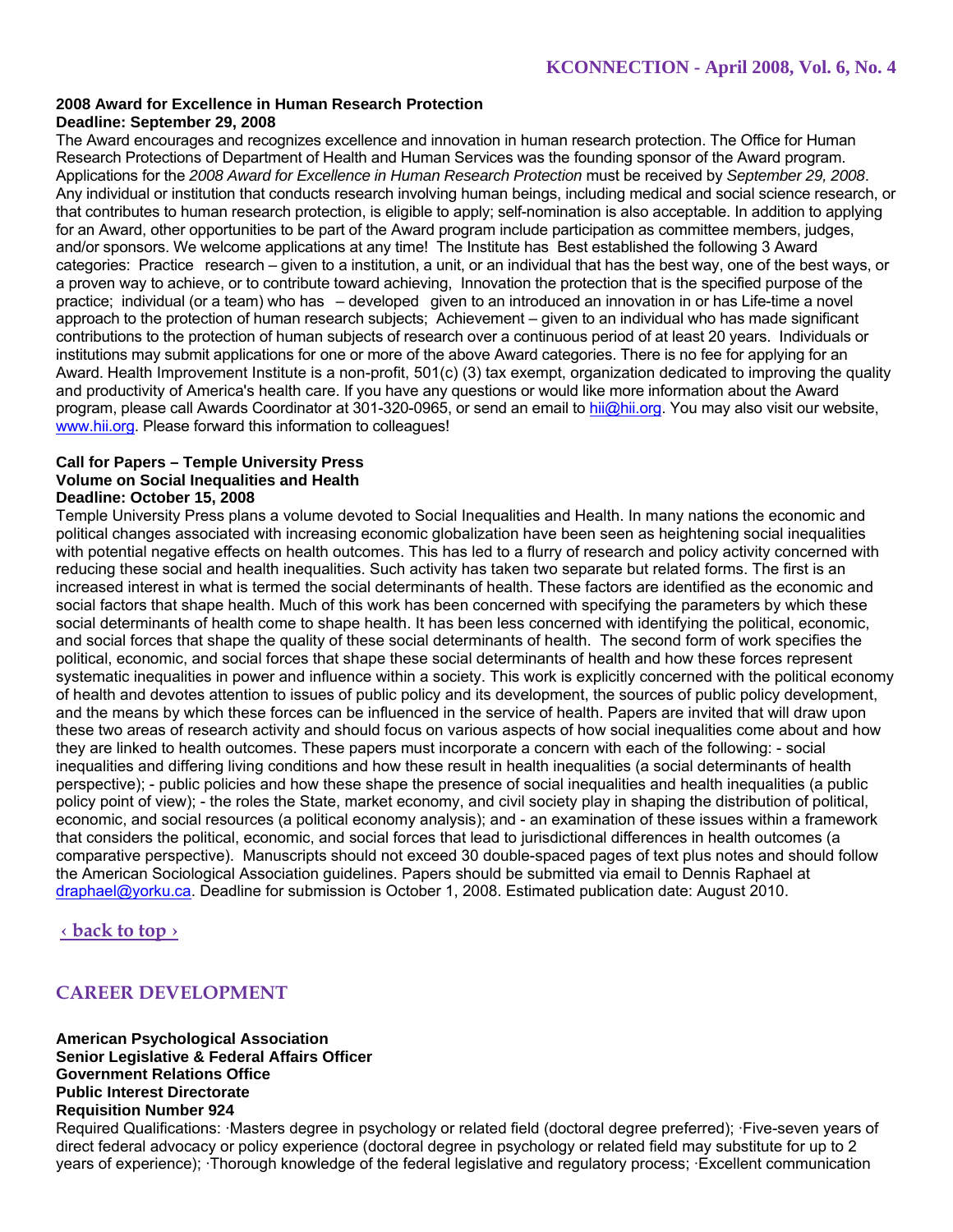#### **2008 Award for Excellence in Human Research Protection Deadline: September 29, 2008**

The Award encourages and recognizes excellence and innovation in human research protection. The Office for Human Research Protections of Department of Health and Human Services was the founding sponsor of the Award program. Applications for the *2008 Award for Excellence in Human Research Protection* must be received by *September 29, 2008*. Any individual or institution that conducts research involving human beings, including medical and social science research, or that contributes to human research protection, is eligible to apply; self-nomination is also acceptable. In addition to applying for an Award, other opportunities to be part of the Award program include participation as committee members, judges, and/or sponsors. We welcome applications at any time! The Institute has Best established the following 3 Award categories: Practice research – given to a institution, a unit, or an individual that has the best way, one of the best ways, or a proven way to achieve, or to contribute toward achieving, Innovation the protection that is the specified purpose of the practice; individual (or a team) who has – developed given to an introduced an innovation in or has Life-time a novel approach to the protection of human research subjects; Achievement – given to an individual who has made significant contributions to the protection of human subjects of research over a continuous period of at least 20 years. Individuals or institutions may submit applications for one or more of the above Award categories. There is no fee for applying for an Award. Health Improvement Institute is a non-profit, 501(c) (3) tax exempt, organization dedicated to improving the quality and productivity of America's health care. If you have any questions or would like more information about the Award program, please call Awards Coordinator at 301-320-0965, or send an email to hii@hii.org. You may also visit our website, www.hii.org. Please forward this information to colleagues!

#### **Call for Papers – Temple University Press Volume on Social Inequalities and Health Deadline: October 15, 2008**

Temple University Press plans a volume devoted to Social Inequalities and Health. In many nations the economic and political changes associated with increasing economic globalization have been seen as heightening social inequalities with potential negative effects on health outcomes. This has led to a flurry of research and policy activity concerned with reducing these social and health inequalities. Such activity has taken two separate but related forms. The first is an increased interest in what is termed the social determinants of health. These factors are identified as the economic and social factors that shape health. Much of this work has been concerned with specifying the parameters by which these social determinants of health come to shape health. It has been less concerned with identifying the political, economic, and social forces that shape the quality of these social determinants of health. The second form of work specifies the political, economic, and social forces that shape these social determinants of health and how these forces represent systematic inequalities in power and influence within a society. This work is explicitly concerned with the political economy of health and devotes attention to issues of public policy and its development, the sources of public policy development, and the means by which these forces can be influenced in the service of health. Papers are invited that will draw upon these two areas of research activity and should focus on various aspects of how social inequalities come about and how they are linked to health outcomes. These papers must incorporate a concern with each of the following: - social inequalities and differing living conditions and how these result in health inequalities (a social determinants of health perspective); - public policies and how these shape the presence of social inequalities and health inequalities (a public policy point of view); - the roles the State, market economy, and civil society play in shaping the distribution of political, economic, and social resources (a political economy analysis); and - an examination of these issues within a framework that considers the political, economic, and social forces that lead to jurisdictional differences in health outcomes (a comparative perspective). Manuscripts should not exceed 30 double-spaced pages of text plus notes and should follow the American Sociological Association guidelines. Papers should be submitted via email to Dennis Raphael at draphael@yorku.ca. Deadline for submission is October 1, 2008. Estimated publication date: August 2010.

# **‹ back to top ›**

# **CAREER DEVELOPMENT**

**American Psychological Association Senior Legislative & Federal Affairs Officer Government Relations Office Public Interest Directorate Requisition Number 924** 

Required Qualifications: ·Masters degree in psychology or related field (doctoral degree preferred); ·Five-seven years of direct federal advocacy or policy experience (doctoral degree in psychology or related field may substitute for up to 2 years of experience); ·Thorough knowledge of the federal legislative and regulatory process; ·Excellent communication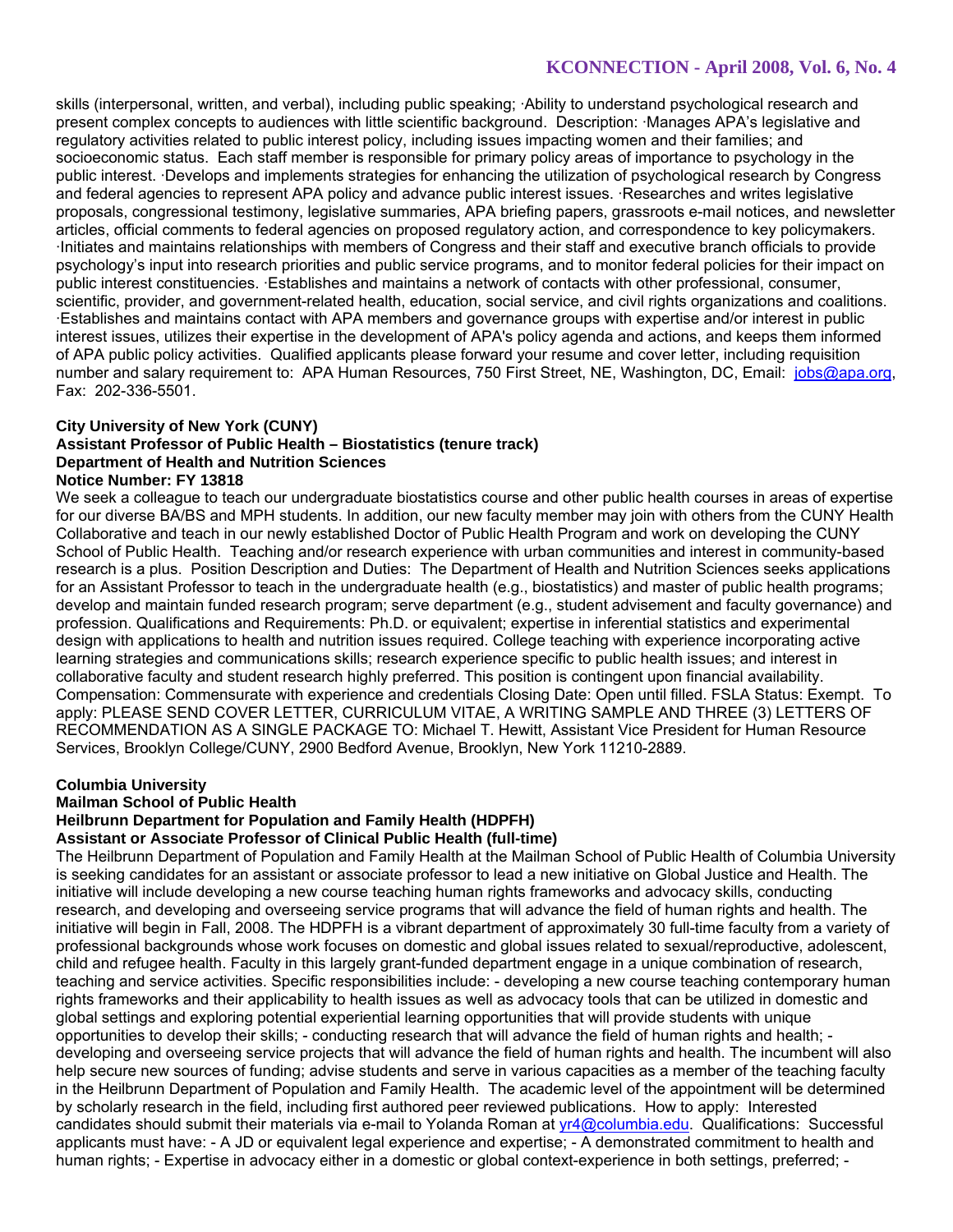skills (interpersonal, written, and verbal), including public speaking; ·Ability to understand psychological research and present complex concepts to audiences with little scientific background. Description: ·Manages APA's legislative and regulatory activities related to public interest policy, including issues impacting women and their families; and socioeconomic status. Each staff member is responsible for primary policy areas of importance to psychology in the public interest. ·Develops and implements strategies for enhancing the utilization of psychological research by Congress and federal agencies to represent APA policy and advance public interest issues. ·Researches and writes legislative proposals, congressional testimony, legislative summaries, APA briefing papers, grassroots e-mail notices, and newsletter articles, official comments to federal agencies on proposed regulatory action, and correspondence to key policymakers. ·Initiates and maintains relationships with members of Congress and their staff and executive branch officials to provide psychology's input into research priorities and public service programs, and to monitor federal policies for their impact on public interest constituencies. ·Establishes and maintains a network of contacts with other professional, consumer, scientific, provider, and government-related health, education, social service, and civil rights organizations and coalitions. ·Establishes and maintains contact with APA members and governance groups with expertise and/or interest in public interest issues, utilizes their expertise in the development of APA's policy agenda and actions, and keeps them informed of APA public policy activities. Qualified applicants please forward your resume and cover letter, including requisition number and salary requirement to: APA Human Resources, 750 First Street, NE, Washington, DC, Email: jobs@apa.org, Fax: 202-336-5501.

### **City University of New York (CUNY)**

#### **Assistant Professor of Public Health – Biostatistics (tenure track) Department of Health and Nutrition Sciences Notice Number: FY 13818**

We seek a colleague to teach our undergraduate biostatistics course and other public health courses in areas of expertise for our diverse BA/BS and MPH students. In addition, our new faculty member may join with others from the CUNY Health Collaborative and teach in our newly established Doctor of Public Health Program and work on developing the CUNY School of Public Health. Teaching and/or research experience with urban communities and interest in community-based research is a plus. Position Description and Duties: The Department of Health and Nutrition Sciences seeks applications for an Assistant Professor to teach in the undergraduate health (e.g., biostatistics) and master of public health programs; develop and maintain funded research program; serve department (e.g., student advisement and faculty governance) and profession. Qualifications and Requirements: Ph.D. or equivalent; expertise in inferential statistics and experimental design with applications to health and nutrition issues required. College teaching with experience incorporating active learning strategies and communications skills; research experience specific to public health issues; and interest in collaborative faculty and student research highly preferred. This position is contingent upon financial availability. Compensation: Commensurate with experience and credentials Closing Date: Open until filled. FSLA Status: Exempt. To apply: PLEASE SEND COVER LETTER, CURRICULUM VITAE, A WRITING SAMPLE AND THREE (3) LETTERS OF RECOMMENDATION AS A SINGLE PACKAGE TO: Michael T. Hewitt, Assistant Vice President for Human Resource Services, Brooklyn College/CUNY, 2900 Bedford Avenue, Brooklyn, New York 11210-2889.

### **Columbia University**

### **Mailman School of Public Health**

### **Heilbrunn Department for Population and Family Health (HDPFH)**

#### **Assistant or Associate Professor of Clinical Public Health (full-time)**

The Heilbrunn Department of Population and Family Health at the Mailman School of Public Health of Columbia University is seeking candidates for an assistant or associate professor to lead a new initiative on Global Justice and Health. The initiative will include developing a new course teaching human rights frameworks and advocacy skills, conducting research, and developing and overseeing service programs that will advance the field of human rights and health. The initiative will begin in Fall, 2008. The HDPFH is a vibrant department of approximately 30 full-time faculty from a variety of professional backgrounds whose work focuses on domestic and global issues related to sexual/reproductive, adolescent, child and refugee health. Faculty in this largely grant-funded department engage in a unique combination of research, teaching and service activities. Specific responsibilities include: - developing a new course teaching contemporary human rights frameworks and their applicability to health issues as well as advocacy tools that can be utilized in domestic and global settings and exploring potential experiential learning opportunities that will provide students with unique opportunities to develop their skills; - conducting research that will advance the field of human rights and health; developing and overseeing service projects that will advance the field of human rights and health. The incumbent will also help secure new sources of funding; advise students and serve in various capacities as a member of the teaching faculty in the Heilbrunn Department of Population and Family Health. The academic level of the appointment will be determined by scholarly research in the field, including first authored peer reviewed publications. How to apply: Interested candidates should submit their materials via e-mail to Yolanda Roman at yr4@columbia.edu. Qualifications: Successful applicants must have: - A JD or equivalent legal experience and expertise; - A demonstrated commitment to health and human rights; - Expertise in advocacy either in a domestic or global context-experience in both settings, preferred; -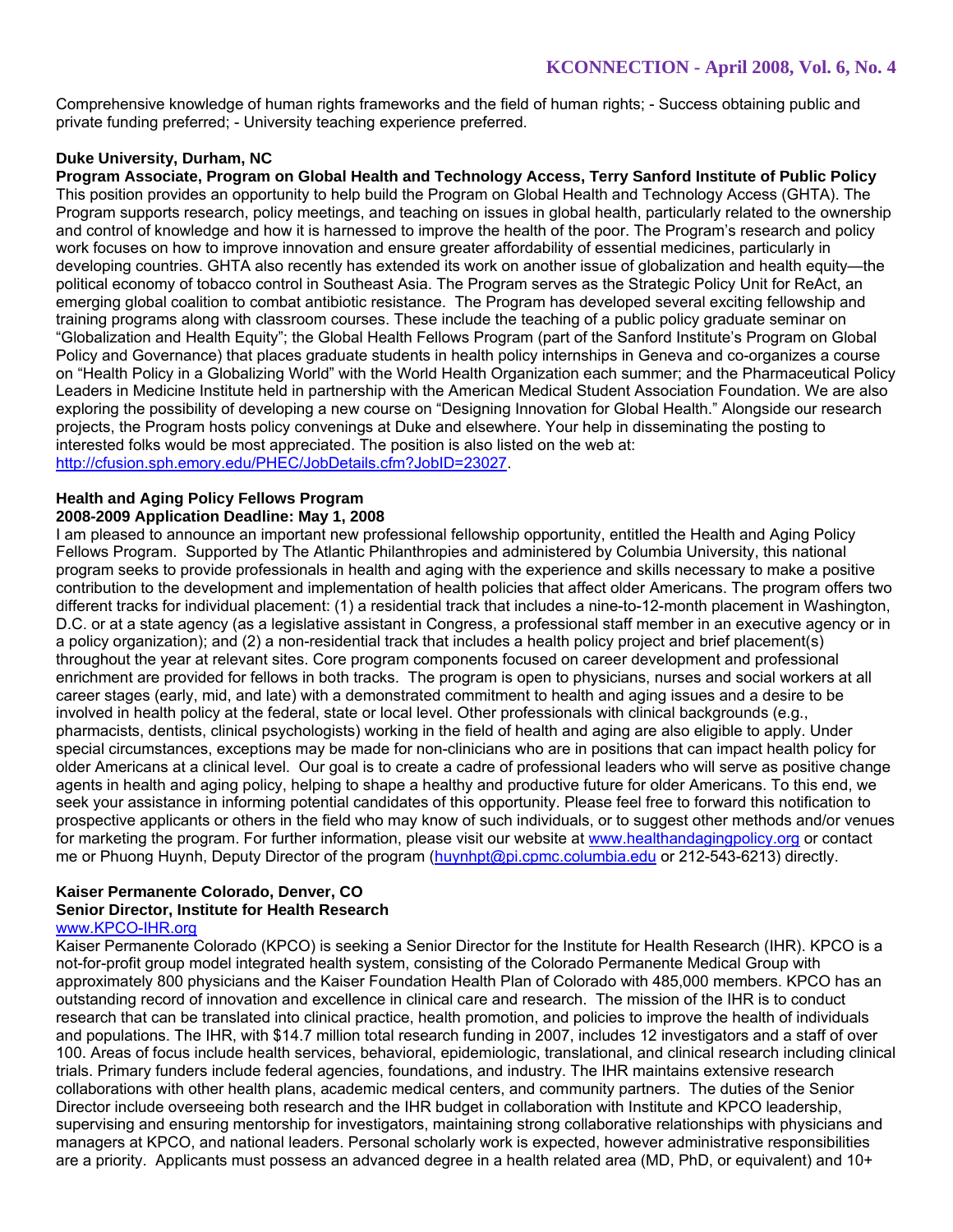Comprehensive knowledge of human rights frameworks and the field of human rights; - Success obtaining public and private funding preferred; - University teaching experience preferred.

# **Duke University, Durham, NC**

**Program Associate, Program on Global Health and Technology Access, Terry Sanford Institute of Public Policy**  This position provides an opportunity to help build the Program on Global Health and Technology Access (GHTA). The Program supports research, policy meetings, and teaching on issues in global health, particularly related to the ownership and control of knowledge and how it is harnessed to improve the health of the poor. The Program's research and policy work focuses on how to improve innovation and ensure greater affordability of essential medicines, particularly in developing countries. GHTA also recently has extended its work on another issue of globalization and health equity—the political economy of tobacco control in Southeast Asia. The Program serves as the Strategic Policy Unit for ReAct, an emerging global coalition to combat antibiotic resistance. The Program has developed several exciting fellowship and training programs along with classroom courses. These include the teaching of a public policy graduate seminar on "Globalization and Health Equity"; the Global Health Fellows Program (part of the Sanford Institute's Program on Global Policy and Governance) that places graduate students in health policy internships in Geneva and co-organizes a course on "Health Policy in a Globalizing World" with the World Health Organization each summer; and the Pharmaceutical Policy Leaders in Medicine Institute held in partnership with the American Medical Student Association Foundation. We are also exploring the possibility of developing a new course on "Designing Innovation for Global Health." Alongside our research projects, the Program hosts policy convenings at Duke and elsewhere. Your help in disseminating the posting to interested folks would be most appreciated. The position is also listed on the web at: http://cfusion.sph.emory.edu/PHEC/JobDetails.cfm?JobID=23027.

### **Health and Aging Policy Fellows Program 2008-2009 Application Deadline: May 1, 2008**

I am pleased to announce an important new professional fellowship opportunity, entitled the Health and Aging Policy Fellows Program. Supported by The Atlantic Philanthropies and administered by Columbia University, this national program seeks to provide professionals in health and aging with the experience and skills necessary to make a positive contribution to the development and implementation of health policies that affect older Americans. The program offers two different tracks for individual placement: (1) a residential track that includes a nine-to-12-month placement in Washington, D.C. or at a state agency (as a legislative assistant in Congress, a professional staff member in an executive agency or in a policy organization); and (2) a non-residential track that includes a health policy project and brief placement(s) throughout the year at relevant sites. Core program components focused on career development and professional enrichment are provided for fellows in both tracks. The program is open to physicians, nurses and social workers at all career stages (early, mid, and late) with a demonstrated commitment to health and aging issues and a desire to be involved in health policy at the federal, state or local level. Other professionals with clinical backgrounds (e.g., pharmacists, dentists, clinical psychologists) working in the field of health and aging are also eligible to apply. Under special circumstances, exceptions may be made for non-clinicians who are in positions that can impact health policy for older Americans at a clinical level. Our goal is to create a cadre of professional leaders who will serve as positive change agents in health and aging policy, helping to shape a healthy and productive future for older Americans. To this end, we seek your assistance in informing potential candidates of this opportunity. Please feel free to forward this notification to prospective applicants or others in the field who may know of such individuals, or to suggest other methods and/or venues for marketing the program. For further information, please visit our website at www.healthandagingpolicy.org or contact me or Phuong Huynh, Deputy Director of the program (huynhpt@pi.cpmc.columbia.edu or 212-543-6213) directly.

#### **Kaiser Permanente Colorado, Denver, CO Senior Director, Institute for Health Research**  www.KPCO-IHR.org

Kaiser Permanente Colorado (KPCO) is seeking a Senior Director for the Institute for Health Research (IHR). KPCO is a not-for-profit group model integrated health system, consisting of the Colorado Permanente Medical Group with approximately 800 physicians and the Kaiser Foundation Health Plan of Colorado with 485,000 members. KPCO has an outstanding record of innovation and excellence in clinical care and research. The mission of the IHR is to conduct research that can be translated into clinical practice, health promotion, and policies to improve the health of individuals and populations. The IHR, with \$14.7 million total research funding in 2007, includes 12 investigators and a staff of over 100. Areas of focus include health services, behavioral, epidemiologic, translational, and clinical research including clinical trials. Primary funders include federal agencies, foundations, and industry. The IHR maintains extensive research collaborations with other health plans, academic medical centers, and community partners. The duties of the Senior Director include overseeing both research and the IHR budget in collaboration with Institute and KPCO leadership, supervising and ensuring mentorship for investigators, maintaining strong collaborative relationships with physicians and managers at KPCO, and national leaders. Personal scholarly work is expected, however administrative responsibilities are a priority. Applicants must possess an advanced degree in a health related area (MD, PhD, or equivalent) and 10+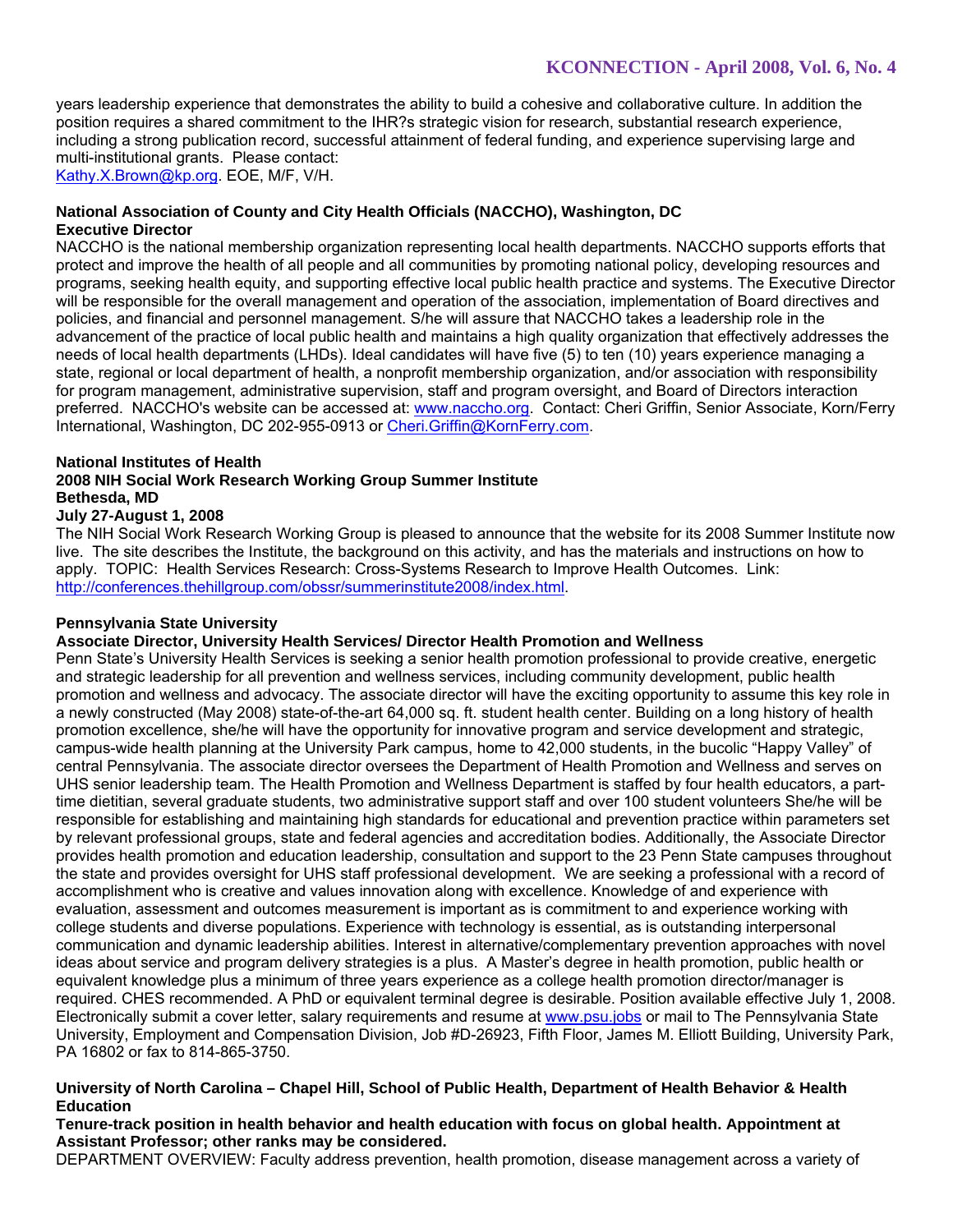years leadership experience that demonstrates the ability to build a cohesive and collaborative culture. In addition the position requires a shared commitment to the IHR?s strategic vision for research, substantial research experience, including a strong publication record, successful attainment of federal funding, and experience supervising large and multi-institutional grants. Please contact: Kathy.X.Brown@kp.org. EOE, M/F, V/H.

### **National Association of County and City Health Officials (NACCHO), Washington, DC Executive Director**

NACCHO is the national membership organization representing local health departments. NACCHO supports efforts that protect and improve the health of all people and all communities by promoting national policy, developing resources and programs, seeking health equity, and supporting effective local public health practice and systems. The Executive Director will be responsible for the overall management and operation of the association, implementation of Board directives and policies, and financial and personnel management. S/he will assure that NACCHO takes a leadership role in the advancement of the practice of local public health and maintains a high quality organization that effectively addresses the needs of local health departments (LHDs). Ideal candidates will have five (5) to ten (10) years experience managing a state, regional or local department of health, a nonprofit membership organization, and/or association with responsibility for program management, administrative supervision, staff and program oversight, and Board of Directors interaction preferred. NACCHO's website can be accessed at: www.naccho.org. Contact: Cheri Griffin, Senior Associate, Korn/Ferry International, Washington, DC 202-955-0913 or Cheri.Griffin@KornFerry.com.

### **National Institutes of Health**

### **2008 NIH Social Work Research Working Group Summer Institute Bethesda, MD**

### **July 27-August 1, 2008**

The NIH Social Work Research Working Group is pleased to announce that the website for its 2008 Summer Institute now live. The site describes the Institute, the background on this activity, and has the materials and instructions on how to apply. TOPIC: Health Services Research: Cross-Systems Research to Improve Health Outcomes. Link: http://conferences.thehillgroup.com/obssr/summerinstitute2008/index.html.

### **Pennsylvania State University**

# **Associate Director, University Health Services/ Director Health Promotion and Wellness**

Penn State's University Health Services is seeking a senior health promotion professional to provide creative, energetic and strategic leadership for all prevention and wellness services, including community development, public health promotion and wellness and advocacy. The associate director will have the exciting opportunity to assume this key role in a newly constructed (May 2008) state-of-the-art 64,000 sq. ft. student health center. Building on a long history of health promotion excellence, she/he will have the opportunity for innovative program and service development and strategic, campus-wide health planning at the University Park campus, home to 42,000 students, in the bucolic "Happy Valley" of central Pennsylvania. The associate director oversees the Department of Health Promotion and Wellness and serves on UHS senior leadership team. The Health Promotion and Wellness Department is staffed by four health educators, a parttime dietitian, several graduate students, two administrative support staff and over 100 student volunteers She/he will be responsible for establishing and maintaining high standards for educational and prevention practice within parameters set by relevant professional groups, state and federal agencies and accreditation bodies. Additionally, the Associate Director provides health promotion and education leadership, consultation and support to the 23 Penn State campuses throughout the state and provides oversight for UHS staff professional development. We are seeking a professional with a record of accomplishment who is creative and values innovation along with excellence. Knowledge of and experience with evaluation, assessment and outcomes measurement is important as is commitment to and experience working with college students and diverse populations. Experience with technology is essential, as is outstanding interpersonal communication and dynamic leadership abilities. Interest in alternative/complementary prevention approaches with novel ideas about service and program delivery strategies is a plus. A Master's degree in health promotion, public health or equivalent knowledge plus a minimum of three years experience as a college health promotion director/manager is required. CHES recommended. A PhD or equivalent terminal degree is desirable. Position available effective July 1, 2008. Electronically submit a cover letter, salary requirements and resume at www.psu.jobs or mail to The Pennsylvania State University, Employment and Compensation Division, Job #D-26923, Fifth Floor, James M. Elliott Building, University Park, PA 16802 or fax to 814-865-3750.

### **University of North Carolina – Chapel Hill, School of Public Health, Department of Health Behavior & Health Education**

### **Tenure-track position in health behavior and health education with focus on global health. Appointment at Assistant Professor; other ranks may be considered.**

DEPARTMENT OVERVIEW: Faculty address prevention, health promotion, disease management across a variety of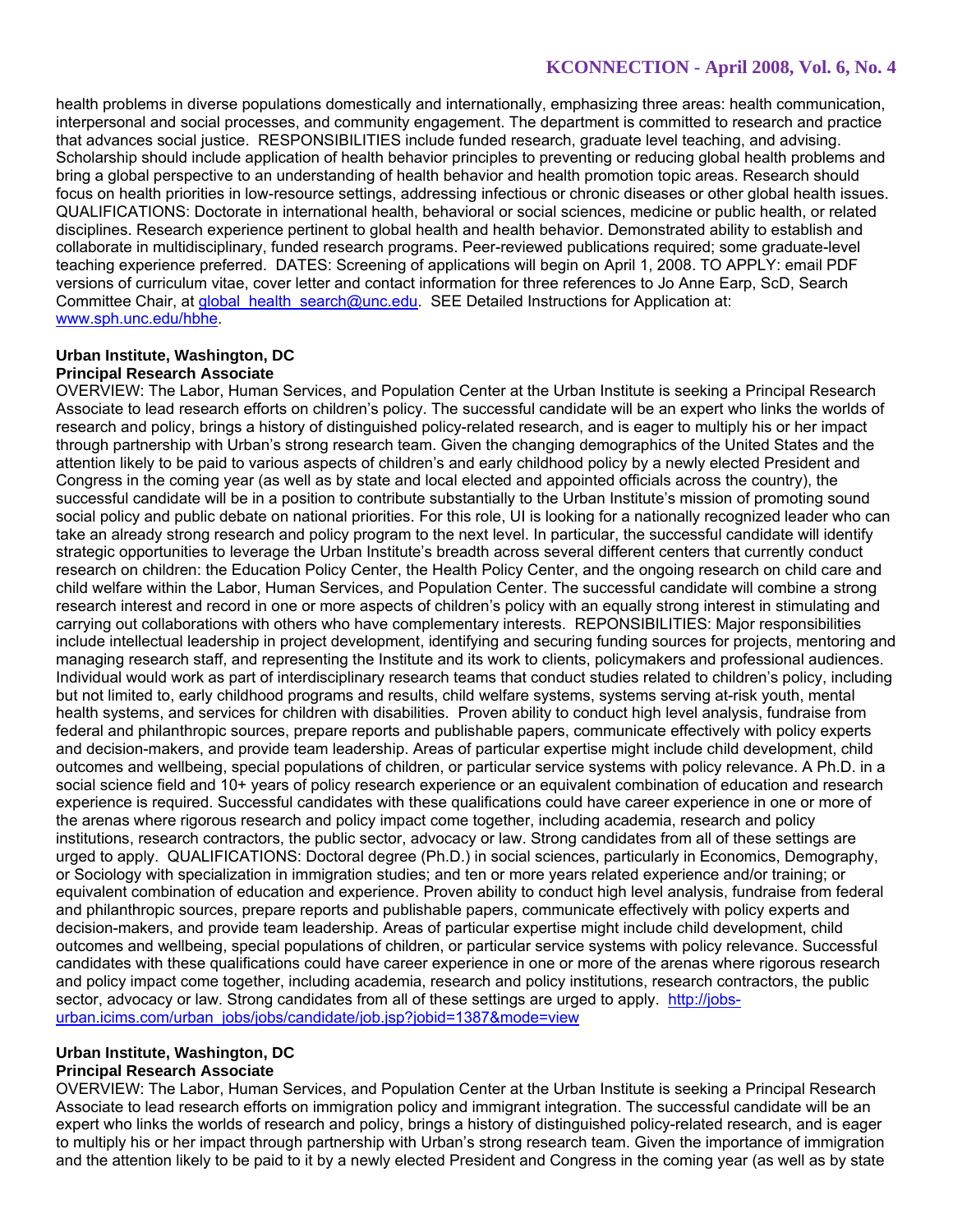health problems in diverse populations domestically and internationally, emphasizing three areas: health communication, interpersonal and social processes, and community engagement. The department is committed to research and practice that advances social justice. RESPONSIBILITIES include funded research, graduate level teaching, and advising. Scholarship should include application of health behavior principles to preventing or reducing global health problems and bring a global perspective to an understanding of health behavior and health promotion topic areas. Research should focus on health priorities in low-resource settings, addressing infectious or chronic diseases or other global health issues. QUALIFICATIONS: Doctorate in international health, behavioral or social sciences, medicine or public health, or related disciplines. Research experience pertinent to global health and health behavior. Demonstrated ability to establish and collaborate in multidisciplinary, funded research programs. Peer-reviewed publications required; some graduate-level teaching experience preferred. DATES: Screening of applications will begin on April 1, 2008. TO APPLY: email PDF versions of curriculum vitae, cover letter and contact information for three references to Jo Anne Earp, ScD, Search Committee Chair, at global health\_search@unc.edu. SEE Detailed Instructions for Application at: www.sph.unc.edu/hbhe.

#### **Urban Institute, Washington, DC Principal Research Associate**

OVERVIEW: The Labor, Human Services, and Population Center at the Urban Institute is seeking a Principal Research Associate to lead research efforts on children's policy. The successful candidate will be an expert who links the worlds of research and policy, brings a history of distinguished policy-related research, and is eager to multiply his or her impact through partnership with Urban's strong research team. Given the changing demographics of the United States and the attention likely to be paid to various aspects of children's and early childhood policy by a newly elected President and Congress in the coming year (as well as by state and local elected and appointed officials across the country), the successful candidate will be in a position to contribute substantially to the Urban Institute's mission of promoting sound social policy and public debate on national priorities. For this role, UI is looking for a nationally recognized leader who can take an already strong research and policy program to the next level. In particular, the successful candidate will identify strategic opportunities to leverage the Urban Institute's breadth across several different centers that currently conduct research on children: the Education Policy Center, the Health Policy Center, and the ongoing research on child care and child welfare within the Labor, Human Services, and Population Center. The successful candidate will combine a strong research interest and record in one or more aspects of children's policy with an equally strong interest in stimulating and carrying out collaborations with others who have complementary interests. REPONSIBILITIES: Major responsibilities include intellectual leadership in project development, identifying and securing funding sources for projects, mentoring and managing research staff, and representing the Institute and its work to clients, policymakers and professional audiences. Individual would work as part of interdisciplinary research teams that conduct studies related to children's policy, including but not limited to, early childhood programs and results, child welfare systems, systems serving at-risk youth, mental health systems, and services for children with disabilities. Proven ability to conduct high level analysis, fundraise from federal and philanthropic sources, prepare reports and publishable papers, communicate effectively with policy experts and decision-makers, and provide team leadership. Areas of particular expertise might include child development, child outcomes and wellbeing, special populations of children, or particular service systems with policy relevance. A Ph.D. in a social science field and 10+ years of policy research experience or an equivalent combination of education and research experience is required. Successful candidates with these qualifications could have career experience in one or more of the arenas where rigorous research and policy impact come together, including academia, research and policy institutions, research contractors, the public sector, advocacy or law. Strong candidates from all of these settings are urged to apply. QUALIFICATIONS: Doctoral degree (Ph.D.) in social sciences, particularly in Economics, Demography, or Sociology with specialization in immigration studies; and ten or more years related experience and/or training; or equivalent combination of education and experience. Proven ability to conduct high level analysis, fundraise from federal and philanthropic sources, prepare reports and publishable papers, communicate effectively with policy experts and decision-makers, and provide team leadership. Areas of particular expertise might include child development, child outcomes and wellbeing, special populations of children, or particular service systems with policy relevance. Successful candidates with these qualifications could have career experience in one or more of the arenas where rigorous research and policy impact come together, including academia, research and policy institutions, research contractors, the public sector, advocacy or law. Strong candidates from all of these settings are urged to apply. http://jobsurban.icims.com/urban\_jobs/jobs/candidate/job.jsp?jobid=1387&mode=view

# **Urban Institute, Washington, DC**

# **Principal Research Associate**

OVERVIEW: The Labor, Human Services, and Population Center at the Urban Institute is seeking a Principal Research Associate to lead research efforts on immigration policy and immigrant integration. The successful candidate will be an expert who links the worlds of research and policy, brings a history of distinguished policy-related research, and is eager to multiply his or her impact through partnership with Urban's strong research team. Given the importance of immigration and the attention likely to be paid to it by a newly elected President and Congress in the coming year (as well as by state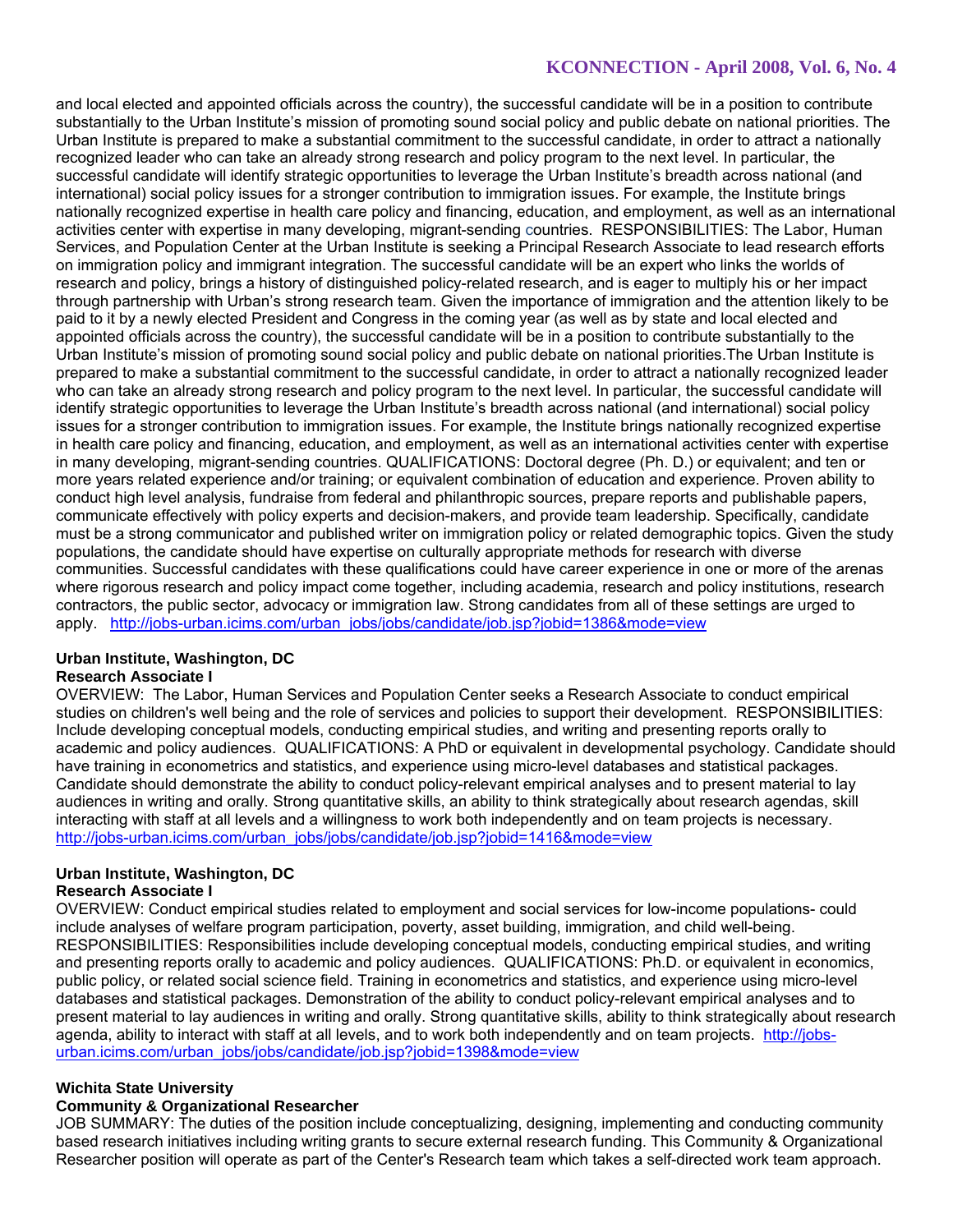and local elected and appointed officials across the country), the successful candidate will be in a position to contribute substantially to the Urban Institute's mission of promoting sound social policy and public debate on national priorities. The Urban Institute is prepared to make a substantial commitment to the successful candidate, in order to attract a nationally recognized leader who can take an already strong research and policy program to the next level. In particular, the successful candidate will identify strategic opportunities to leverage the Urban Institute's breadth across national (and international) social policy issues for a stronger contribution to immigration issues. For example, the Institute brings nationally recognized expertise in health care policy and financing, education, and employment, as well as an international activities center with expertise in many developing, migrant-sending countries. RESPONSIBILITIES: The Labor, Human Services, and Population Center at the Urban Institute is seeking a Principal Research Associate to lead research efforts on immigration policy and immigrant integration. The successful candidate will be an expert who links the worlds of research and policy, brings a history of distinguished policy-related research, and is eager to multiply his or her impact through partnership with Urban's strong research team. Given the importance of immigration and the attention likely to be paid to it by a newly elected President and Congress in the coming year (as well as by state and local elected and appointed officials across the country), the successful candidate will be in a position to contribute substantially to the Urban Institute's mission of promoting sound social policy and public debate on national priorities.The Urban Institute is prepared to make a substantial commitment to the successful candidate, in order to attract a nationally recognized leader who can take an already strong research and policy program to the next level. In particular, the successful candidate will identify strategic opportunities to leverage the Urban Institute's breadth across national (and international) social policy issues for a stronger contribution to immigration issues. For example, the Institute brings nationally recognized expertise in health care policy and financing, education, and employment, as well as an international activities center with expertise in many developing, migrant-sending countries. QUALIFICATIONS: Doctoral degree (Ph. D.) or equivalent; and ten or more years related experience and/or training; or equivalent combination of education and experience. Proven ability to conduct high level analysis, fundraise from federal and philanthropic sources, prepare reports and publishable papers, communicate effectively with policy experts and decision-makers, and provide team leadership. Specifically, candidate must be a strong communicator and published writer on immigration policy or related demographic topics. Given the study populations, the candidate should have expertise on culturally appropriate methods for research with diverse communities. Successful candidates with these qualifications could have career experience in one or more of the arenas where rigorous research and policy impact come together, including academia, research and policy institutions, research contractors, the public sector, advocacy or immigration law. Strong candidates from all of these settings are urged to apply. http://jobs-urban.icims.com/urban\_jobs/jobs/candidate/job.jsp?jobid=1386&mode=view

# **Urban Institute, Washington, DC**

# **Research Associate I**

OVERVIEW: The Labor, Human Services and Population Center seeks a Research Associate to conduct empirical studies on children's well being and the role of services and policies to support their development. RESPONSIBILITIES: Include developing conceptual models, conducting empirical studies, and writing and presenting reports orally to academic and policy audiences. QUALIFICATIONS: A PhD or equivalent in developmental psychology. Candidate should have training in econometrics and statistics, and experience using micro-level databases and statistical packages. Candidate should demonstrate the ability to conduct policy-relevant empirical analyses and to present material to lay audiences in writing and orally. Strong quantitative skills, an ability to think strategically about research agendas, skill interacting with staff at all levels and a willingness to work both independently and on team projects is necessary. http://jobs-urban.icims.com/urban\_jobs/jobs/candidate/job.jsp?jobid=1416&mode=view

# **Urban Institute, Washington, DC**

### **Research Associate I**

OVERVIEW: Conduct empirical studies related to employment and social services for low-income populations- could include analyses of welfare program participation, poverty, asset building, immigration, and child well-being. RESPONSIBILITIES: Responsibilities include developing conceptual models, conducting empirical studies, and writing and presenting reports orally to academic and policy audiences. QUALIFICATIONS: Ph.D. or equivalent in economics, public policy, or related social science field. Training in econometrics and statistics, and experience using micro-level databases and statistical packages. Demonstration of the ability to conduct policy-relevant empirical analyses and to present material to lay audiences in writing and orally. Strong quantitative skills, ability to think strategically about research agenda, ability to interact with staff at all levels, and to work both independently and on team projects. http://jobsurban.icims.com/urban\_jobs/jobs/candidate/job.jsp?jobid=1398&mode=view

# **Wichita State University**

# **Community & Organizational Researcher**

JOB SUMMARY: The duties of the position include conceptualizing, designing, implementing and conducting community based research initiatives including writing grants to secure external research funding. This Community & Organizational Researcher position will operate as part of the Center's Research team which takes a self-directed work team approach.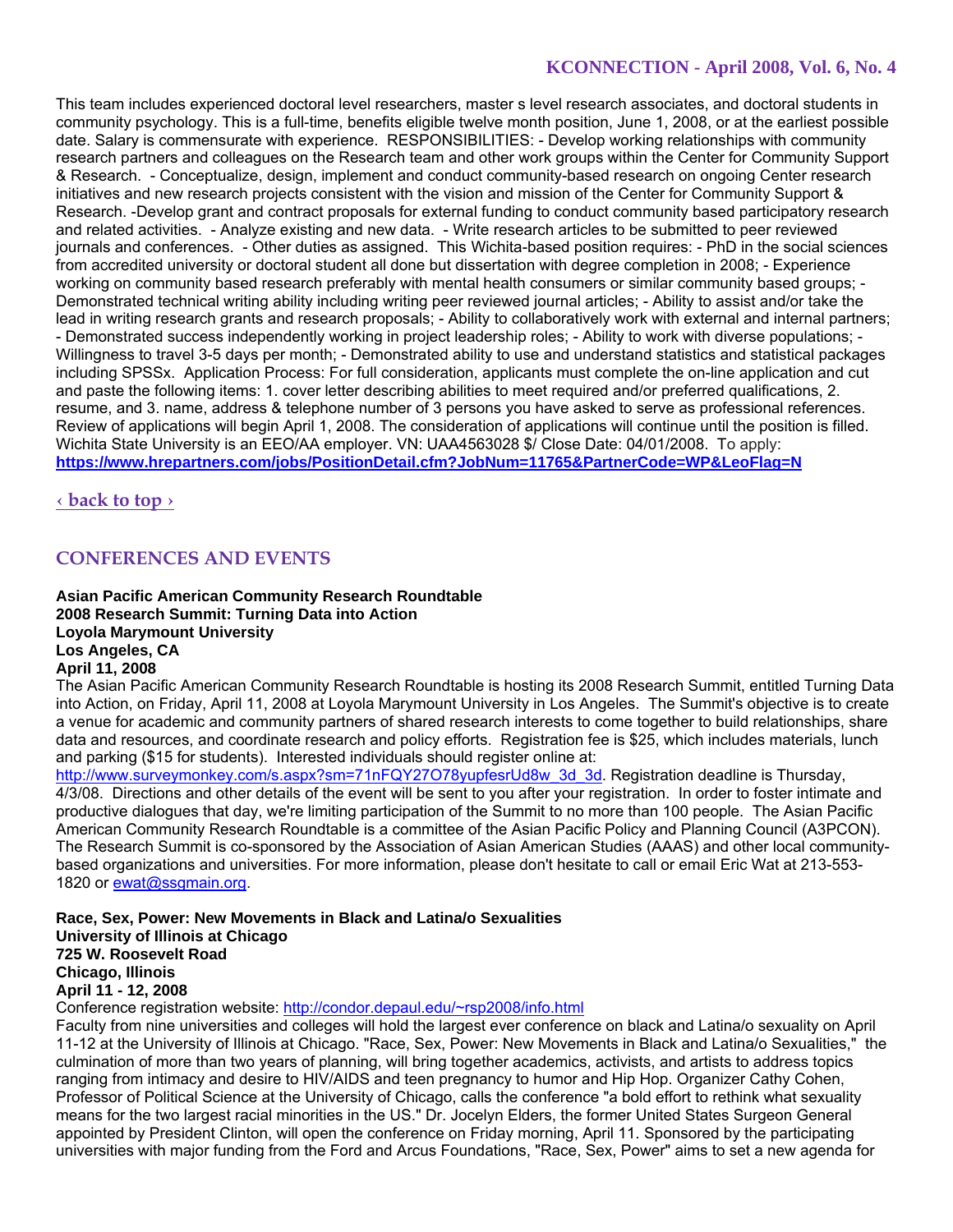This team includes experienced doctoral level researchers, master s level research associates, and doctoral students in community psychology. This is a full-time, benefits eligible twelve month position, June 1, 2008, or at the earliest possible date. Salary is commensurate with experience. RESPONSIBILITIES: - Develop working relationships with community research partners and colleagues on the Research team and other work groups within the Center for Community Support & Research. - Conceptualize, design, implement and conduct community-based research on ongoing Center research initiatives and new research projects consistent with the vision and mission of the Center for Community Support & Research. -Develop grant and contract proposals for external funding to conduct community based participatory research and related activities. - Analyze existing and new data. - Write research articles to be submitted to peer reviewed journals and conferences. - Other duties as assigned. This Wichita-based position requires: - PhD in the social sciences from accredited university or doctoral student all done but dissertation with degree completion in 2008; - Experience working on community based research preferably with mental health consumers or similar community based groups; - Demonstrated technical writing ability including writing peer reviewed journal articles; - Ability to assist and/or take the lead in writing research grants and research proposals; - Ability to collaboratively work with external and internal partners; - Demonstrated success independently working in project leadership roles; - Ability to work with diverse populations; - Willingness to travel 3-5 days per month; - Demonstrated ability to use and understand statistics and statistical packages including SPSSx. Application Process: For full consideration, applicants must complete the on-line application and cut and paste the following items: 1. cover letter describing abilities to meet required and/or preferred qualifications, 2. resume, and 3. name, address & telephone number of 3 persons you have asked to serve as professional references. Review of applications will begin April 1, 2008. The consideration of applications will continue until the position is filled. Wichita State University is an EEO/AA employer. VN: UAA4563028 \$/ Close Date: 04/01/2008. To apply: **https://www.hrepartners.com/jobs/PositionDetail.cfm?JobNum=11765&PartnerCode=WP&LeoFlag=N**

**‹ back to top ›**

# **CONFERENCES AND EVENTS**

**Asian Pacific American Community Research Roundtable 2008 Research Summit: Turning Data into Action Loyola Marymount University Los Angeles, CA April 11, 2008** 

The Asian Pacific American Community Research Roundtable is hosting its 2008 Research Summit, entitled Turning Data into Action, on Friday, April 11, 2008 at Loyola Marymount University in Los Angeles. The Summit's objective is to create a venue for academic and community partners of shared research interests to come together to build relationships, share data and resources, and coordinate research and policy efforts. Registration fee is \$25, which includes materials, lunch and parking (\$15 for students). Interested individuals should register online at:

http://www.surveymonkey.com/s.aspx?sm=71nFQY27O78yupfesrUd8w\_3d\_3d. Registration deadline is Thursday, 4/3/08. Directions and other details of the event will be sent to you after your registration. In order to foster intimate and productive dialogues that day, we're limiting participation of the Summit to no more than 100 people. The Asian Pacific American Community Research Roundtable is a committee of the Asian Pacific Policy and Planning Council (A3PCON). The Research Summit is co-sponsored by the Association of Asian American Studies (AAAS) and other local communitybased organizations and universities. For more information, please don't hesitate to call or email Eric Wat at 213-553- 1820 or ewat@ssgmain.org.

**Race, Sex, Power: New Movements in Black and Latina/o Sexualities University of Illinois at Chicago 725 W. Roosevelt Road Chicago, Illinois April 11 - 12, 2008** 

Conference registration website: http://condor.depaul.edu/~rsp2008/info.html

Faculty from nine universities and colleges will hold the largest ever conference on black and Latina/o sexuality on April 11-12 at the University of Illinois at Chicago. "Race, Sex, Power: New Movements in Black and Latina/o Sexualities," the culmination of more than two years of planning, will bring together academics, activists, and artists to address topics ranging from intimacy and desire to HIV/AIDS and teen pregnancy to humor and Hip Hop. Organizer Cathy Cohen, Professor of Political Science at the University of Chicago, calls the conference "a bold effort to rethink what sexuality means for the two largest racial minorities in the US." Dr. Jocelyn Elders, the former United States Surgeon General appointed by President Clinton, will open the conference on Friday morning, April 11. Sponsored by the participating universities with major funding from the Ford and Arcus Foundations, "Race, Sex, Power" aims to set a new agenda for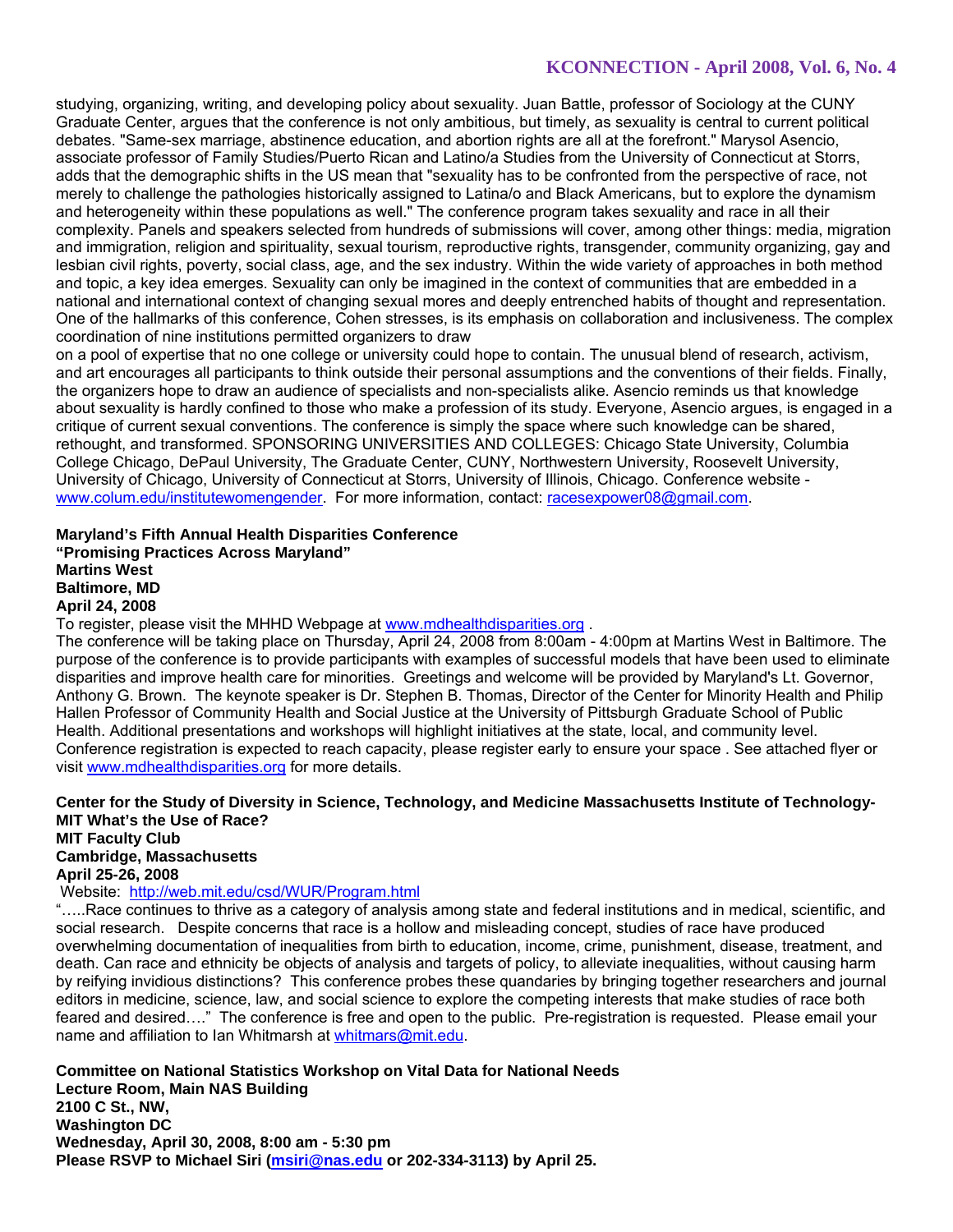studying, organizing, writing, and developing policy about sexuality. Juan Battle, professor of Sociology at the CUNY Graduate Center, argues that the conference is not only ambitious, but timely, as sexuality is central to current political debates. "Same-sex marriage, abstinence education, and abortion rights are all at the forefront." Marysol Asencio, associate professor of Family Studies/Puerto Rican and Latino/a Studies from the University of Connecticut at Storrs, adds that the demographic shifts in the US mean that "sexuality has to be confronted from the perspective of race, not merely to challenge the pathologies historically assigned to Latina/o and Black Americans, but to explore the dynamism and heterogeneity within these populations as well." The conference program takes sexuality and race in all their complexity. Panels and speakers selected from hundreds of submissions will cover, among other things: media, migration and immigration, religion and spirituality, sexual tourism, reproductive rights, transgender, community organizing, gay and lesbian civil rights, poverty, social class, age, and the sex industry. Within the wide variety of approaches in both method and topic, a key idea emerges. Sexuality can only be imagined in the context of communities that are embedded in a national and international context of changing sexual mores and deeply entrenched habits of thought and representation. One of the hallmarks of this conference, Cohen stresses, is its emphasis on collaboration and inclusiveness. The complex coordination of nine institutions permitted organizers to draw

on a pool of expertise that no one college or university could hope to contain. The unusual blend of research, activism, and art encourages all participants to think outside their personal assumptions and the conventions of their fields. Finally, the organizers hope to draw an audience of specialists and non-specialists alike. Asencio reminds us that knowledge about sexuality is hardly confined to those who make a profession of its study. Everyone, Asencio argues, is engaged in a critique of current sexual conventions. The conference is simply the space where such knowledge can be shared, rethought, and transformed. SPONSORING UNIVERSITIES AND COLLEGES: Chicago State University, Columbia College Chicago, DePaul University, The Graduate Center, CUNY, Northwestern University, Roosevelt University, University of Chicago, University of Connecticut at Storrs, University of Illinois, Chicago. Conference website www.colum.edu/institutewomengender. For more information, contact: racesexpower08@gmail.com.

### **Maryland's Fifth Annual Health Disparities Conference "Promising Practices Across Maryland" Martins West Baltimore, MD April 24, 2008**

To register, please visit the MHHD Webpage at www.mdhealthdisparities.org .

The conference will be taking place on Thursday, April 24, 2008 from 8:00am - 4:00pm at Martins West in Baltimore. The purpose of the conference is to provide participants with examples of successful models that have been used to eliminate disparities and improve health care for minorities. Greetings and welcome will be provided by Maryland's Lt. Governor, Anthony G. Brown. The keynote speaker is Dr. Stephen B. Thomas, Director of the Center for Minority Health and Philip Hallen Professor of Community Health and Social Justice at the University of Pittsburgh Graduate School of Public Health. Additional presentations and workshops will highlight initiatives at the state, local, and community level. Conference registration is expected to reach capacity, please register early to ensure your space . See attached flyer or visit www.mdhealthdisparities.org for more details.

# **Center for the Study of Diversity in Science, Technology, and Medicine Massachusetts Institute of Technology-MIT What's the Use of Race? MIT Faculty Club**

**Cambridge, Massachusetts April 25-26, 2008** 

Website: http://web.mit.edu/csd/WUR/Program.html

"…..Race continues to thrive as a category of analysis among state and federal institutions and in medical, scientific, and social research. Despite concerns that race is a hollow and misleading concept, studies of race have produced overwhelming documentation of inequalities from birth to education, income, crime, punishment, disease, treatment, and death. Can race and ethnicity be objects of analysis and targets of policy, to alleviate inequalities, without causing harm by reifying invidious distinctions? This conference probes these quandaries by bringing together researchers and journal editors in medicine, science, law, and social science to explore the competing interests that make studies of race both feared and desired...." The conference is free and open to the public. Pre-registration is requested. Please email your name and affiliation to Ian Whitmarsh at whitmars@mit.edu.

**Committee on National Statistics Workshop on Vital Data for National Needs Lecture Room, Main NAS Building 2100 C St., NW, Washington DC Wednesday, April 30, 2008, 8:00 am - 5:30 pm Please RSVP to Michael Siri (msiri@nas.edu or 202-334-3113) by April 25.**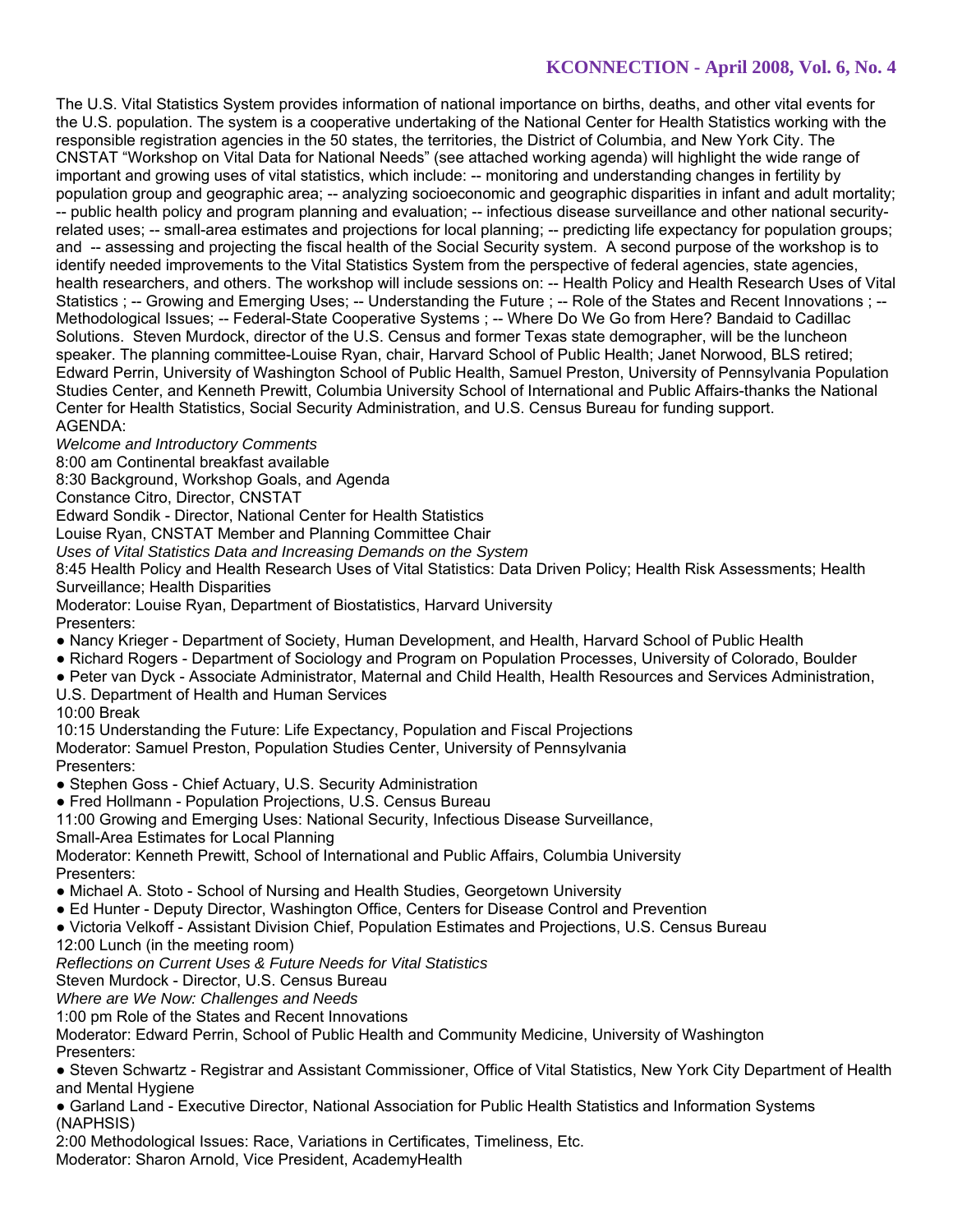The U.S. Vital Statistics System provides information of national importance on births, deaths, and other vital events for the U.S. population. The system is a cooperative undertaking of the National Center for Health Statistics working with the responsible registration agencies in the 50 states, the territories, the District of Columbia, and New York City. The CNSTAT "Workshop on Vital Data for National Needs" (see attached working agenda) will highlight the wide range of important and growing uses of vital statistics, which include: -- monitoring and understanding changes in fertility by population group and geographic area; -- analyzing socioeconomic and geographic disparities in infant and adult mortality; -- public health policy and program planning and evaluation; -- infectious disease surveillance and other national securityrelated uses; -- small-area estimates and projections for local planning; -- predicting life expectancy for population groups; and -- assessing and projecting the fiscal health of the Social Security system. A second purpose of the workshop is to identify needed improvements to the Vital Statistics System from the perspective of federal agencies, state agencies, health researchers, and others. The workshop will include sessions on: -- Health Policy and Health Research Uses of Vital Statistics ; -- Growing and Emerging Uses; -- Understanding the Future ; -- Role of the States and Recent Innovations ; --Methodological Issues; -- Federal-State Cooperative Systems ; -- Where Do We Go from Here? Bandaid to Cadillac Solutions. Steven Murdock, director of the U.S. Census and former Texas state demographer, will be the luncheon speaker. The planning committee-Louise Ryan, chair, Harvard School of Public Health; Janet Norwood, BLS retired; Edward Perrin, University of Washington School of Public Health, Samuel Preston, University of Pennsylvania Population Studies Center, and Kenneth Prewitt, Columbia University School of International and Public Affairs-thanks the National Center for Health Statistics, Social Security Administration, and U.S. Census Bureau for funding support. AGENDA:

*Welcome and Introductory Comments* 

8:00 am Continental breakfast available

8:30 Background, Workshop Goals, and Agenda

Constance Citro, Director, CNSTAT

Edward Sondik - Director, National Center for Health Statistics

Louise Ryan, CNSTAT Member and Planning Committee Chair

*Uses of Vital Statistics Data and Increasing Demands on the System* 

8:45 Health Policy and Health Research Uses of Vital Statistics: Data Driven Policy; Health Risk Assessments; Health Surveillance; Health Disparities

Moderator: Louise Ryan, Department of Biostatistics, Harvard University Presenters:

- Nancy Krieger Department of Society, Human Development, and Health, Harvard School of Public Health
- Richard Rogers Department of Sociology and Program on Population Processes, University of Colorado, Boulder
- Peter van Dyck Associate Administrator, Maternal and Child Health, Health Resources and Services Administration, U.S. Department of Health and Human Services 10:00 Break

10:15 Understanding the Future: Life Expectancy, Population and Fiscal Projections Moderator: Samuel Preston, Population Studies Center, University of Pennsylvania Presenters:

- Stephen Goss Chief Actuary, U.S. Security Administration
- Fred Hollmann Population Projections, U.S. Census Bureau

11:00 Growing and Emerging Uses: National Security, Infectious Disease Surveillance,

Small-Area Estimates for Local Planning

Moderator: Kenneth Prewitt, School of International and Public Affairs, Columbia University Presenters:

- Michael A. Stoto School of Nursing and Health Studies, Georgetown University
- Ed Hunter Deputy Director, Washington Office, Centers for Disease Control and Prevention
- Victoria Velkoff Assistant Division Chief, Population Estimates and Projections, U.S. Census Bureau
- 12:00 Lunch (in the meeting room)

*Reflections on Current Uses & Future Needs for Vital Statistics* 

Steven Murdock - Director, U.S. Census Bureau

*Where are We Now: Challenges and Needs* 

1:00 pm Role of the States and Recent Innovations

Moderator: Edward Perrin, School of Public Health and Community Medicine, University of Washington Presenters:

● Steven Schwartz - Registrar and Assistant Commissioner, Office of Vital Statistics, New York City Department of Health and Mental Hygiene

● Garland Land - Executive Director, National Association for Public Health Statistics and Information Systems (NAPHSIS)

2:00 Methodological Issues: Race, Variations in Certificates, Timeliness, Etc.

Moderator: Sharon Arnold, Vice President, AcademyHealth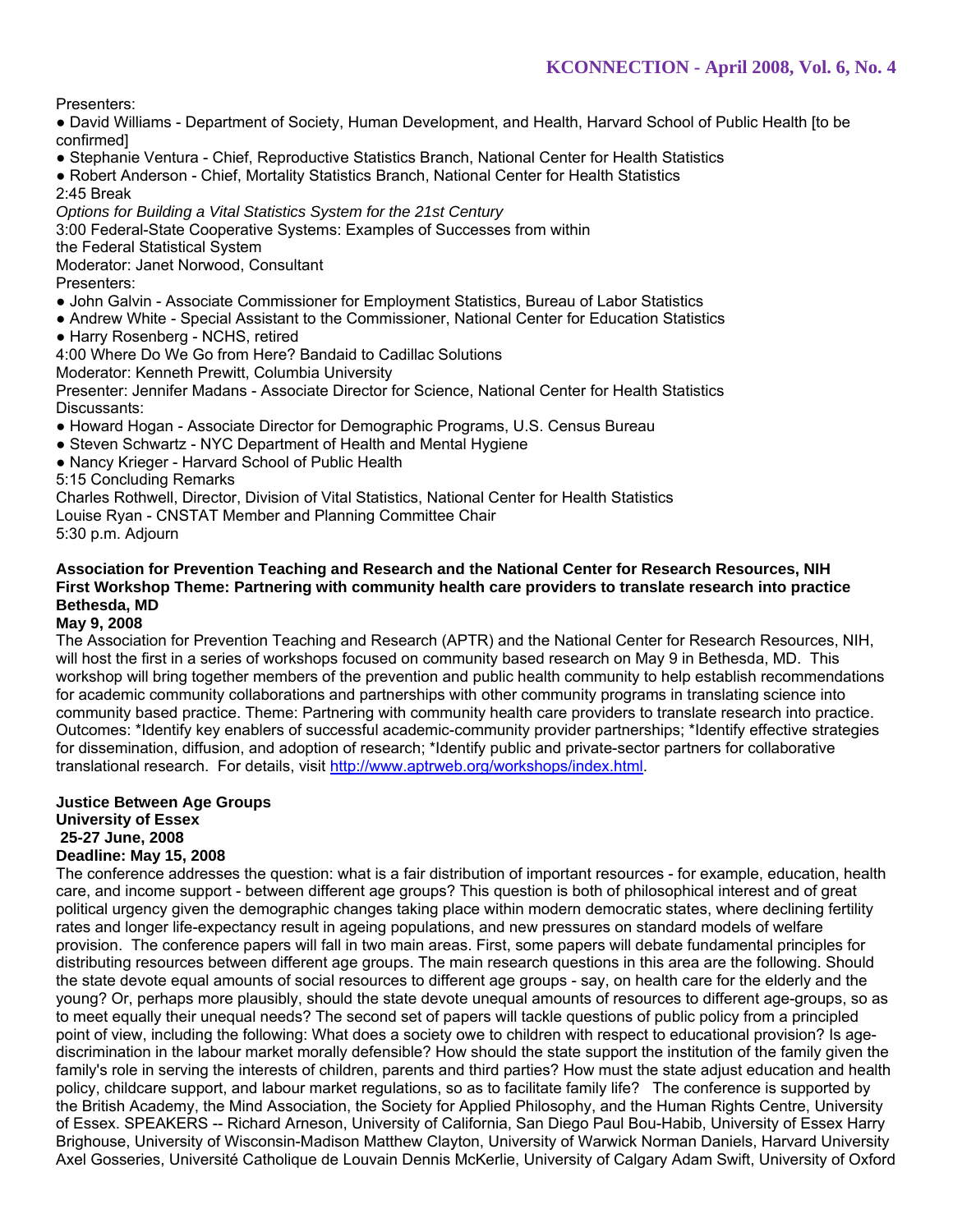Presenters:

● David Williams - Department of Society, Human Development, and Health, Harvard School of Public Health [to be confirmed]

- Stephanie Ventura Chief, Reproductive Statistics Branch, National Center for Health Statistics
- Robert Anderson Chief, Mortality Statistics Branch, National Center for Health Statistics 2:45 Break

*Options for Building a Vital Statistics System for the 21st Century* 

3:00 Federal-State Cooperative Systems: Examples of Successes from within

the Federal Statistical System

Moderator: Janet Norwood, Consultant

Presenters:

- John Galvin Associate Commissioner for Employment Statistics, Bureau of Labor Statistics
- Andrew White Special Assistant to the Commissioner, National Center for Education Statistics
- Harry Rosenberg NCHS, retired

4:00 Where Do We Go from Here? Bandaid to Cadillac Solutions

Moderator: Kenneth Prewitt, Columbia University

Presenter: Jennifer Madans - Associate Director for Science, National Center for Health Statistics Discussants:

- Howard Hogan Associate Director for Demographic Programs, U.S. Census Bureau
- Steven Schwartz NYC Department of Health and Mental Hygiene
- Nancy Krieger Harvard School of Public Health

5:15 Concluding Remarks

Charles Rothwell, Director, Division of Vital Statistics, National Center for Health Statistics

Louise Ryan - CNSTAT Member and Planning Committee Chair

5:30 p.m. Adjourn

### **Association for Prevention Teaching and Research and the National Center for Research Resources, NIH First Workshop Theme: Partnering with community health care providers to translate research into practice Bethesda, MD**

### **May 9, 2008**

The Association for Prevention Teaching and Research (APTR) and the National Center for Research Resources, NIH, will host the first in a series of workshops focused on community based research on May 9 in Bethesda, MD. This workshop will bring together members of the prevention and public health community to help establish recommendations for academic community collaborations and partnerships with other community programs in translating science into community based practice. Theme: Partnering with community health care providers to translate research into practice. Outcomes: \*Identify key enablers of successful academic-community provider partnerships; \*Identify effective strategies for dissemination, diffusion, and adoption of research; \*Identify public and private-sector partners for collaborative translational research. For details, visit http://www.aptrweb.org/workshops/index.html.

#### **Justice Between Age Groups University of Essex 25-27 June, 2008 Deadline: May 15, 2008**

### The conference addresses the question: what is a fair distribution of important resources - for example, education, health care, and income support - between different age groups? This question is both of philosophical interest and of great political urgency given the demographic changes taking place within modern democratic states, where declining fertility rates and longer life-expectancy result in ageing populations, and new pressures on standard models of welfare provision. The conference papers will fall in two main areas. First, some papers will debate fundamental principles for distributing resources between different age groups. The main research questions in this area are the following. Should the state devote equal amounts of social resources to different age groups - say, on health care for the elderly and the young? Or, perhaps more plausibly, should the state devote unequal amounts of resources to different age-groups, so as to meet equally their unequal needs? The second set of papers will tackle questions of public policy from a principled point of view, including the following: What does a society owe to children with respect to educational provision? Is agediscrimination in the labour market morally defensible? How should the state support the institution of the family given the family's role in serving the interests of children, parents and third parties? How must the state adjust education and health policy, childcare support, and labour market regulations, so as to facilitate family life? The conference is supported by the British Academy, the Mind Association, the Society for Applied Philosophy, and the Human Rights Centre, University of Essex. SPEAKERS -- Richard Arneson, University of California, San Diego Paul Bou-Habib, University of Essex Harry Brighouse, University of Wisconsin-Madison Matthew Clayton, University of Warwick Norman Daniels, Harvard University Axel Gosseries, Université Catholique de Louvain Dennis McKerlie, University of Calgary Adam Swift, University of Oxford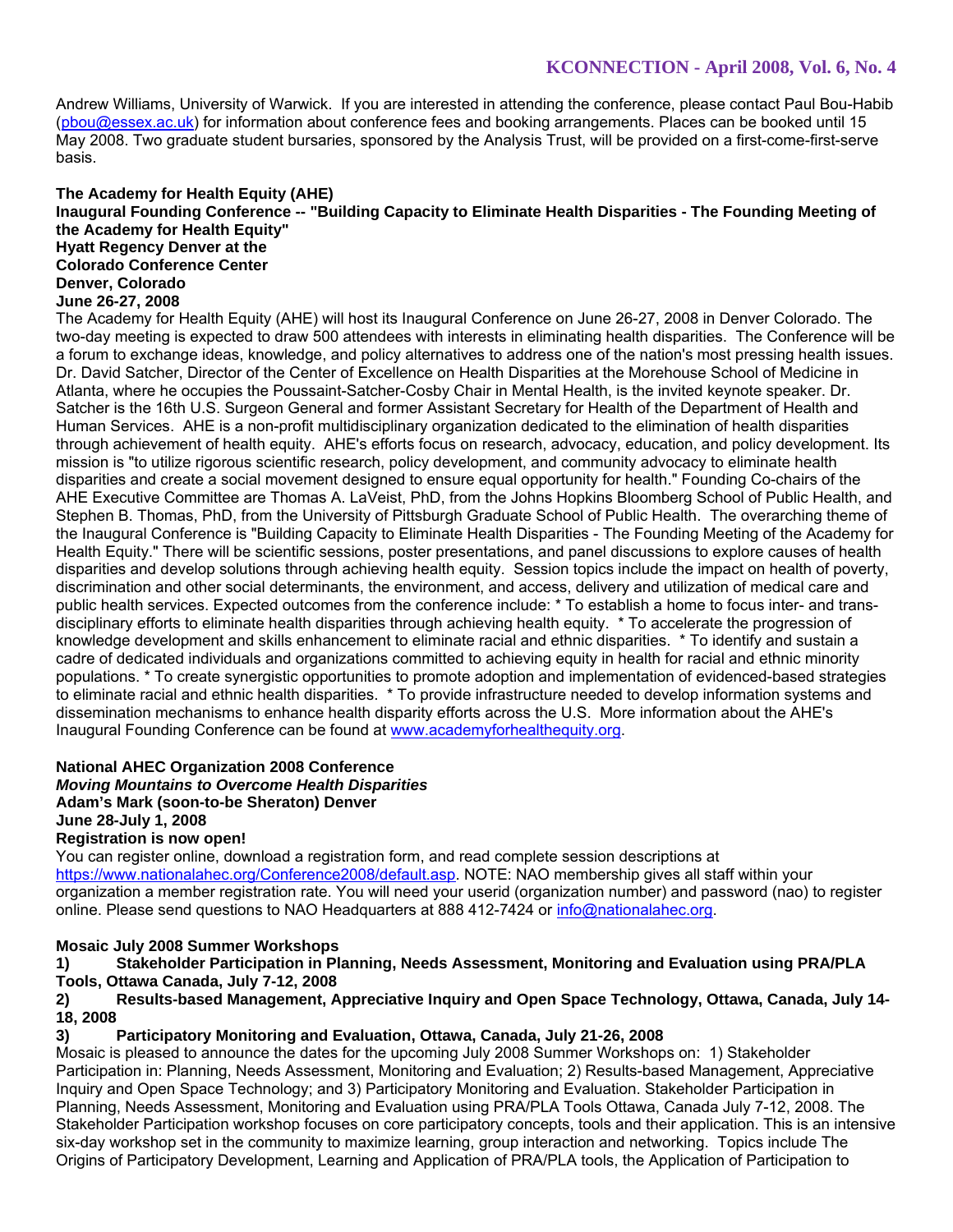Andrew Williams, University of Warwick. If you are interested in attending the conference, please contact Paul Bou-Habib (pbou@essex.ac.uk) for information about conference fees and booking arrangements. Places can be booked until 15 May 2008. Two graduate student bursaries, sponsored by the Analysis Trust, will be provided on a first-come-first-serve basis.

### **The Academy for Health Equity (AHE) Inaugural Founding Conference -- "Building Capacity to Eliminate Health Disparities - The Founding Meeting of the Academy for Health Equity" Hyatt Regency Denver at the Colorado Conference Center Denver, Colorado June 26-27, 2008**

The Academy for Health Equity (AHE) will host its Inaugural Conference on June 26-27, 2008 in Denver Colorado. The two-day meeting is expected to draw 500 attendees with interests in eliminating health disparities. The Conference will be a forum to exchange ideas, knowledge, and policy alternatives to address one of the nation's most pressing health issues. Dr. David Satcher, Director of the Center of Excellence on Health Disparities at the Morehouse School of Medicine in Atlanta, where he occupies the Poussaint-Satcher-Cosby Chair in Mental Health, is the invited keynote speaker. Dr. Satcher is the 16th U.S. Surgeon General and former Assistant Secretary for Health of the Department of Health and Human Services. AHE is a non-profit multidisciplinary organization dedicated to the elimination of health disparities through achievement of health equity. AHE's efforts focus on research, advocacy, education, and policy development. Its mission is "to utilize rigorous scientific research, policy development, and community advocacy to eliminate health disparities and create a social movement designed to ensure equal opportunity for health." Founding Co-chairs of the AHE Executive Committee are Thomas A. LaVeist, PhD, from the Johns Hopkins Bloomberg School of Public Health, and Stephen B. Thomas, PhD, from the University of Pittsburgh Graduate School of Public Health. The overarching theme of the Inaugural Conference is "Building Capacity to Eliminate Health Disparities - The Founding Meeting of the Academy for Health Equity." There will be scientific sessions, poster presentations, and panel discussions to explore causes of health disparities and develop solutions through achieving health equity. Session topics include the impact on health of poverty, discrimination and other social determinants, the environment, and access, delivery and utilization of medical care and public health services. Expected outcomes from the conference include: \* To establish a home to focus inter- and transdisciplinary efforts to eliminate health disparities through achieving health equity. \* To accelerate the progression of knowledge development and skills enhancement to eliminate racial and ethnic disparities. \* To identify and sustain a cadre of dedicated individuals and organizations committed to achieving equity in health for racial and ethnic minority populations. \* To create synergistic opportunities to promote adoption and implementation of evidenced-based strategies to eliminate racial and ethnic health disparities. \* To provide infrastructure needed to develop information systems and dissemination mechanisms to enhance health disparity efforts across the U.S. More information about the AHE's Inaugural Founding Conference can be found at www.academyforhealthequity.org.

### **National AHEC Organization 2008 Conference**

*Moving Mountains to Overcome Health Disparities* **Adam's Mark (soon-to-be Sheraton) Denver June 28-July 1, 2008 Registration is now open!** 

You can register online, download a registration form, and read complete session descriptions at https://www.nationalahec.org/Conference2008/default.asp. NOTE: NAO membership gives all staff within your organization a member registration rate. You will need your userid (organization number) and password (nao) to register online. Please send questions to NAO Headquarters at 888 412-7424 or info@nationalahec.org.

### **Mosaic July 2008 Summer Workshops**

**1) Stakeholder Participation in Planning, Needs Assessment, Monitoring and Evaluation using PRA/PLA Tools, Ottawa Canada, July 7-12, 2008** 

**2) Results-based Management, Appreciative Inquiry and Open Space Technology, Ottawa, Canada, July 14- 18, 2008** 

### **3) Participatory Monitoring and Evaluation, Ottawa, Canada, July 21-26, 2008**

Mosaic is pleased to announce the dates for the upcoming July 2008 Summer Workshops on: 1) Stakeholder Participation in: Planning, Needs Assessment, Monitoring and Evaluation; 2) Results-based Management, Appreciative Inquiry and Open Space Technology; and 3) Participatory Monitoring and Evaluation. Stakeholder Participation in Planning, Needs Assessment, Monitoring and Evaluation using PRA/PLA Tools Ottawa, Canada July 7-12, 2008. The Stakeholder Participation workshop focuses on core participatory concepts, tools and their application. This is an intensive six-day workshop set in the community to maximize learning, group interaction and networking. Topics include The Origins of Participatory Development, Learning and Application of PRA/PLA tools, the Application of Participation to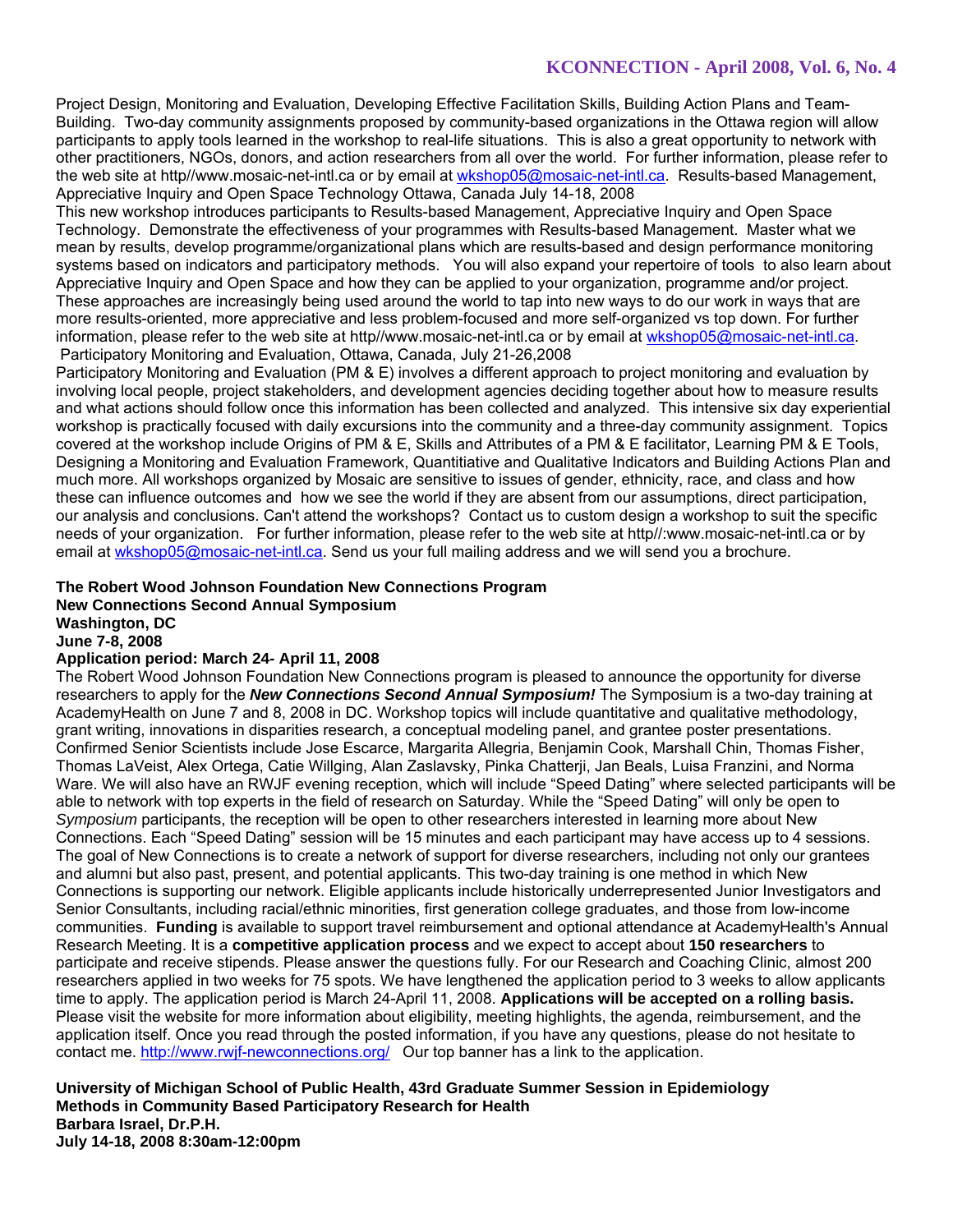Project Design, Monitoring and Evaluation, Developing Effective Facilitation Skills, Building Action Plans and Team-Building. Two-day community assignments proposed by community-based organizations in the Ottawa region will allow participants to apply tools learned in the workshop to real-life situations. This is also a great opportunity to network with other practitioners, NGOs, donors, and action researchers from all over the world. For further information, please refer to the web site at http//www.mosaic-net-intl.ca or by email at wkshop05@mosaic-net-intl.ca. Results-based Management, Appreciative Inquiry and Open Space Technology Ottawa, Canada July 14-18, 2008

This new workshop introduces participants to Results-based Management, Appreciative Inquiry and Open Space Technology. Demonstrate the effectiveness of your programmes with Results-based Management. Master what we mean by results, develop programme/organizational plans which are results-based and design performance monitoring systems based on indicators and participatory methods. You will also expand your repertoire of tools to also learn about Appreciative Inquiry and Open Space and how they can be applied to your organization, programme and/or project. These approaches are increasingly being used around the world to tap into new ways to do our work in ways that are more results-oriented, more appreciative and less problem-focused and more self-organized vs top down. For further information, please refer to the web site at http//www.mosaic-net-intl.ca or by email at wkshop05@mosaic-net-intl.ca. Participatory Monitoring and Evaluation, Ottawa, Canada, July 21-26,2008

Participatory Monitoring and Evaluation (PM & E) involves a different approach to project monitoring and evaluation by involving local people, project stakeholders, and development agencies deciding together about how to measure results and what actions should follow once this information has been collected and analyzed. This intensive six day experiential workshop is practically focused with daily excursions into the community and a three-day community assignment. Topics covered at the workshop include Origins of PM & E, Skills and Attributes of a PM & E facilitator, Learning PM & E Tools, Designing a Monitoring and Evaluation Framework, Quantitiative and Qualitative Indicators and Building Actions Plan and much more. All workshops organized by Mosaic are sensitive to issues of gender, ethnicity, race, and class and how these can influence outcomes and how we see the world if they are absent from our assumptions, direct participation, our analysis and conclusions. Can't attend the workshops? Contact us to custom design a workshop to suit the specific needs of your organization. For further information, please refer to the web site at http//:www.mosaic-net-intl.ca or by email at wkshop05@mosaic-net-intl.ca. Send us your full mailing address and we will send you a brochure.

#### **The Robert Wood Johnson Foundation New Connections Program New Connections Second Annual Symposium Washington, DC**

**June 7-8, 2008** 

### **Application period: March 24- April 11, 2008**

The Robert Wood Johnson Foundation New Connections program is pleased to announce the opportunity for diverse researchers to apply for the *New Connections Second Annual Symposium!* The Symposium is a two-day training at AcademyHealth on June 7 and 8, 2008 in DC. Workshop topics will include quantitative and qualitative methodology, grant writing, innovations in disparities research, a conceptual modeling panel, and grantee poster presentations. Confirmed Senior Scientists include Jose Escarce, Margarita Allegria, Benjamin Cook, Marshall Chin, Thomas Fisher, Thomas LaVeist, Alex Ortega, Catie Willging, Alan Zaslavsky, Pinka Chatterji, Jan Beals, Luisa Franzini, and Norma Ware. We will also have an RWJF evening reception, which will include "Speed Dating" where selected participants will be able to network with top experts in the field of research on Saturday. While the "Speed Dating" will only be open to *Symposium* participants, the reception will be open to other researchers interested in learning more about New Connections. Each "Speed Dating" session will be 15 minutes and each participant may have access up to 4 sessions. The goal of New Connections is to create a network of support for diverse researchers, including not only our grantees and alumni but also past, present, and potential applicants. This two-day training is one method in which New Connections is supporting our network. Eligible applicants include historically underrepresented Junior Investigators and Senior Consultants, including racial/ethnic minorities, first generation college graduates, and those from low-income communities. **Funding** is available to support travel reimbursement and optional attendance at AcademyHealth's Annual Research Meeting. It is a **competitive application process** and we expect to accept about **150 researchers** to participate and receive stipends. Please answer the questions fully. For our Research and Coaching Clinic, almost 200 researchers applied in two weeks for 75 spots. We have lengthened the application period to 3 weeks to allow applicants time to apply. The application period is March 24-April 11, 2008. **Applications will be accepted on a rolling basis.**  Please visit the website for more information about eligibility, meeting highlights, the agenda, reimbursement, and the application itself. Once you read through the posted information, if you have any questions, please do not hesitate to contact me. http://www.rwjf-newconnections.org/ Our top banner has a link to the application.

**University of Michigan School of Public Health, 43rd Graduate Summer Session in Epidemiology Methods in Community Based Participatory Research for Health Barbara Israel, Dr.P.H. July 14-18, 2008 8:30am-12:00pm**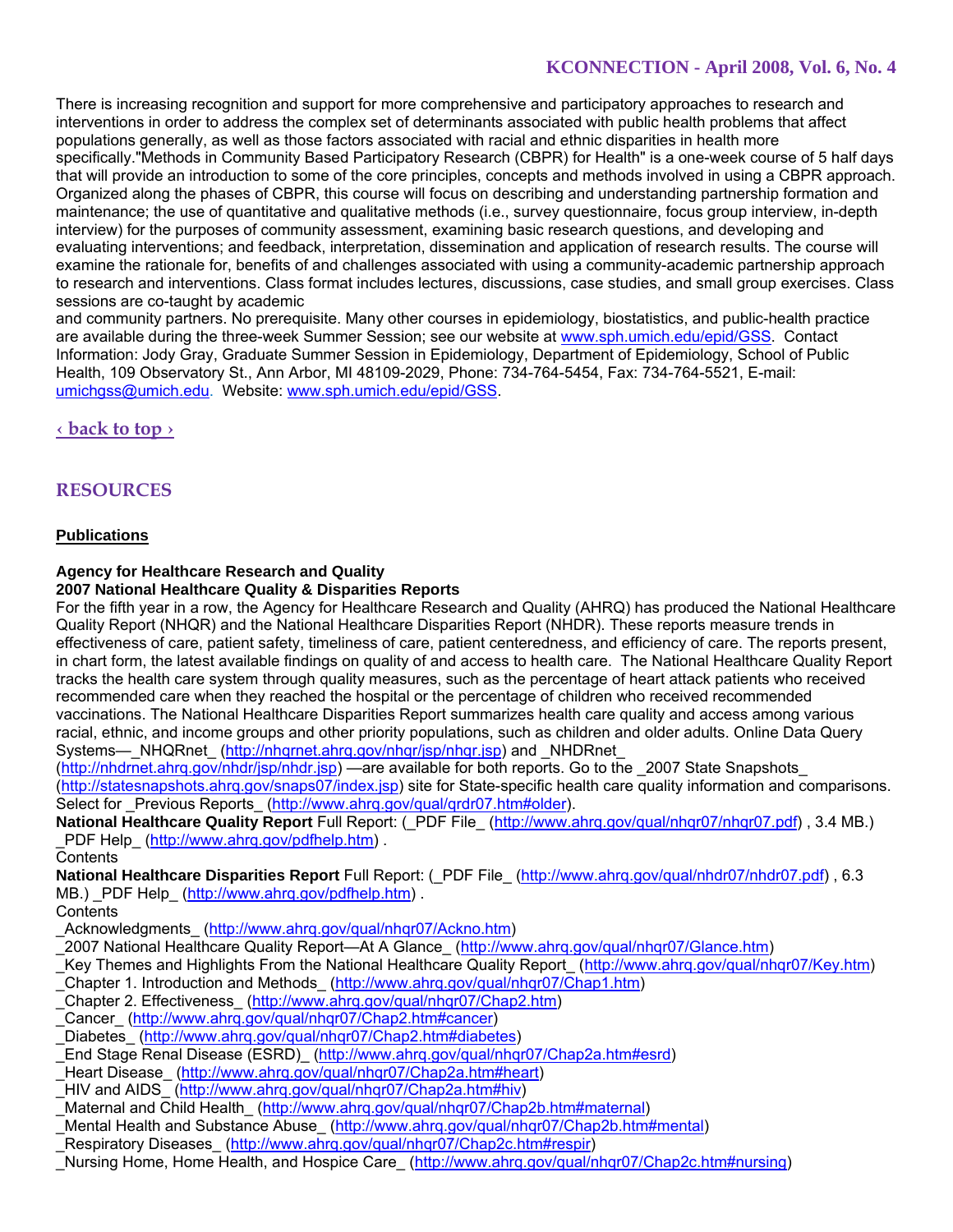There is increasing recognition and support for more comprehensive and participatory approaches to research and interventions in order to address the complex set of determinants associated with public health problems that affect populations generally, as well as those factors associated with racial and ethnic disparities in health more specifically."Methods in Community Based Participatory Research (CBPR) for Health" is a one-week course of 5 half days that will provide an introduction to some of the core principles, concepts and methods involved in using a CBPR approach. Organized along the phases of CBPR, this course will focus on describing and understanding partnership formation and maintenance; the use of quantitative and qualitative methods (i.e., survey questionnaire, focus group interview, in-depth interview) for the purposes of community assessment, examining basic research questions, and developing and evaluating interventions; and feedback, interpretation, dissemination and application of research results. The course will examine the rationale for, benefits of and challenges associated with using a community-academic partnership approach to research and interventions. Class format includes lectures, discussions, case studies, and small group exercises. Class sessions are co-taught by academic

and community partners. No prerequisite. Many other courses in epidemiology, biostatistics, and public-health practice are available during the three-week Summer Session; see our website at www.sph.umich.edu/epid/GSS. Contact Information: Jody Gray, Graduate Summer Session in Epidemiology, Department of Epidemiology, School of Public Health, 109 Observatory St., Ann Arbor, MI 48109-2029, Phone: 734-764-5454, Fax: 734-764-5521, E-mail: umichgss@umich.edu. Website: www.sph.umich.edu/epid/GSS.

**‹ back to top ›**

# **RESOURCES**

### **Publications**

# **Agency for Healthcare Research and Quality**

### **2007 National Healthcare Quality & Disparities Reports**

For the fifth year in a row, the Agency for Healthcare Research and Quality (AHRQ) has produced the National Healthcare Quality Report (NHQR) and the National Healthcare Disparities Report (NHDR). These reports measure trends in effectiveness of care, patient safety, timeliness of care, patient centeredness, and efficiency of care. The reports present, in chart form, the latest available findings on quality of and access to health care. The National Healthcare Quality Report tracks the health care system through quality measures, such as the percentage of heart attack patients who received recommended care when they reached the hospital or the percentage of children who received recommended vaccinations. The National Healthcare Disparities Report summarizes health care quality and access among various racial, ethnic, and income groups and other priority populations, such as children and older adults. Online Data Query Systems—\_NHQRnet\_ (http://nhqrnet.ahrq.gov/nhqr/jsp/nhqr.jsp) and \_NHDRnet

(http://nhdrnet.ahrq.gov/nhdr/jsp/nhdr.jsp) —are available for both reports. Go to the \_2007 State Snapshots\_ (http://statesnapshots.ahrq.gov/snaps07/index.jsp) site for State-specific health care quality information and comparisons. Select for Previous Reports (http://www.ahrq.gov/qual/qrdr07.htm#older).

**National Healthcare Quality Report** Full Report: (\_PDF File\_ (http://www.ahrq.gov/qual/nhqr07/nhqr07.pdf) , 3.4 MB.) PDF Help (http://www.ahrq.gov/pdfhelp.htm) .

**Contents** 

**National Healthcare Disparities Report** Full Report: (\_PDF File\_ (http://www.ahrq.gov/qual/nhdr07/nhdr07.pdf) , 6.3 MB.) PDF Help (http://www.ahrg.gov/pdfhelp.htm).

**Contents** 

\_Acknowledgments\_(http://www.ahrq.gov/qual/nhqr07/Ackno.htm)

\_2007 National Healthcare Quality Report—At A Glance\_ (http://www.ahrq.gov/qual/nhqr07/Glance.htm)

\_Key Themes and Highlights From the National Healthcare Quality Report\_ (http://www.ahrq.gov/qual/nhqr07/Key.htm) \_Chapter 1. Introduction and Methods\_ (http://www.ahrq.gov/qual/nhqr07/Chap1.htm)

\_Chapter 2. Effectiveness\_ (http://www.ahrq.gov/qual/nhqr07/Chap2.htm)

- \_Cancer\_ (http://www.ahrq.gov/qual/nhqr07/Chap2.htm#cancer)
- Diabetes (http://www.ahrq.gov/qual/nhqr07/Chap2.htm#diabetes)
- \_End Stage Renal Disease (ESRD)\_ (http://www.ahrq.gov/qual/nhqr07/Chap2a.htm#esrd)

\_Heart Disease\_ (http://www.ahrq.gov/qual/nhqr07/Chap2a.htm#heart)

\_HIV and AIDS\_ (http://www.ahrq.gov/qual/nhqr07/Chap2a.htm#hiv)

- Maternal and Child Health (http://www.ahrq.gov/qual/nhqr07/Chap2b.htm#maternal)
- \_Mental Health and Substance Abuse\_ (http://www.ahrq.gov/qual/nhqr07/Chap2b.htm#mental)
- \_Respiratory Diseases\_ (http://www.ahrq.gov/qual/nhqr07/Chap2c.htm#respir)
- Nursing Home, Home Health, and Hospice Care (http://www.ahrg.gov/gual/nhqr07/Chap2c.htm#nursing)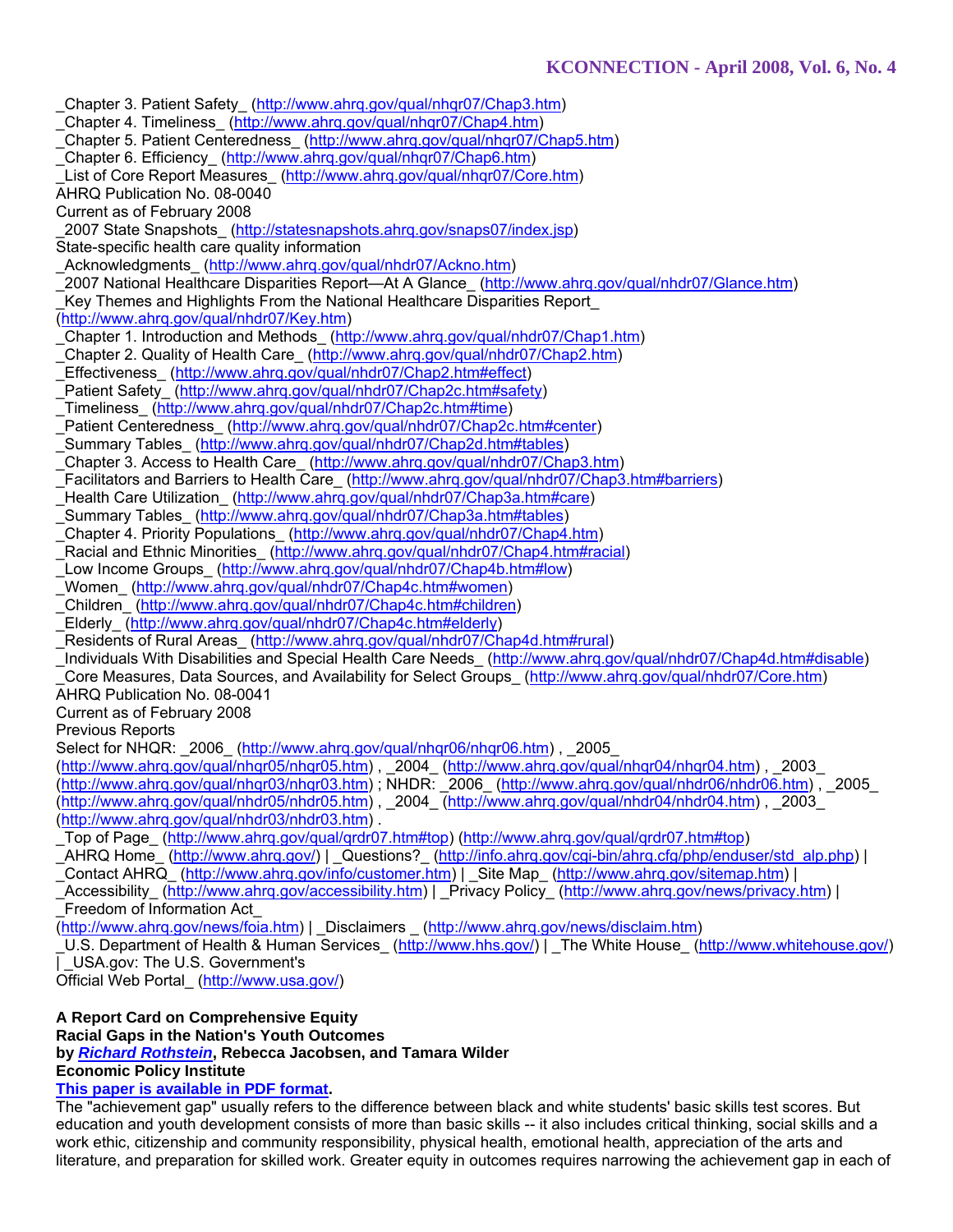\_Chapter 3. Patient Safety\_ (http://www.ahrq.gov/qual/nhqr07/Chap3.htm) \_Chapter 4. Timeliness\_ (http://www.ahrq.gov/qual/nhqr07/Chap4.htm) \_Chapter 5. Patient Centeredness\_ (http://www.ahrq.gov/qual/nhqr07/Chap5.htm) \_Chapter 6. Efficiency\_ (http://www.ahrq.gov/qual/nhqr07/Chap6.htm) List of Core Report Measures (http://www.ahrq.gov/qual/nhqr07/Core.htm) AHRQ Publication No. 08-0040 Current as of February 2008 \_2007 State Snapshots\_ (http://statesnapshots.ahrq.gov/snaps07/index.jsp) State-specific health care quality information \_Acknowledgments\_(http://www.ahrq.gov/qual/nhdr07/Ackno.htm) \_2007 National Healthcare Disparities Report—At A Glance\_ (http://www.ahrq.gov/qual/nhdr07/Glance.htm) Key Themes and Highlights From the National Healthcare Disparities Report (http://www.ahrq.gov/qual/nhdr07/Key.htm) \_Chapter 1. Introduction and Methods\_ (http://www.ahrq.gov/qual/nhdr07/Chap1.htm) Chapter 2. Quality of Health Care\_ (http://www.ahrq.gov/qual/nhdr07/Chap2.htm) Effectiveness (http://www.ahrq.gov/qual/nhdr07/Chap2.htm#effect) Patient Safety (http://www.ahrg.gov/gual/nhdr07/Chap2c.htm#safety) \_Timeliness\_ (http://www.ahrq.gov/qual/nhdr07/Chap2c.htm#time) Patient Centeredness (http://www.ahrq.gov/qual/nhdr07/Chap2c.htm#center) \_Summary Tables\_(http://www.ahrq.gov/qual/nhdr07/Chap2d.htm#tables) \_Chapter 3. Access to Health Care\_ (http://www.ahrq.gov/qual/nhdr07/Chap3.htm) Facilitators and Barriers to Health Care\_ (http://www.ahrq.gov/qual/nhdr07/Chap3.htm#barriers) Health Care Utilization (http://www.ahrq.gov/gual/nhdr07/Chap3a.htm#care) \_Summary Tables\_ (http://www.ahrq.gov/qual/nhdr07/Chap3a.htm#tables) \_Chapter 4. Priority Populations\_ (http://www.ahrq.gov/qual/nhdr07/Chap4.htm) Racial and Ethnic Minorities (http://www.ahrq.gov/qual/nhdr07/Chap4.htm#racial) Low Income Groups (http://www.ahrq.gov/qual/nhdr07/Chap4b.htm#low) Women (http://www.ahrq.gov/qual/nhdr07/Chap4c.htm#women) \_Children\_ (http://www.ahrq.gov/qual/nhdr07/Chap4c.htm#children) Elderly (http://www.ahrq.gov/qual/nhdr07/Chap4c.htm#elderly) \_Residents of Rural Areas\_ (http://www.ahrq.gov/qual/nhdr07/Chap4d.htm#rural) \_Individuals With Disabilities and Special Health Care Needs\_ (http://www.ahrq.gov/qual/nhdr07/Chap4d.htm#disable) Core Measures, Data Sources, and Availability for Select Groups (http://www.ahrq.gov/qual/nhdr07/Core.htm) AHRQ Publication No. 08-0041

Current as of February 2008

Previous Reports

Select for NHQR: \_2006\_ (http://www.ahrq.gov/qual/nhqr06/nhqr06.htm), \_2005\_

(http://www.ahrq.gov/qual/nhqr05/nhqr05.htm) , \_2004\_ (http://www.ahrq.gov/qual/nhqr04/nhqr04.htm) , \_2003\_

(http://www.ahrq.gov/qual/nhqr03/nhqr03.htm) ; NHDR: \_2006\_ (http://www.ahrq.gov/qual/nhdr06/nhdr06.htm) , \_2005\_ (http://www.ahrq.gov/qual/nhdr05/nhdr05.htm) , \_2004\_ (http://www.ahrq.gov/qual/nhdr04/nhdr04.htm) , \_2003\_ (http://www.ahrq.gov/qual/nhdr03/nhdr03.htm) .

\_Top of Page\_ (http://www.ahrq.gov/qual/qrdr07.htm#top) (http://www.ahrq.gov/qual/qrdr07.htm#top)

\_AHRQ Home\_ (http://www.ahrq.gov/) | \_Questions?\_ (http://info.ahrq.gov/cgi-bin/ahrq.cfg/php/enduser/std\_alp.php) |

\_Contact AHRQ\_ (http://www.ahrq.gov/info/customer.htm) | \_Site Map\_ (http://www.ahrq.gov/sitemap.htm) |

Accessibility (http://www.ahrq.gov/accessibility.htm) | \_Privacy Policy\_ (http://www.ahrq.gov/news/privacy.htm) | \_Freedom of Information Act\_

(http://www.ahrq.gov/news/foia.htm) | \_Disclaimers \_ (http://www.ahrq.gov/news/disclaim.htm)

U.S. Department of Health & Human Services (http://www.hhs.gov/) | The White House (http://www.whitehouse.gov/) | USA.gov: The U.S. Government's

Official Web Portal\_ (http://www.usa.gov/)

**A Report Card on Comprehensive Equity Racial Gaps in the Nation's Youth Outcomes**

**by** *Richard Rothstein***, Rebecca Jacobsen, and Tamara Wilder**

**Economic Policy Institute** 

# **This paper is available in PDF format.**

The "achievement gap" usually refers to the difference between black and white students' basic skills test scores. But education and youth development consists of more than basic skills -- it also includes critical thinking, social skills and a work ethic, citizenship and community responsibility, physical health, emotional health, appreciation of the arts and literature, and preparation for skilled work. Greater equity in outcomes requires narrowing the achievement gap in each of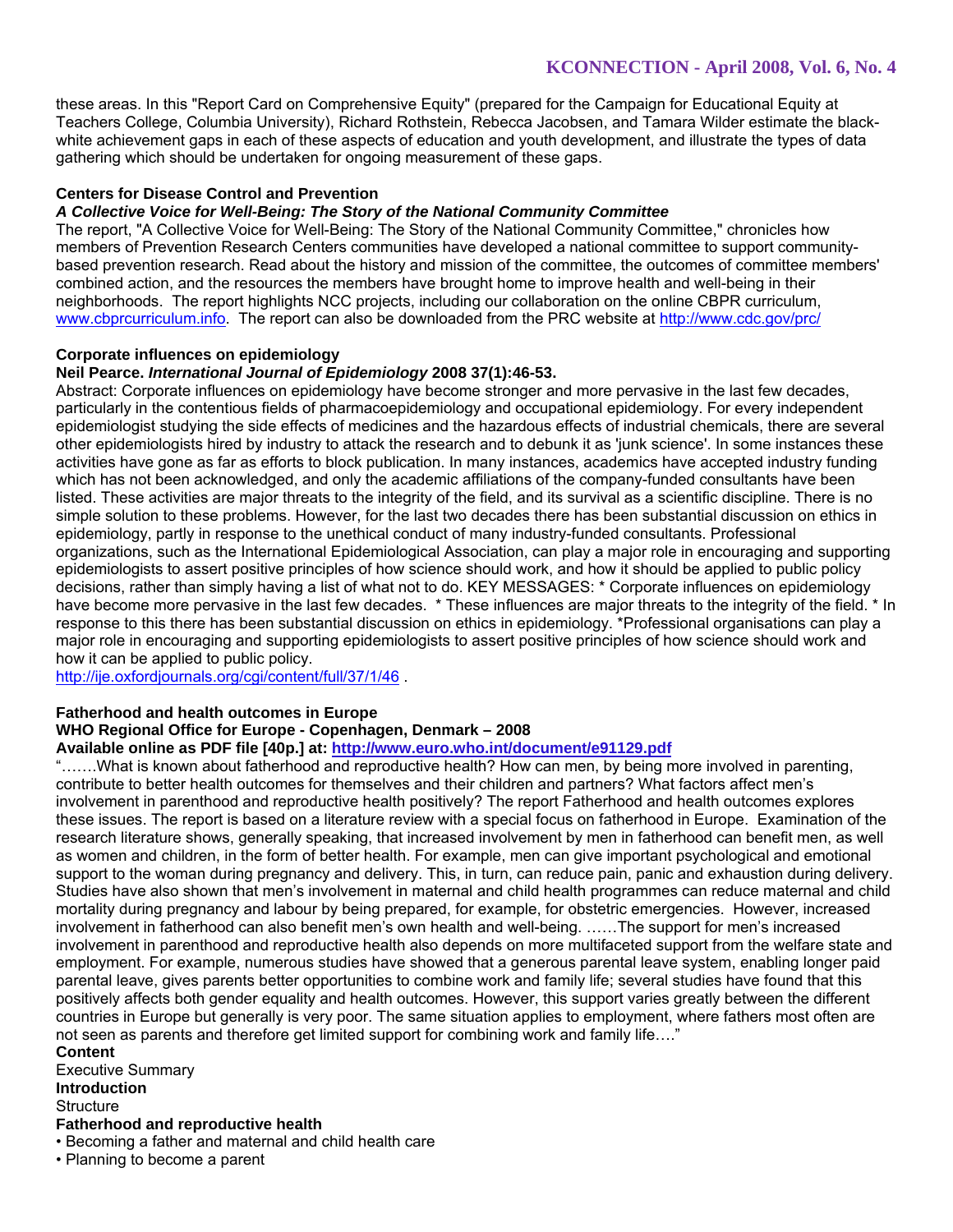these areas. In this "Report Card on Comprehensive Equity" (prepared for the Campaign for Educational Equity at Teachers College, Columbia University), Richard Rothstein, Rebecca Jacobsen, and Tamara Wilder estimate the blackwhite achievement gaps in each of these aspects of education and youth development, and illustrate the types of data gathering which should be undertaken for ongoing measurement of these gaps.

### **Centers for Disease Control and Prevention**

### *A Collective Voice for Well-Being: The Story of the National Community Committee*

The report, "A Collective Voice for Well-Being: The Story of the National Community Committee," chronicles how members of Prevention Research Centers communities have developed a national committee to support communitybased prevention research. Read about the history and mission of the committee, the outcomes of committee members' combined action, and the resources the members have brought home to improve health and well-being in their neighborhoods. The report highlights NCC projects, including our collaboration on the online CBPR curriculum, www.cbprcurriculum.info. The report can also be downloaded from the PRC website at http://www.cdc.gov/prc/

### **Corporate influences on epidemiology**

### **Neil Pearce.** *International Journal of Epidemiology* **2008 37(1):46-53.**

Abstract: Corporate influences on epidemiology have become stronger and more pervasive in the last few decades, particularly in the contentious fields of pharmacoepidemiology and occupational epidemiology. For every independent epidemiologist studying the side effects of medicines and the hazardous effects of industrial chemicals, there are several other epidemiologists hired by industry to attack the research and to debunk it as 'junk science'. In some instances these activities have gone as far as efforts to block publication. In many instances, academics have accepted industry funding which has not been acknowledged, and only the academic affiliations of the company-funded consultants have been listed. These activities are major threats to the integrity of the field, and its survival as a scientific discipline. There is no simple solution to these problems. However, for the last two decades there has been substantial discussion on ethics in epidemiology, partly in response to the unethical conduct of many industry-funded consultants. Professional organizations, such as the International Epidemiological Association, can play a major role in encouraging and supporting epidemiologists to assert positive principles of how science should work, and how it should be applied to public policy decisions, rather than simply having a list of what not to do. KEY MESSAGES: \* Corporate influences on epidemiology have become more pervasive in the last few decades. \* These influences are major threats to the integrity of the field. \* In response to this there has been substantial discussion on ethics in epidemiology. \*Professional organisations can play a major role in encouraging and supporting epidemiologists to assert positive principles of how science should work and how it can be applied to public policy.

http://ije.oxfordjournals.org/cgi/content/full/37/1/46 .

### **Fatherhood and health outcomes in Europe**

### **WHO Regional Office for Europe - Copenhagen, Denmark – 2008**

### **Available online as PDF file [40p.] at: http://www.euro.who.int/document/e91129.pdf**

"…….What is known about fatherhood and reproductive health? How can men, by being more involved in parenting, contribute to better health outcomes for themselves and their children and partners? What factors affect men's involvement in parenthood and reproductive health positively? The report Fatherhood and health outcomes explores these issues. The report is based on a literature review with a special focus on fatherhood in Europe. Examination of the research literature shows, generally speaking, that increased involvement by men in fatherhood can benefit men, as well as women and children, in the form of better health. For example, men can give important psychological and emotional support to the woman during pregnancy and delivery. This, in turn, can reduce pain, panic and exhaustion during delivery. Studies have also shown that men's involvement in maternal and child health programmes can reduce maternal and child mortality during pregnancy and labour by being prepared, for example, for obstetric emergencies. However, increased involvement in fatherhood can also benefit men's own health and well-being. ……The support for men's increased involvement in parenthood and reproductive health also depends on more multifaceted support from the welfare state and employment. For example, numerous studies have showed that a generous parental leave system, enabling longer paid parental leave, gives parents better opportunities to combine work and family life; several studies have found that this positively affects both gender equality and health outcomes. However, this support varies greatly between the different countries in Europe but generally is very poor. The same situation applies to employment, where fathers most often are not seen as parents and therefore get limited support for combining work and family life…."

**Content**  Executive Summary **Introduction Structure Fatherhood and reproductive health**

• Becoming a father and maternal and child health care

• Planning to become a parent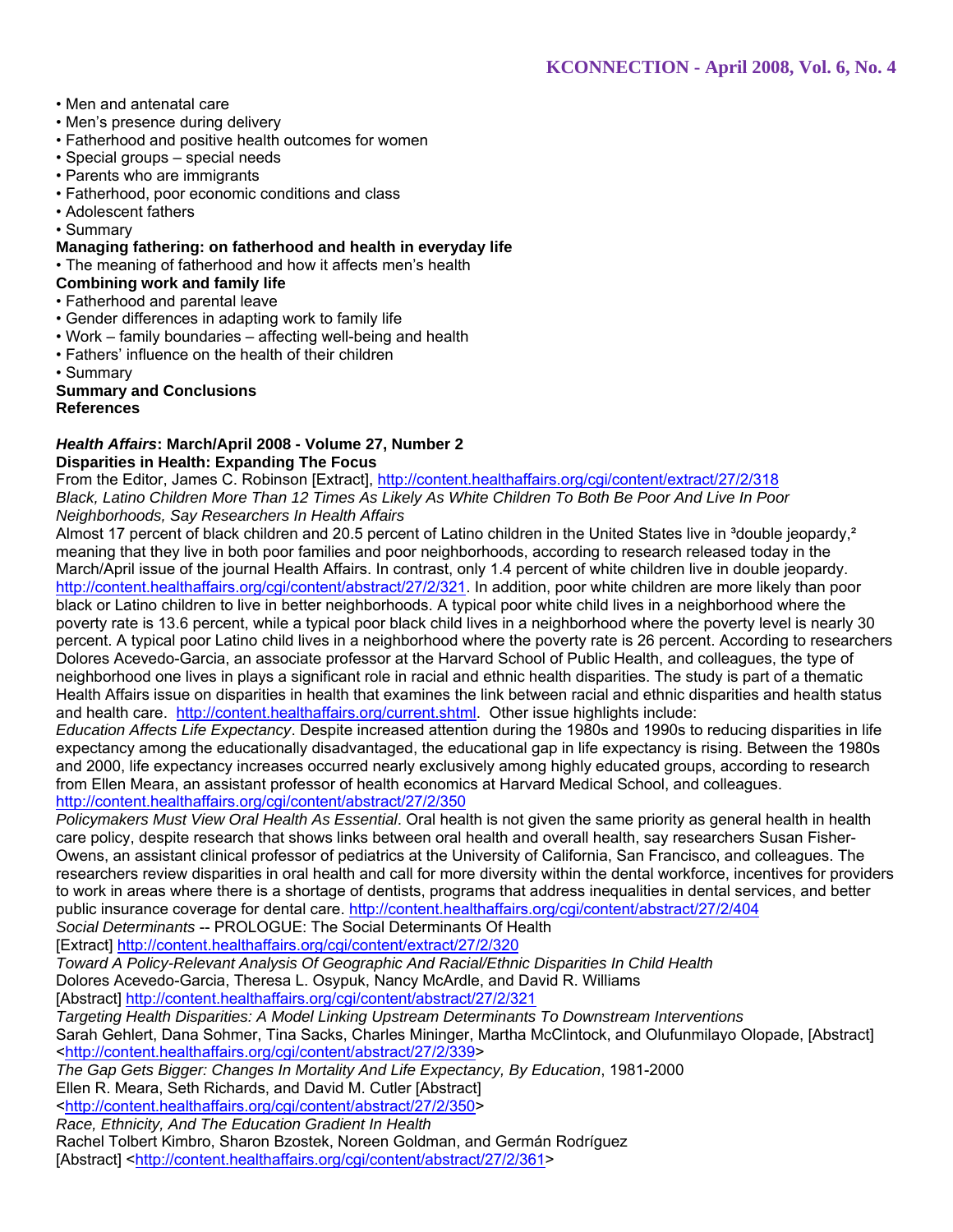- Men and antenatal care
- Men's presence during delivery
- Fatherhood and positive health outcomes for women
- Special groups special needs
- Parents who are immigrants
- Fatherhood, poor economic conditions and class
- Adolescent fathers

• Summary

### **Managing fathering: on fatherhood and health in everyday life**

• The meaning of fatherhood and how it affects men's health

# **Combining work and family life**

- Fatherhood and parental leave
- Gender differences in adapting work to family life
- Work family boundaries affecting well-being and health
- Fathers' influence on the health of their children
- Summary

# **Summary and Conclusions**

# **References**

# *Health Affairs***: March/April 2008 - Volume 27, Number 2 Disparities in Health: Expanding The Focus**

From the Editor, James C. Robinson [Extract], http://content.healthaffairs.org/cgi/content/extract/27/2/318 *Black, Latino Children More Than 12 Times As Likely As White Children To Both Be Poor And Live In Poor Neighborhoods, Say Researchers In Health Affairs* 

Almost 17 percent of black children and 20.5 percent of Latino children in the United States live in <sup>3</sup>double jeopardy.<sup>2</sup> meaning that they live in both poor families and poor neighborhoods, according to research released today in the March/April issue of the journal Health Affairs. In contrast, only 1.4 percent of white children live in double jeopardy. http://content.healthaffairs.org/cgi/content/abstract/27/2/321. In addition, poor white children are more likely than poor black or Latino children to live in better neighborhoods. A typical poor white child lives in a neighborhood where the poverty rate is 13.6 percent, while a typical poor black child lives in a neighborhood where the poverty level is nearly 30 percent. A typical poor Latino child lives in a neighborhood where the poverty rate is 26 percent. According to researchers Dolores Acevedo-Garcia, an associate professor at the Harvard School of Public Health, and colleagues, the type of neighborhood one lives in plays a significant role in racial and ethnic health disparities. The study is part of a thematic Health Affairs issue on disparities in health that examines the link between racial and ethnic disparities and health status and health care. http://content.healthaffairs.org/current.shtml. Other issue highlights include:

*Education Affects Life Expectancy*. Despite increased attention during the 1980s and 1990s to reducing disparities in life expectancy among the educationally disadvantaged, the educational gap in life expectancy is rising. Between the 1980s and 2000, life expectancy increases occurred nearly exclusively among highly educated groups, according to research from Ellen Meara, an assistant professor of health economics at Harvard Medical School, and colleagues. http://content.healthaffairs.org/cgi/content/abstract/27/2/350

*Policymakers Must View Oral Health As Essential*. Oral health is not given the same priority as general health in health care policy, despite research that shows links between oral health and overall health, say researchers Susan Fisher-Owens, an assistant clinical professor of pediatrics at the University of California, San Francisco, and colleagues. The researchers review disparities in oral health and call for more diversity within the dental workforce, incentives for providers to work in areas where there is a shortage of dentists, programs that address inequalities in dental services, and better public insurance coverage for dental care. http://content.healthaffairs.org/cgi/content/abstract/27/2/404 *Social Determinants* -- PROLOGUE: The Social Determinants Of Health

[Extract] http://content.healthaffairs.org/cgi/content/extract/27/2/320

*Toward A Policy-Relevant Analysis Of Geographic And Racial/Ethnic Disparities In Child Health* 

Dolores Acevedo-Garcia, Theresa L. Osypuk, Nancy McArdle, and David R. Williams

[Abstract] http://content.healthaffairs.org/cgi/content/abstract/27/2/321

*Targeting Health Disparities: A Model Linking Upstream Determinants To Downstream Interventions* Sarah Gehlert, Dana Sohmer, Tina Sacks, Charles Mininger, Martha McClintock, and Olufunmilayo Olopade, [Abstract] <http://content.healthaffairs.org/cgi/content/abstract/27/2/339>

*The Gap Gets Bigger: Changes In Mortality And Life Expectancy, By Education*, 1981-2000

Ellen R. Meara, Seth Richards, and David M. Cutler [Abstract]

<http://content.healthaffairs.org/cgi/content/abstract/27/2/350>

*Race, Ethnicity, And The Education Gradient In Health* 

Rachel Tolbert Kimbro, Sharon Bzostek, Noreen Goldman, and Germán Rodríguez [Abstract] <http://content.healthaffairs.org/cgi/content/abstract/27/2/361>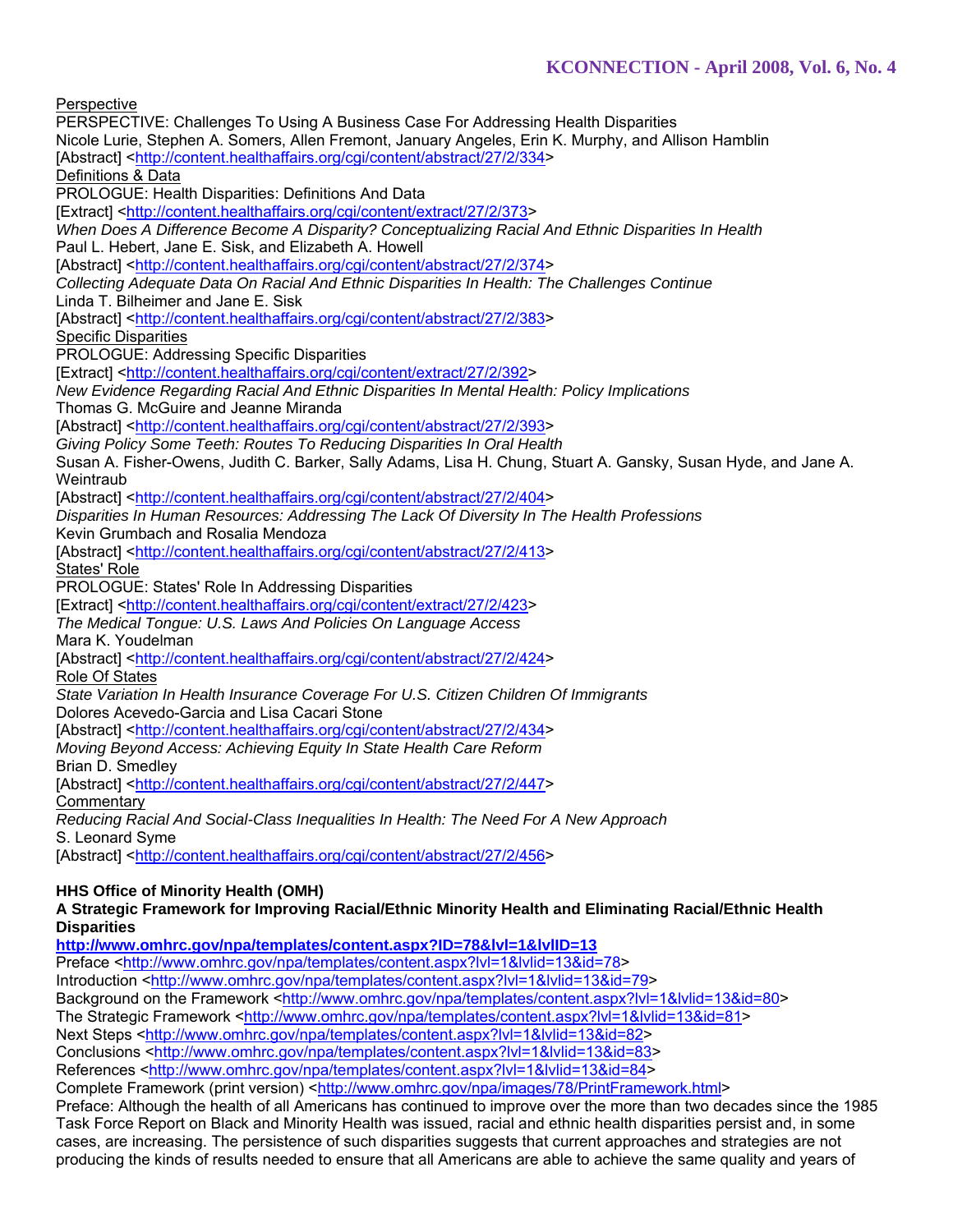**Perspective** PERSPECTIVE: Challenges To Using A Business Case For Addressing Health Disparities Nicole Lurie, Stephen A. Somers, Allen Fremont, January Angeles, Erin K. Murphy, and Allison Hamblin [Abstract] <http://content.healthaffairs.org/cgi/content/abstract/27/2/334> Definitions & Data PROLOGUE: Health Disparities: Definitions And Data [Extract] <http://content.healthaffairs.org/cgi/content/extract/27/2/373> *When Does A Difference Become A Disparity? Conceptualizing Racial And Ethnic Disparities In Health*  Paul L. Hebert, Jane E. Sisk, and Elizabeth A. Howell [Abstract] <http://content.healthaffairs.org/cgi/content/abstract/27/2/374> *Collecting Adequate Data On Racial And Ethnic Disparities In Health: The Challenges Continue*  Linda T. Bilheimer and Jane E. Sisk [Abstract] <http://content.healthaffairs.org/cgi/content/abstract/27/2/383> Specific Disparities PROLOGUE: Addressing Specific Disparities [Extract] <http://content.healthaffairs.org/cgi/content/extract/27/2/392> *New Evidence Regarding Racial And Ethnic Disparities In Mental Health: Policy Implications*  Thomas G. McGuire and Jeanne Miranda [Abstract] <http://content.healthaffairs.org/cgi/content/abstract/27/2/393> *Giving Policy Some Teeth: Routes To Reducing Disparities In Oral Health*  Susan A. Fisher-Owens, Judith C. Barker, Sally Adams, Lisa H. Chung, Stuart A. Gansky, Susan Hyde, and Jane A. **Weintraub** [Abstract] <http://content.healthaffairs.org/cgi/content/abstract/27/2/404> *Disparities In Human Resources: Addressing The Lack Of Diversity In The Health Professions*  Kevin Grumbach and Rosalia Mendoza [Abstract] <http://content.healthaffairs.org/cgi/content/abstract/27/2/413> States' Role PROLOGUE: States' Role In Addressing Disparities [Extract] <http://content.healthaffairs.org/cgi/content/extract/27/2/423> *The Medical Tongue: U.S. Laws And Policies On Language Access*  Mara K. Youdelman [Abstract] <http://content.healthaffairs.org/cgi/content/abstract/27/2/424> Role Of States *State Variation In Health Insurance Coverage For U.S. Citizen Children Of Immigrants*  Dolores Acevedo-Garcia and Lisa Cacari Stone [Abstract] <http://content.healthaffairs.org/cgi/content/abstract/27/2/434> *Moving Beyond Access: Achieving Equity In State Health Care Reform*  Brian D. Smedley [Abstract] <http://content.healthaffairs.org/cgi/content/abstract/27/2/447> **Commentary** *Reducing Racial And Social-Class Inequalities In Health: The Need For A New Approach*  S. Leonard Syme [Abstract] <http://content.healthaffairs.org/cgi/content/abstract/27/2/456> **HHS Office of Minority Health (OMH)** 

**A Strategic Framework for Improving Racial/Ethnic Minority Health and Eliminating Racial/Ethnic Health Disparities** 

**http://www.omhrc.gov/npa/templates/content.aspx?ID=78&lvl=1&lvlID=13**  Preface <http://www.omhrc.gov/npa/templates/content.aspx?lvl=1&lvlid=13&id=78>

Introduction <http://www.omhrc.gov/npa/templates/content.aspx?lvl=1&lvlid=13&id=79>

Background on the Framework <http://www.omhrc.gov/npa/templates/content.aspx?lvl=1&lvlid=13&id=80>

The Strategic Framework <http://www.omhrc.gov/npa/templates/content.aspx?lvl=1&lvlid=13&id=81>

Next Steps <http://www.omhrc.gov/npa/templates/content.aspx?lvl=1&lvlid=13&id=82>

Conclusions <http://www.omhrc.gov/npa/templates/content.aspx?lvl=1&lvlid=13&id=83>

References <http://www.omhrc.gov/npa/templates/content.aspx?lvl=1&lvlid=13&id=84> Complete Framework (print version) <http://www.omhrc.gov/npa/images/78/PrintFramework.html>

Preface: Although the health of all Americans has continued to improve over the more than two decades since the 1985 Task Force Report on Black and Minority Health was issued, racial and ethnic health disparities persist and, in some cases, are increasing. The persistence of such disparities suggests that current approaches and strategies are not producing the kinds of results needed to ensure that all Americans are able to achieve the same quality and years of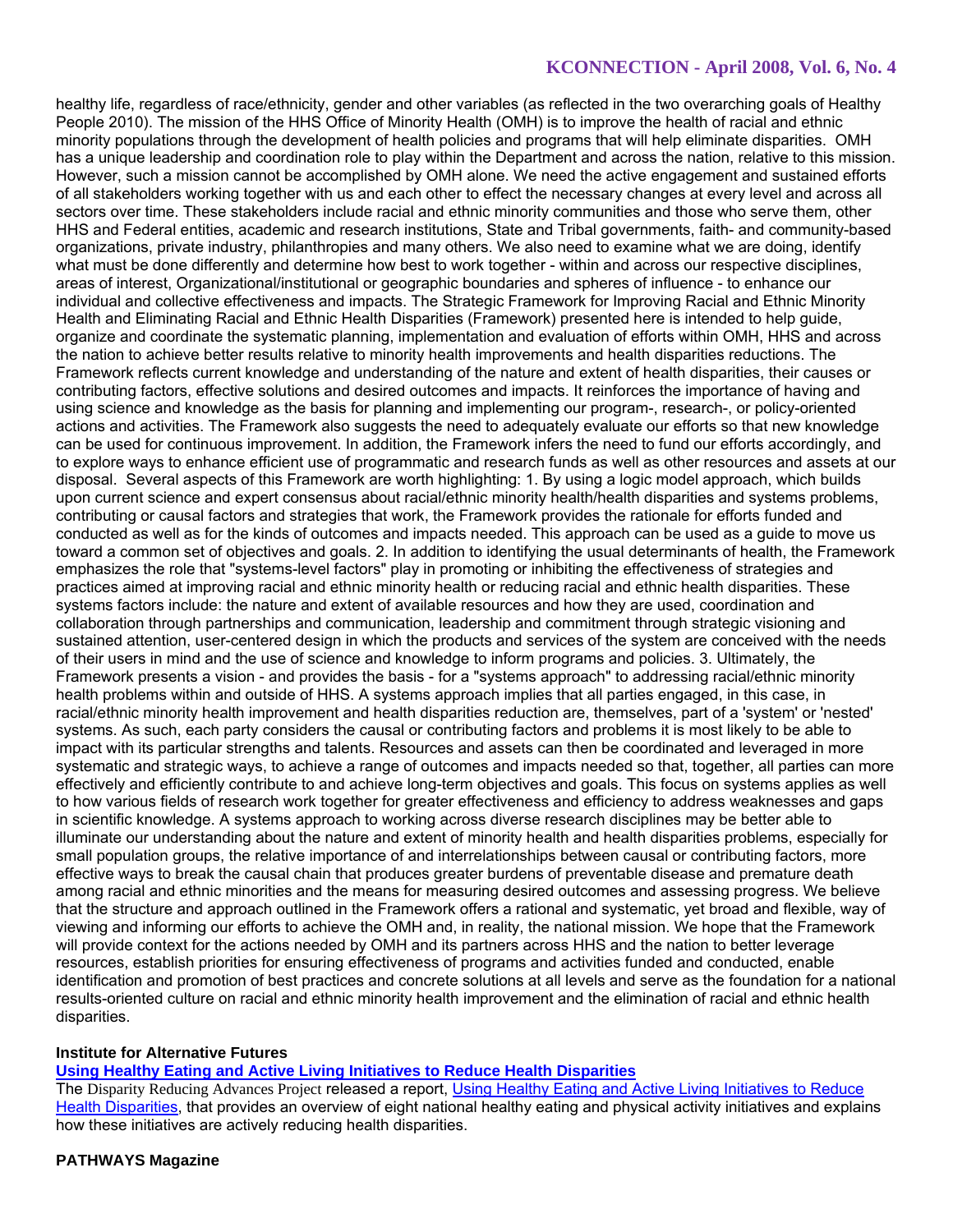healthy life, regardless of race/ethnicity, gender and other variables (as reflected in the two overarching goals of Healthy People 2010). The mission of the HHS Office of Minority Health (OMH) is to improve the health of racial and ethnic minority populations through the development of health policies and programs that will help eliminate disparities. OMH has a unique leadership and coordination role to play within the Department and across the nation, relative to this mission. However, such a mission cannot be accomplished by OMH alone. We need the active engagement and sustained efforts of all stakeholders working together with us and each other to effect the necessary changes at every level and across all sectors over time. These stakeholders include racial and ethnic minority communities and those who serve them, other HHS and Federal entities, academic and research institutions, State and Tribal governments, faith- and community-based organizations, private industry, philanthropies and many others. We also need to examine what we are doing, identify what must be done differently and determine how best to work together - within and across our respective disciplines, areas of interest, Organizational/institutional or geographic boundaries and spheres of influence - to enhance our individual and collective effectiveness and impacts. The Strategic Framework for Improving Racial and Ethnic Minority Health and Eliminating Racial and Ethnic Health Disparities (Framework) presented here is intended to help guide, organize and coordinate the systematic planning, implementation and evaluation of efforts within OMH, HHS and across the nation to achieve better results relative to minority health improvements and health disparities reductions. The Framework reflects current knowledge and understanding of the nature and extent of health disparities, their causes or contributing factors, effective solutions and desired outcomes and impacts. It reinforces the importance of having and using science and knowledge as the basis for planning and implementing our program-, research-, or policy-oriented actions and activities. The Framework also suggests the need to adequately evaluate our efforts so that new knowledge can be used for continuous improvement. In addition, the Framework infers the need to fund our efforts accordingly, and to explore ways to enhance efficient use of programmatic and research funds as well as other resources and assets at our disposal. Several aspects of this Framework are worth highlighting: 1. By using a logic model approach, which builds upon current science and expert consensus about racial/ethnic minority health/health disparities and systems problems, contributing or causal factors and strategies that work, the Framework provides the rationale for efforts funded and conducted as well as for the kinds of outcomes and impacts needed. This approach can be used as a guide to move us toward a common set of objectives and goals. 2. In addition to identifying the usual determinants of health, the Framework emphasizes the role that "systems-level factors" play in promoting or inhibiting the effectiveness of strategies and practices aimed at improving racial and ethnic minority health or reducing racial and ethnic health disparities. These systems factors include: the nature and extent of available resources and how they are used, coordination and collaboration through partnerships and communication, leadership and commitment through strategic visioning and sustained attention, user-centered design in which the products and services of the system are conceived with the needs of their users in mind and the use of science and knowledge to inform programs and policies. 3. Ultimately, the Framework presents a vision - and provides the basis - for a "systems approach" to addressing racial/ethnic minority health problems within and outside of HHS. A systems approach implies that all parties engaged, in this case, in racial/ethnic minority health improvement and health disparities reduction are, themselves, part of a 'system' or 'nested' systems. As such, each party considers the causal or contributing factors and problems it is most likely to be able to impact with its particular strengths and talents. Resources and assets can then be coordinated and leveraged in more systematic and strategic ways, to achieve a range of outcomes and impacts needed so that, together, all parties can more effectively and efficiently contribute to and achieve long-term objectives and goals. This focus on systems applies as well to how various fields of research work together for greater effectiveness and efficiency to address weaknesses and gaps in scientific knowledge. A systems approach to working across diverse research disciplines may be better able to illuminate our understanding about the nature and extent of minority health and health disparities problems, especially for small population groups, the relative importance of and interrelationships between causal or contributing factors, more effective ways to break the causal chain that produces greater burdens of preventable disease and premature death among racial and ethnic minorities and the means for measuring desired outcomes and assessing progress. We believe that the structure and approach outlined in the Framework offers a rational and systematic, yet broad and flexible, way of viewing and informing our efforts to achieve the OMH and, in reality, the national mission. We hope that the Framework will provide context for the actions needed by OMH and its partners across HHS and the nation to better leverage resources, establish priorities for ensuring effectiveness of programs and activities funded and conducted, enable identification and promotion of best practices and concrete solutions at all levels and serve as the foundation for a national results-oriented culture on racial and ethnic minority health improvement and the elimination of racial and ethnic health disparities.

# **Institute for Alternative Futures**

**Using Healthy Eating and Active Living Initiatives to Reduce Health Disparities**

The Disparity Reducing Advances Project released a report, Using Healthy Eating and Active Living Initiatives to Reduce Health Disparities, that provides an overview of eight national healthy eating and physical activity initiatives and explains how these initiatives are actively reducing health disparities.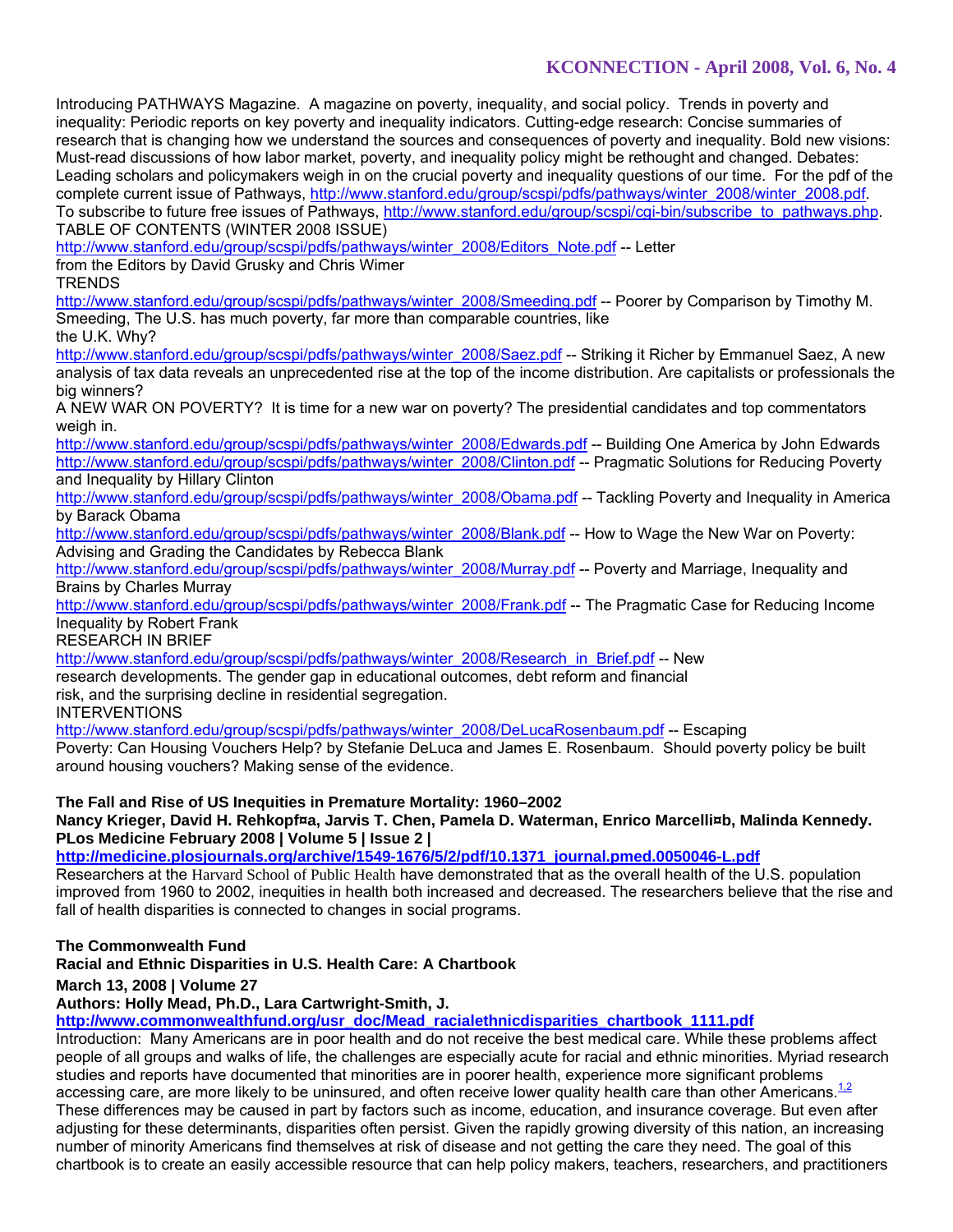Introducing PATHWAYS Magazine. A magazine on poverty, inequality, and social policy. Trends in poverty and inequality: Periodic reports on key poverty and inequality indicators. Cutting-edge research: Concise summaries of research that is changing how we understand the sources and consequences of poverty and inequality. Bold new visions: Must-read discussions of how labor market, poverty, and inequality policy might be rethought and changed. Debates: Leading scholars and policymakers weigh in on the crucial poverty and inequality questions of our time. For the pdf of the complete current issue of Pathways, http://www.stanford.edu/group/scspi/pdfs/pathways/winter\_2008/winter\_2008.pdf. To subscribe to future free issues of Pathways, http://www.stanford.edu/group/scspi/cgi-bin/subscribe\_to\_pathways.php. TABLE OF CONTENTS (WINTER 2008 ISSUE)

http://www.stanford.edu/group/scspi/pdfs/pathways/winter\_2008/Editors\_Note.pdf -- Letter

from the Editors by David Grusky and Chris Wimer

TRENDS

http://www.stanford.edu/group/scspi/pdfs/pathways/winter\_2008/Smeeding.pdf -- Poorer by Comparison by Timothy M. Smeeding, The U.S. has much poverty, far more than comparable countries, like the U.K. Why?

http://www.stanford.edu/group/scspi/pdfs/pathways/winter\_2008/Saez.pdf -- Striking it Richer by Emmanuel Saez, A new analysis of tax data reveals an unprecedented rise at the top of the income distribution. Are capitalists or professionals the big winners?

A NEW WAR ON POVERTY? It is time for a new war on poverty? The presidential candidates and top commentators weigh in.

http://www.stanford.edu/group/scspi/pdfs/pathways/winter\_2008/Edwards.pdf -- Building One America by John Edwards http://www.stanford.edu/group/scspi/pdfs/pathways/winter\_2008/Clinton.pdf -- Pragmatic Solutions for Reducing Poverty and Inequality by Hillary Clinton

http://www.stanford.edu/group/scspi/pdfs/pathways/winter\_2008/Obama.pdf -- Tackling Poverty and Inequality in America by Barack Obama

http://www.stanford.edu/group/scspi/pdfs/pathways/winter\_2008/Blank.pdf -- How to Wage the New War on Poverty: Advising and Grading the Candidates by Rebecca Blank

http://www.stanford.edu/group/scspi/pdfs/pathways/winter\_2008/Murray.pdf -- Poverty and Marriage, Inequality and Brains by Charles Murray

http://www.stanford.edu/group/scspi/pdfs/pathways/winter\_2008/Frank.pdf -- The Pragmatic Case for Reducing Income Inequality by Robert Frank

RESEARCH IN BRIEF

http://www.stanford.edu/group/scspi/pdfs/pathways/winter\_2008/Research\_in\_Brief.pdf -- New

research developments. The gender gap in educational outcomes, debt reform and financial

risk, and the surprising decline in residential segregation.

INTERVENTIONS

http://www.stanford.edu/group/scspi/pdfs/pathways/winter\_2008/DeLucaRosenbaum.pdf -- Escaping Poverty: Can Housing Vouchers Help? by Stefanie DeLuca and James E. Rosenbaum. Should poverty policy be built around housing vouchers? Making sense of the evidence.

# **The Fall and Rise of US Inequities in Premature Mortality: 1960–2002**

**Nancy Krieger, David H. Rehkopf¤a, Jarvis T. Chen, Pamela D. Waterman, Enrico Marcelli¤b, Malinda Kennedy. PLos Medicine February 2008 | Volume 5 | Issue 2 |** 

**http://medicine.plosjournals.org/archive/1549-1676/5/2/pdf/10.1371\_journal.pmed.0050046-L.pdf**

Researchers at the Harvard School of Public Health have demonstrated that as the overall health of the U.S. population improved from 1960 to 2002, inequities in health both increased and decreased. The researchers believe that the rise and fall of health disparities is connected to changes in social programs.

# **The Commonwealth Fund**

# **Racial and Ethnic Disparities in U.S. Health Care: A Chartbook**

**March 13, 2008 | Volume 27** 

**Authors: Holly Mead, Ph.D., Lara Cartwright-Smith, J.** 

**http://www.commonwealthfund.org/usr\_doc/Mead\_racialethnicdisparities\_chartbook\_1111.pdf**

Introduction: Many Americans are in poor health and do not receive the best medical care. While these problems affect people of all groups and walks of life, the challenges are especially acute for racial and ethnic minorities. Myriad research studies and reports have documented that minorities are in poorer health, experience more significant problems accessing care, are more likely to be uninsured, and often receive lower quality health care than other Americans.<sup>1,2</sup> These differences may be caused in part by factors such as income, education, and insurance coverage. But even after adjusting for these determinants, disparities often persist. Given the rapidly growing diversity of this nation, an increasing number of minority Americans find themselves at risk of disease and not getting the care they need. The goal of this chartbook is to create an easily accessible resource that can help policy makers, teachers, researchers, and practitioners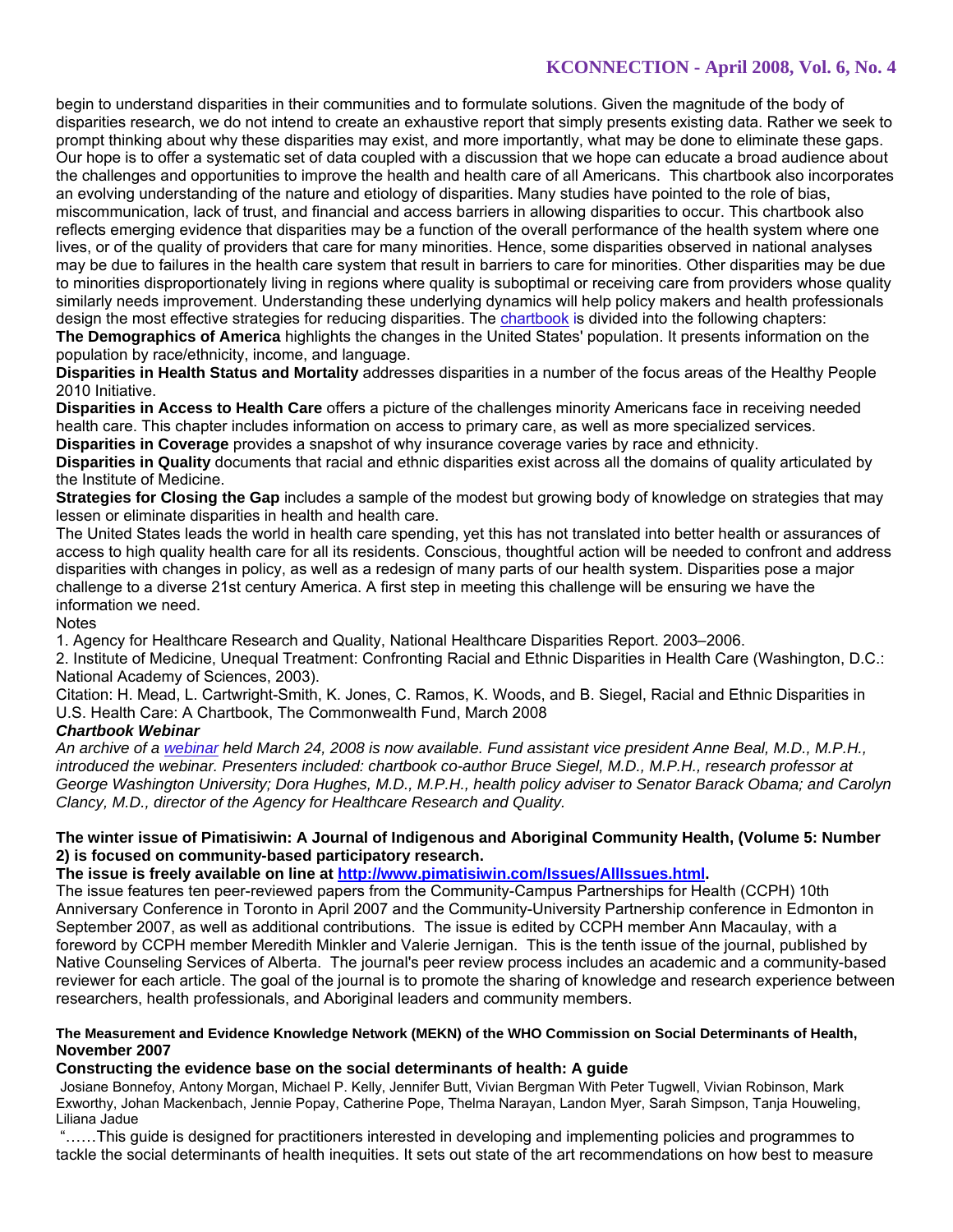begin to understand disparities in their communities and to formulate solutions. Given the magnitude of the body of disparities research, we do not intend to create an exhaustive report that simply presents existing data. Rather we seek to prompt thinking about why these disparities may exist, and more importantly, what may be done to eliminate these gaps. Our hope is to offer a systematic set of data coupled with a discussion that we hope can educate a broad audience about the challenges and opportunities to improve the health and health care of all Americans. This chartbook also incorporates an evolving understanding of the nature and etiology of disparities. Many studies have pointed to the role of bias, miscommunication, lack of trust, and financial and access barriers in allowing disparities to occur. This chartbook also reflects emerging evidence that disparities may be a function of the overall performance of the health system where one lives, or of the quality of providers that care for many minorities. Hence, some disparities observed in national analyses may be due to failures in the health care system that result in barriers to care for minorities. Other disparities may be due to minorities disproportionately living in regions where quality is suboptimal or receiving care from providers whose quality similarly needs improvement. Understanding these underlying dynamics will help policy makers and health professionals design the most effective strategies for reducing disparities. The chartbook is divided into the following chapters: **The Demographics of America** highlights the changes in the United States' population. It presents information on the

population by race/ethnicity, income, and language.

**Disparities in Health Status and Mortality** addresses disparities in a number of the focus areas of the Healthy People 2010 Initiative.

**Disparities in Access to Health Care** offers a picture of the challenges minority Americans face in receiving needed health care. This chapter includes information on access to primary care, as well as more specialized services.

**Disparities in Coverage** provides a snapshot of why insurance coverage varies by race and ethnicity.

**Disparities in Quality** documents that racial and ethnic disparities exist across all the domains of quality articulated by the Institute of Medicine.

**Strategies for Closing the Gap** includes a sample of the modest but growing body of knowledge on strategies that may lessen or eliminate disparities in health and health care.

The United States leads the world in health care spending, yet this has not translated into better health or assurances of access to high quality health care for all its residents. Conscious, thoughtful action will be needed to confront and address disparities with changes in policy, as well as a redesign of many parts of our health system. Disparities pose a major challenge to a diverse 21st century America. A first step in meeting this challenge will be ensuring we have the information we need.

**Notes** 

1. Agency for Healthcare Research and Quality, National Healthcare Disparities Report. 2003–2006.

2. Institute of Medicine, Unequal Treatment: Confronting Racial and Ethnic Disparities in Health Care (Washington, D.C.: National Academy of Sciences, 2003).

Citation: H. Mead, L. Cartwright-Smith, K. Jones, C. Ramos, K. Woods, and B. Siegel, Racial and Ethnic Disparities in U.S. Health Care: A Chartbook, The Commonwealth Fund, March 2008

# *Chartbook Webinar*

*An archive of a webinar held March 24, 2008 is now available. Fund assistant vice president Anne Beal, M.D., M.P.H., introduced the webinar. Presenters included: chartbook co-author Bruce Siegel, M.D., M.P.H., research professor at George Washington University; Dora Hughes, M.D., M.P.H., health policy adviser to Senator Barack Obama; and Carolyn Clancy, M.D., director of the Agency for Healthcare Research and Quality.*

# **The winter issue of Pimatisiwin: A Journal of Indigenous and Aboriginal Community Health, (Volume 5: Number 2) is focused on community-based participatory research.**

**The issue is freely available on line at http://www.pimatisiwin.com/Issues/AllIssues.html.** 

The issue features ten peer-reviewed papers from the Community-Campus Partnerships for Health (CCPH) 10th Anniversary Conference in Toronto in April 2007 and the Community-University Partnership conference in Edmonton in September 2007, as well as additional contributions. The issue is edited by CCPH member Ann Macaulay, with a foreword by CCPH member Meredith Minkler and Valerie Jernigan. This is the tenth issue of the journal, published by Native Counseling Services of Alberta. The journal's peer review process includes an academic and a community-based reviewer for each article. The goal of the journal is to promote the sharing of knowledge and research experience between researchers, health professionals, and Aboriginal leaders and community members.

#### **The Measurement and Evidence Knowledge Network (MEKN) of the WHO Commission on Social Determinants of Health, November 2007**

# **Constructing the evidence base on the social determinants of health: A guide**

Josiane Bonnefoy, Antony Morgan, Michael P. Kelly, Jennifer Butt, Vivian Bergman With Peter Tugwell, Vivian Robinson, Mark Exworthy, Johan Mackenbach, Jennie Popay, Catherine Pope, Thelma Narayan, Landon Myer, Sarah Simpson, Tanja Houweling, Liliana Jadue

 "……This guide is designed for practitioners interested in developing and implementing policies and programmes to tackle the social determinants of health inequities. It sets out state of the art recommendations on how best to measure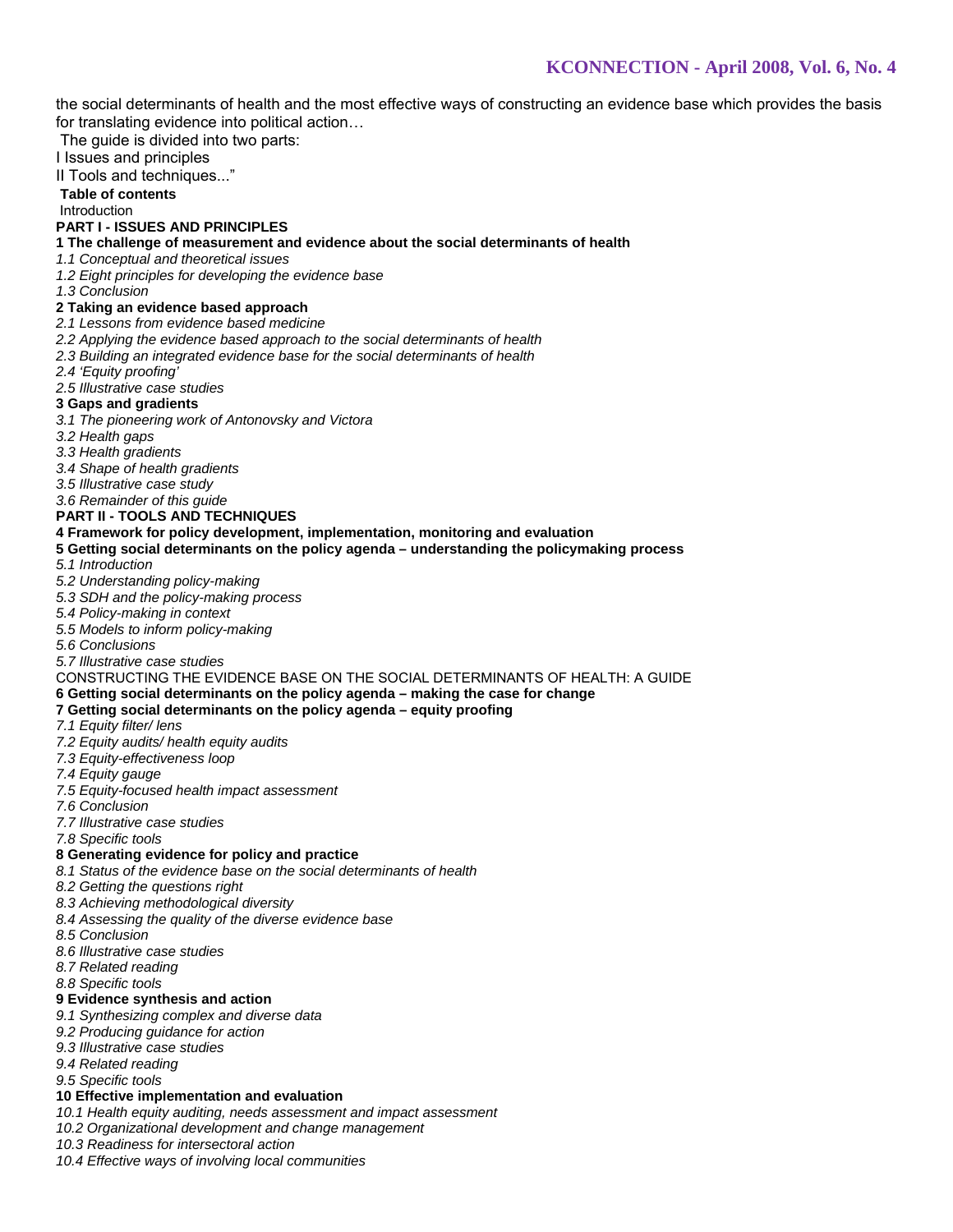the social determinants of health and the most effective ways of constructing an evidence base which provides the basis for translating evidence into political action…

The guide is divided into two parts:

I Issues and principles

II Tools and techniques..."

#### **Table of contents** Introduction

#### **PART I - ISSUES AND PRINCIPLES**

**1 The challenge of measurement and evidence about the social determinants of health** 

*1.1 Conceptual and theoretical issues*

*1.2 Eight principles for developing the evidence base* 

*1.3 Conclusion*

#### **2 Taking an evidence based approach**

*2.1 Lessons from evidence based medicine* 

*2.2 Applying the evidence based approach to the social determinants of health* 

*2.3 Building an integrated evidence base for the social determinants of health* 

*2.4 'Equity proofing'* 

#### *2.5 Illustrative case studies*

- **3 Gaps and gradients**
- *3.1 The pioneering work of Antonovsky and Victora*
- *3.2 Health gaps*

*3.3 Health gradients* 

*3.4 Shape of health gradients* 

*3.5 Illustrative case study* 

*3.6 Remainder of this guide*

#### **PART II - TOOLS AND TECHNIQUES**

#### **4 Framework for policy development, implementation, monitoring and evaluation**

**5 Getting social determinants on the policy agenda – understanding the policymaking process** 

- *5.1 Introduction*
- *5.2 Understanding policy-making*
- *5.3 SDH and the policy-making process*
- *5.4 Policy-making in context*
- *5.5 Models to inform policy-making*
- *5.6 Conclusions*

#### *5.7 Illustrative case studies*

#### CONSTRUCTING THE EVIDENCE BASE ON THE SOCIAL DETERMINANTS OF HEALTH: A GUIDE

#### **6 Getting social determinants on the policy agenda – making the case for change**

#### **7 Getting social determinants on the policy agenda – equity proofing**

- *7.1 Equity filter/ lens*
- *7.2 Equity audits/ health equity audits*
- *7.3 Equity-effectiveness loop*
- *7.4 Equity gauge*
- *7.5 Equity-focused health impact assessment*
- *7.6 Conclusion*
- *7.7 Illustrative case studies*
- *7.8 Specific tools*

### **8 Generating evidence for policy and practice**

- *8.1 Status of the evidence base on the social determinants of health*
- *8.2 Getting the questions right*
- *8.3 Achieving methodological diversity*
- *8.4 Assessing the quality of the diverse evidence base*
- *8.5 Conclusion*
- *8.6 Illustrative case studies*
- *8.7 Related reading*
- *8.8 Specific tools*

# **9 Evidence synthesis and action**

- *9.1 Synthesizing complex and diverse data*
- *9.2 Producing guidance for action*
- *9.3 Illustrative case studies*
- *9.4 Related reading*
- *9.5 Specific tools*

# **10 Effective implementation and evaluation**

- *10.1 Health equity auditing, needs assessment and impact assessment*
- *10.2 Organizational development and change management*
- *10.3 Readiness for intersectoral action*
- *10.4 Effective ways of involving local communities*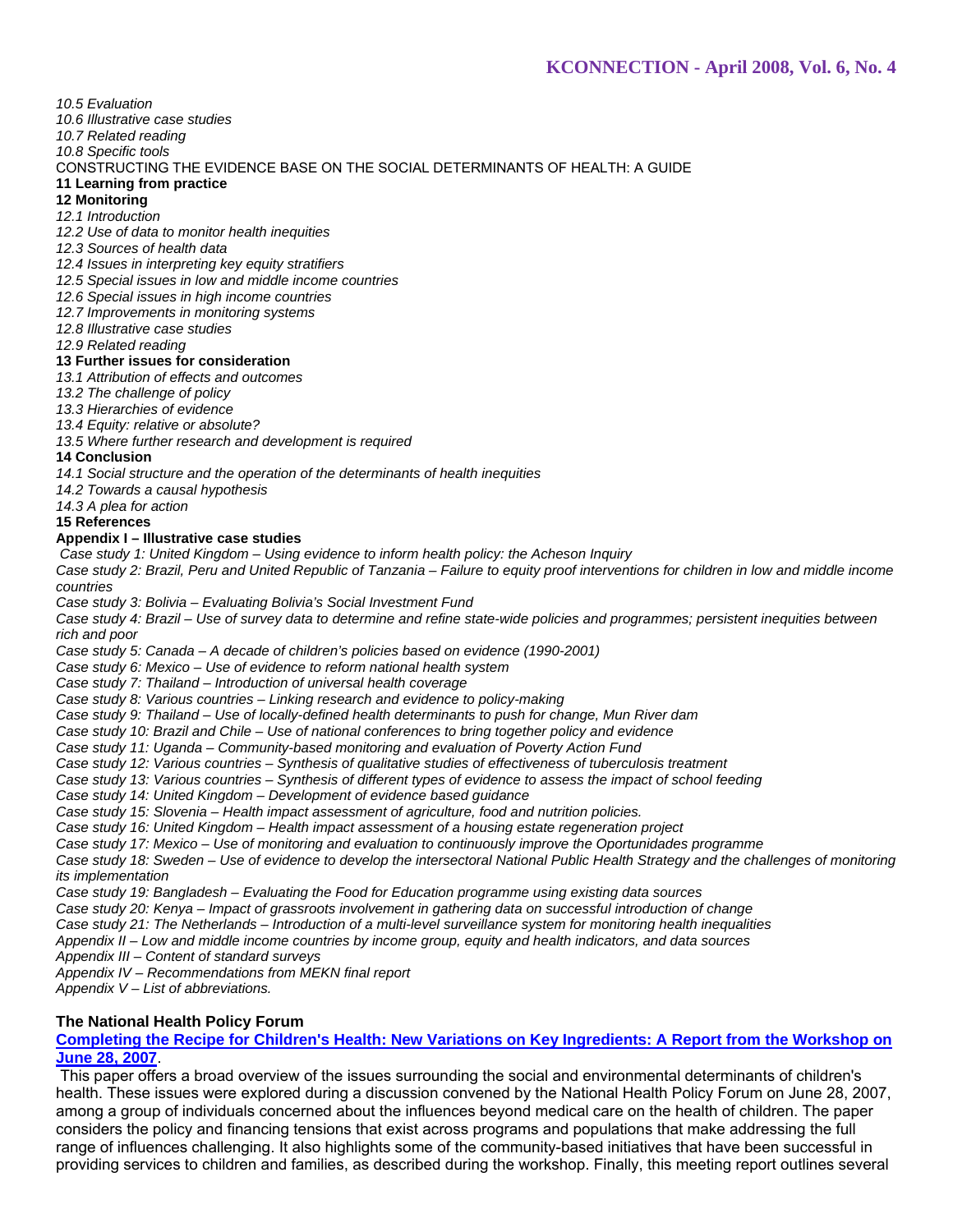### *10.5 Evaluation*

*10.6 Illustrative case studies* 

### *10.7 Related reading*

*10.8 Specific tools*

### CONSTRUCTING THE EVIDENCE BASE ON THE SOCIAL DETERMINANTS OF HEALTH: A GUIDE

#### **11 Learning from practice**

**12 Monitoring**

*12.1 Introduction*

*12.2 Use of data to monitor health inequities*

*12.3 Sources of health data* 

*12.4 Issues in interpreting key equity stratifiers*

*12.5 Special issues in low and middle income countries*

*12.6 Special issues in high income countries* 

*12.7 Improvements in monitoring systems* 

*12.8 Illustrative case studies* 

*12.9 Related reading* 

#### **13 Further issues for consideration**

*13.1 Attribution of effects and outcomes* 

*13.2 The challenge of policy*

*13.3 Hierarchies of evidence*

*13.4 Equity: relative or absolute?* 

*13.5 Where further research and development is required* 

### **14 Conclusion**

*14.1 Social structure and the operation of the determinants of health inequities* 

*14.2 Towards a causal hypothesis*

*14.3 A plea for action*

**15 References**

#### **Appendix I – Illustrative case studies**

*Case study 1: United Kingdom – Using evidence to inform health policy: the Acheson Inquiry* 

*Case study 2: Brazil, Peru and United Republic of Tanzania – Failure to equity proof interventions for children in low and middle income countries* 

*Case study 3: Bolivia – Evaluating Bolivia's Social Investment Fund*

*Case study 4: Brazil – Use of survey data to determine and refine state-wide policies and programmes; persistent inequities between rich and poor* 

*Case study 5: Canada – A decade of children's policies based on evidence (1990-2001)*

*Case study 6: Mexico – Use of evidence to reform national health system* 

*Case study 7: Thailand – Introduction of universal health coverage* 

*Case study 8: Various countries – Linking research and evidence to policy-making*

*Case study 9: Thailand – Use of locally-defined health determinants to push for change, Mun River dam* 

*Case study 10: Brazil and Chile – Use of national conferences to bring together policy and evidence* 

*Case study 11: Uganda – Community-based monitoring and evaluation of Poverty Action Fund* 

*Case study 12: Various countries – Synthesis of qualitative studies of effectiveness of tuberculosis treatment*

*Case study 13: Various countries – Synthesis of different types of evidence to assess the impact of school feeding* 

*Case study 14: United Kingdom – Development of evidence based guidance*

*Case study 15: Slovenia – Health impact assessment of agriculture, food and nutrition policies.*

*Case study 16: United Kingdom – Health impact assessment of a housing estate regeneration project*

*Case study 17: Mexico – Use of monitoring and evaluation to continuously improve the Oportunidades programme*

*Case study 18: Sweden – Use of evidence to develop the intersectoral National Public Health Strategy and the challenges of monitoring its implementation*

*Case study 19: Bangladesh – Evaluating the Food for Education programme using existing data sources* 

*Case study 20: Kenya – Impact of grassroots involvement in gathering data on successful introduction of change*

*Case study 21: The Netherlands – Introduction of a multi-level surveillance system for monitoring health inequalities*

*Appendix II – Low and middle income countries by income group, equity and health indicators, and data sources*

*Appendix III – Content of standard surveys* 

*Appendix IV – Recommendations from MEKN final report*

*Appendix V – List of abbreviations.*

# **The National Health Policy Forum**

**Completing the Recipe for Children's Health: New Variations on Key Ingredients: A Report from the Workshop on June 28, 2007**.

 This paper offers a broad overview of the issues surrounding the social and environmental determinants of children's health. These issues were explored during a discussion convened by the National Health Policy Forum on June 28, 2007, among a group of individuals concerned about the influences beyond medical care on the health of children. The paper considers the policy and financing tensions that exist across programs and populations that make addressing the full range of influences challenging. It also highlights some of the community-based initiatives that have been successful in providing services to children and families, as described during the workshop. Finally, this meeting report outlines several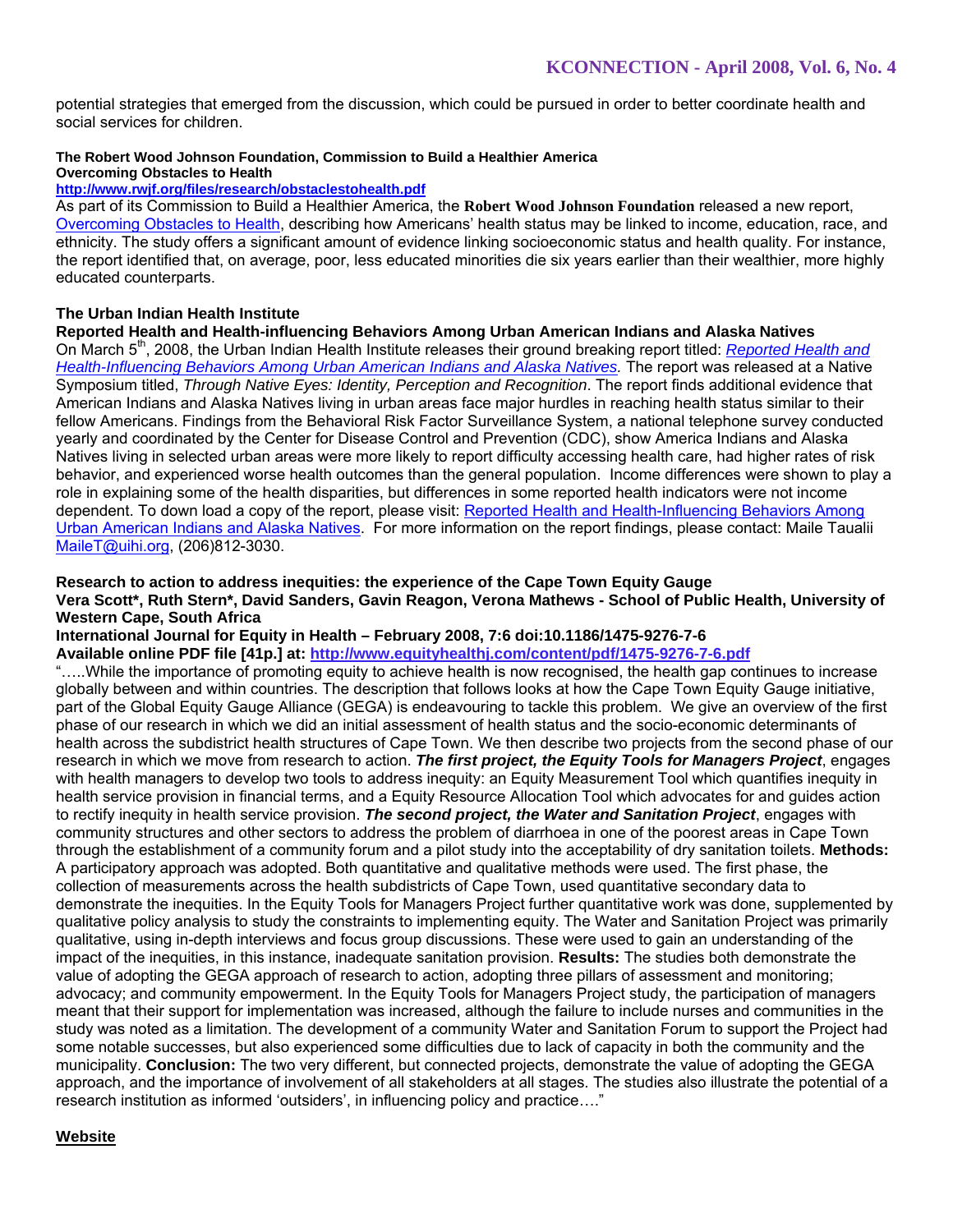potential strategies that emerged from the discussion, which could be pursued in order to better coordinate health and social services for children.

# **The Robert Wood Johnson Foundation, Commission to Build a Healthier America**

# **Overcoming Obstacles to Health**

# **http://www.rwjf.org/files/research/obstaclestohealth.pdf**

As part of its Commission to Build a Healthier America, the **Robert Wood Johnson Foundation** released a new report, Overcoming Obstacles to Health, describing how Americans' health status may be linked to income, education, race, and ethnicity. The study offers a significant amount of evidence linking socioeconomic status and health quality. For instance, the report identified that, on average, poor, less educated minorities die six years earlier than their wealthier, more highly educated counterparts.

# **The Urban Indian Health Institute**

#### **Reported Health and Health-influencing Behaviors Among Urban American Indians and Alaska Natives**

On March 5th, 2008, the Urban Indian Health Institute releases their ground breaking report titled: *Reported Health and Health-Influencing Behaviors Among Urban American Indians and Alaska Natives.* The report was released at a Native Symposium titled, *Through Native Eyes: Identity, Perception and Recognition*. The report finds additional evidence that American Indians and Alaska Natives living in urban areas face major hurdles in reaching health status similar to their fellow Americans. Findings from the Behavioral Risk Factor Surveillance System, a national telephone survey conducted yearly and coordinated by the Center for Disease Control and Prevention (CDC), show America Indians and Alaska Natives living in selected urban areas were more likely to report difficulty accessing health care, had higher rates of risk behavior, and experienced worse health outcomes than the general population. Income differences were shown to play a role in explaining some of the health disparities, but differences in some reported health indicators were not income dependent. To down load a copy of the report, please visit: Reported Health and Health-Influencing Behaviors Among Urban American Indians and Alaska Natives. For more information on the report findings, please contact: Maile Taualii MaileT@uihi.org, (206)812-3030.

#### **Research to action to address inequities: the experience of the Cape Town Equity Gauge Vera Scott\*, Ruth Stern\*, David Sanders, Gavin Reagon, Verona Mathews - School of Public Health, University of Western Cape, South Africa**

**International Journal for Equity in Health – February 2008, 7:6 doi:10.1186/1475-9276-7-6** 

**Available online PDF file [41p.] at: http://www.equityhealthj.com/content/pdf/1475-9276-7-6.pdf** 

"…..While the importance of promoting equity to achieve health is now recognised, the health gap continues to increase globally between and within countries. The description that follows looks at how the Cape Town Equity Gauge initiative, part of the Global Equity Gauge Alliance (GEGA) is endeavouring to tackle this problem. We give an overview of the first phase of our research in which we did an initial assessment of health status and the socio-economic determinants of health across the subdistrict health structures of Cape Town. We then describe two projects from the second phase of our research in which we move from research to action. *The first project, the Equity Tools for Managers Project*, engages with health managers to develop two tools to address inequity: an Equity Measurement Tool which quantifies inequity in health service provision in financial terms, and a Equity Resource Allocation Tool which advocates for and guides action to rectify inequity in health service provision. *The second project, the Water and Sanitation Project*, engages with community structures and other sectors to address the problem of diarrhoea in one of the poorest areas in Cape Town through the establishment of a community forum and a pilot study into the acceptability of dry sanitation toilets. **Methods:**  A participatory approach was adopted. Both quantitative and qualitative methods were used. The first phase, the collection of measurements across the health subdistricts of Cape Town, used quantitative secondary data to demonstrate the inequities. In the Equity Tools for Managers Project further quantitative work was done, supplemented by qualitative policy analysis to study the constraints to implementing equity. The Water and Sanitation Project was primarily qualitative, using in-depth interviews and focus group discussions. These were used to gain an understanding of the impact of the inequities, in this instance, inadequate sanitation provision. **Results:** The studies both demonstrate the value of adopting the GEGA approach of research to action, adopting three pillars of assessment and monitoring; advocacy; and community empowerment. In the Equity Tools for Managers Project study, the participation of managers meant that their support for implementation was increased, although the failure to include nurses and communities in the study was noted as a limitation. The development of a community Water and Sanitation Forum to support the Project had some notable successes, but also experienced some difficulties due to lack of capacity in both the community and the municipality. **Conclusion:** The two very different, but connected projects, demonstrate the value of adopting the GEGA approach, and the importance of involvement of all stakeholders at all stages. The studies also illustrate the potential of a research institution as informed 'outsiders', in influencing policy and practice…."

### **Website**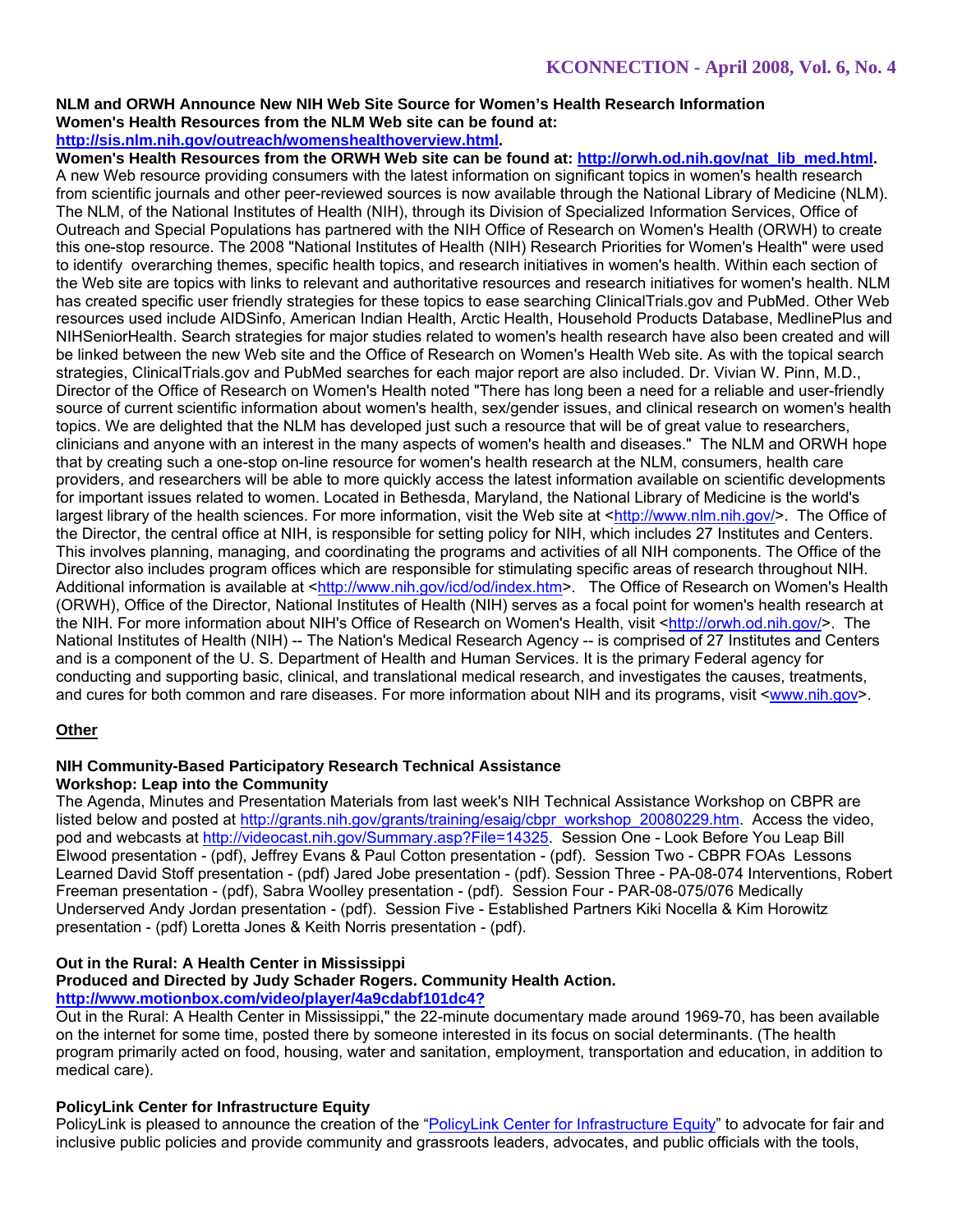#### **NLM and ORWH Announce New NIH Web Site Source for Women's Health Research Information Women's Health Resources from the NLM Web site can be found at: http://sis.nlm.nih.gov/outreach/womenshealthoverview.html.**

Women's Health Resources from the ORWH Web site can be found at: http://orwh.od.nih.gov/nat\_lib\_med.html. A new Web resource providing consumers with the latest information on significant topics in women's health research from scientific journals and other peer-reviewed sources is now available through the National Library of Medicine (NLM). The NLM, of the National Institutes of Health (NIH), through its Division of Specialized Information Services, Office of Outreach and Special Populations has partnered with the NIH Office of Research on Women's Health (ORWH) to create this one-stop resource. The 2008 "National Institutes of Health (NIH) Research Priorities for Women's Health" were used to identify overarching themes, specific health topics, and research initiatives in women's health. Within each section of the Web site are topics with links to relevant and authoritative resources and research initiatives for women's health. NLM has created specific user friendly strategies for these topics to ease searching ClinicalTrials.gov and PubMed. Other Web resources used include AIDSinfo, American Indian Health, Arctic Health, Household Products Database, MedlinePlus and NIHSeniorHealth. Search strategies for major studies related to women's health research have also been created and will be linked between the new Web site and the Office of Research on Women's Health Web site. As with the topical search strategies, ClinicalTrials.gov and PubMed searches for each major report are also included. Dr. Vivian W. Pinn, M.D., Director of the Office of Research on Women's Health noted "There has long been a need for a reliable and user-friendly source of current scientific information about women's health, sex/gender issues, and clinical research on women's health topics. We are delighted that the NLM has developed just such a resource that will be of great value to researchers, clinicians and anyone with an interest in the many aspects of women's health and diseases." The NLM and ORWH hope that by creating such a one-stop on-line resource for women's health research at the NLM, consumers, health care providers, and researchers will be able to more quickly access the latest information available on scientific developments for important issues related to women. Located in Bethesda, Maryland, the National Library of Medicine is the world's largest library of the health sciences. For more information, visit the Web site at <http://www.nlm.nih.gov/>. The Office of the Director, the central office at NIH, is responsible for setting policy for NIH, which includes 27 Institutes and Centers. This involves planning, managing, and coordinating the programs and activities of all NIH components. The Office of the Director also includes program offices which are responsible for stimulating specific areas of research throughout NIH. Additional information is available at <http://www.nih.gov/icd/od/index.htm>. The Office of Research on Women's Health (ORWH), Office of the Director, National Institutes of Health (NIH) serves as a focal point for women's health research at the NIH. For more information about NIH's Office of Research on Women's Health, visit <http://orwh.od.nih.gov/>. The National Institutes of Health (NIH) -- The Nation's Medical Research Agency -- is comprised of 27 Institutes and Centers and is a component of the U. S. Department of Health and Human Services. It is the primary Federal agency for conducting and supporting basic, clinical, and translational medical research, and investigates the causes, treatments, and cures for both common and rare diseases. For more information about NIH and its programs, visit <www.nih.gov>.

# **Other**

#### **NIH Community-Based Participatory Research Technical Assistance Workshop: Leap into the Community**

The Agenda, Minutes and Presentation Materials from last week's NIH Technical Assistance Workshop on CBPR are listed below and posted at http://grants.nih.gov/grants/training/esaig/cbpr\_workshop\_20080229.htm. Access the video, pod and webcasts at http://videocast.nih.gov/Summary.asp?File=14325. Session One - Look Before You Leap Bill Elwood presentation - (pdf), Jeffrey Evans & Paul Cotton presentation - (pdf). Session Two - CBPR FOAs Lessons Learned David Stoff presentation - (pdf) Jared Jobe presentation - (pdf). Session Three - PA-08-074 Interventions, Robert Freeman presentation - (pdf), Sabra Woolley presentation - (pdf). Session Four - PAR-08-075/076 Medically Underserved Andy Jordan presentation - (pdf). Session Five - Established Partners Kiki Nocella & Kim Horowitz presentation - (pdf) Loretta Jones & Keith Norris presentation - (pdf).

# **Out in the Rural: A Health Center in Mississippi**

# **Produced and Directed by Judy Schader Rogers. Community Health Action.**

### **http://www.motionbox.com/video/player/4a9cdabf101dc4?**

Out in the Rural: A Health Center in Mississippi," the 22-minute documentary made around 1969-70, has been available on the internet for some time, posted there by someone interested in its focus on social determinants. (The health program primarily acted on food, housing, water and sanitation, employment, transportation and education, in addition to medical care).

# **PolicyLink Center for Infrastructure Equity**

PolicyLink is pleased to announce the creation of the "PolicyLink Center for Infrastructure Equity" to advocate for fair and inclusive public policies and provide community and grassroots leaders, advocates, and public officials with the tools,